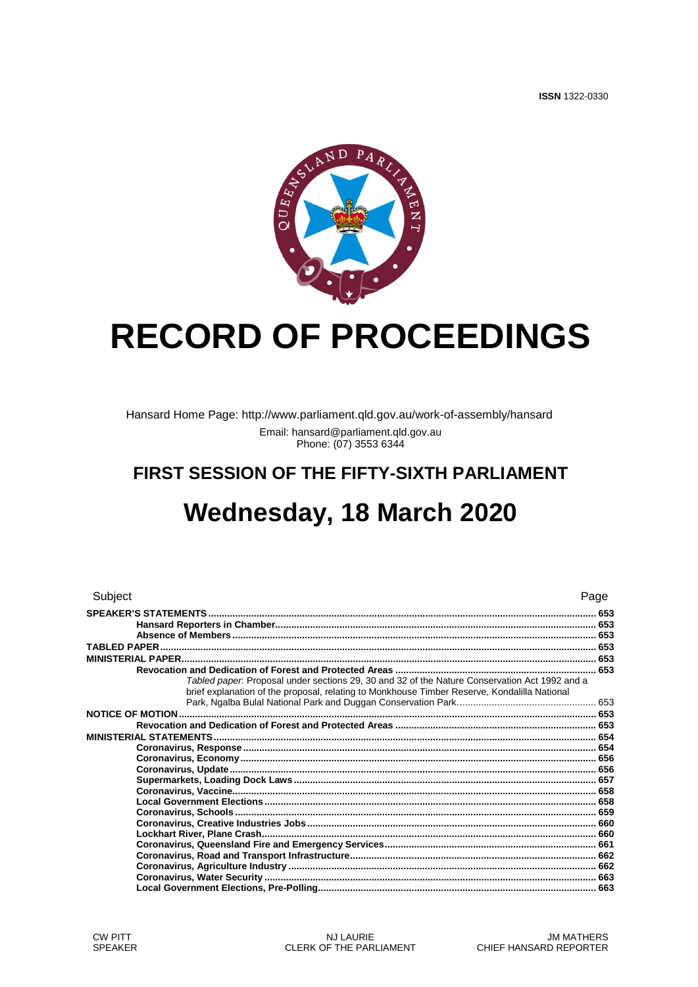

# **RECORD OF PROCEEDINGS**

Hansard Home Page: http://www.parliament.qld.gov.au/work-of-assembly/hansard Email: hansard@parliament.qld.gov.au Phone: (07) 3553 6344

## FIRST SESSION OF THE FIFTY-SIXTH PARLIAMENT

## Wednesday, 18 March 2020

| Subject                                                                                       | Page |
|-----------------------------------------------------------------------------------------------|------|
|                                                                                               |      |
|                                                                                               |      |
|                                                                                               |      |
|                                                                                               |      |
| Tabled paper. Proposal under sections 29, 30 and 32 of the Nature Conservation Act 1992 and a |      |
| brief explanation of the proposal, relating to Monkhouse Timber Reserve, Kondalilla National  |      |
|                                                                                               |      |
|                                                                                               |      |
|                                                                                               |      |
|                                                                                               |      |
|                                                                                               |      |
|                                                                                               |      |
|                                                                                               |      |
|                                                                                               |      |
|                                                                                               |      |
|                                                                                               |      |
|                                                                                               |      |
|                                                                                               |      |
|                                                                                               |      |
|                                                                                               |      |
|                                                                                               |      |
|                                                                                               |      |
|                                                                                               |      |
|                                                                                               |      |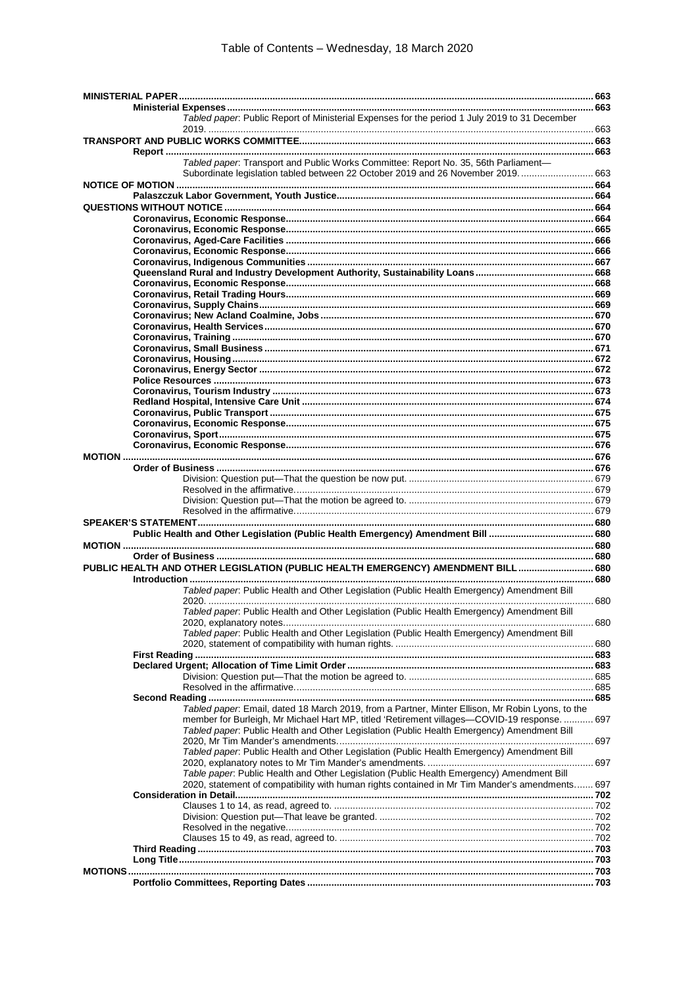| Tabled paper. Public Report of Ministerial Expenses for the period 1 July 2019 to 31 December    |  |
|--------------------------------------------------------------------------------------------------|--|
|                                                                                                  |  |
|                                                                                                  |  |
|                                                                                                  |  |
| Tabled paper. Transport and Public Works Committee: Report No. 35, 56th Parliament-              |  |
| Subordinate legislation tabled between 22 October 2019 and 26 November 2019 663                  |  |
|                                                                                                  |  |
|                                                                                                  |  |
|                                                                                                  |  |
|                                                                                                  |  |
|                                                                                                  |  |
|                                                                                                  |  |
|                                                                                                  |  |
|                                                                                                  |  |
|                                                                                                  |  |
|                                                                                                  |  |
|                                                                                                  |  |
|                                                                                                  |  |
|                                                                                                  |  |
|                                                                                                  |  |
|                                                                                                  |  |
|                                                                                                  |  |
|                                                                                                  |  |
|                                                                                                  |  |
|                                                                                                  |  |
|                                                                                                  |  |
|                                                                                                  |  |
|                                                                                                  |  |
|                                                                                                  |  |
|                                                                                                  |  |
|                                                                                                  |  |
|                                                                                                  |  |
|                                                                                                  |  |
|                                                                                                  |  |
|                                                                                                  |  |
|                                                                                                  |  |
|                                                                                                  |  |
|                                                                                                  |  |
|                                                                                                  |  |
|                                                                                                  |  |
|                                                                                                  |  |
|                                                                                                  |  |
| PUBLIC HEALTH AND OTHER LEGISLATION (PUBLIC HEALTH EMERGENCY) AMENDMENT BILL 680                 |  |
|                                                                                                  |  |
| Tabled paper. Public Health and Other Legislation (Public Health Emergency) Amendment Bill       |  |
|                                                                                                  |  |
| Tabled paper: Public Health and Other Legislation (Public Health Emergency) Amendment Bill       |  |
|                                                                                                  |  |
| Tabled paper. Public Health and Other Legislation (Public Health Emergency) Amendment Bill       |  |
|                                                                                                  |  |
|                                                                                                  |  |
|                                                                                                  |  |
|                                                                                                  |  |
|                                                                                                  |  |
|                                                                                                  |  |
| Tabled paper: Email, dated 18 March 2019, from a Partner, Minter Ellison, Mr Robin Lyons, to the |  |
| member for Burleigh, Mr Michael Hart MP, titled 'Retirement villages-COVID-19 response.  697     |  |
| Tabled paper. Public Health and Other Legislation (Public Health Emergency) Amendment Bill       |  |
|                                                                                                  |  |
| Tabled paper. Public Health and Other Legislation (Public Health Emergency) Amendment Bill       |  |
|                                                                                                  |  |
| Table paper. Public Health and Other Legislation (Public Health Emergency) Amendment Bill        |  |
| 2020, statement of compatibility with human rights contained in Mr Tim Mander's amendments 697   |  |
|                                                                                                  |  |
|                                                                                                  |  |
|                                                                                                  |  |
|                                                                                                  |  |
|                                                                                                  |  |
|                                                                                                  |  |
|                                                                                                  |  |
|                                                                                                  |  |
|                                                                                                  |  |
|                                                                                                  |  |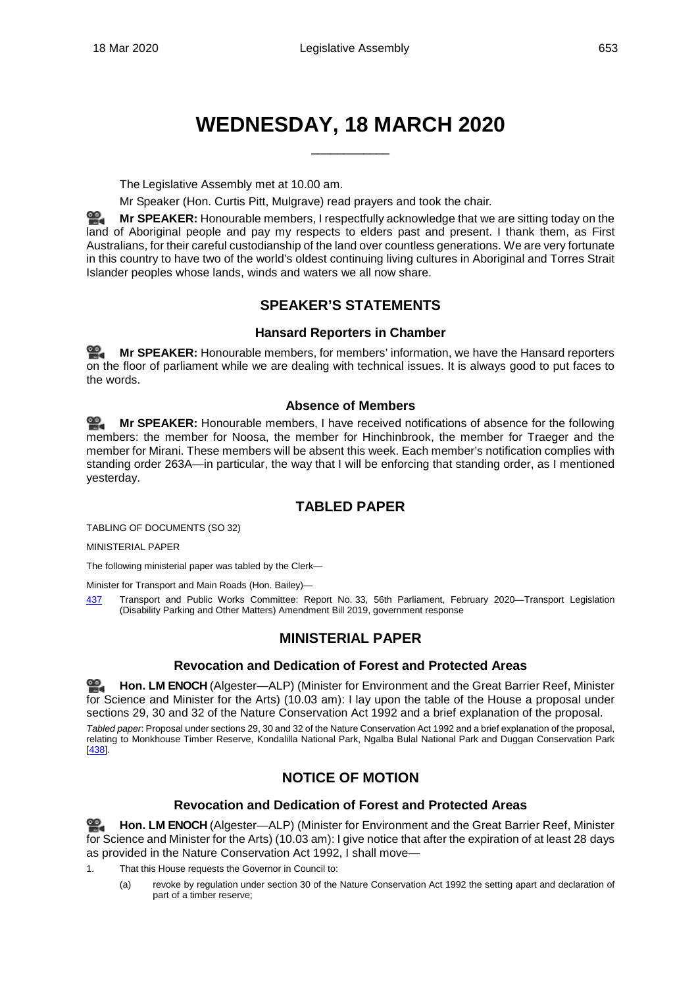## **WEDNESDAY, 18 MARCH 2020**

\_\_\_\_\_\_\_\_\_\_\_\_

The Legislative Assembly met at 10.00 am.

Mr Speaker (Hon. Curtis Pitt, Mulgrave) read prayers and took the chair.

쓺. **Mr [SPEAKER:](http://www.parliament.qld.gov.au/docs/find.aspx?id=0Mba20200318_100048)** Honourable members, I respectfully acknowledge that we are sitting today on the land of Aboriginal people and pay my respects to elders past and present. I thank them, as First Australians, for their careful custodianship of the land over countless generations. We are very fortunate in this country to have two of the world's oldest continuing living cultures in Aboriginal and Torres Strait Islander peoples whose lands, winds and waters we all now share.

## **SPEAKER'S STATEMENTS**

## **Hansard Reporters in Chamber**

<span id="page-3-1"></span><span id="page-3-0"></span>≌. **Mr [SPEAKER:](http://www.parliament.qld.gov.au/docs/find.aspx?id=0Mba20200318_100111)** Honourable members, for members' information, we have the Hansard reporters on the floor of parliament while we are dealing with technical issues. It is always good to put faces to the words.

## **Absence of Members**

<span id="page-3-2"></span>≌. **Mr [SPEAKER:](http://www.parliament.qld.gov.au/docs/find.aspx?id=0Mba20200318_100134)** Honourable members, I have received notifications of absence for the following members: the member for Noosa, the member for Hinchinbrook, the member for Traeger and the member for Mirani. These members will be absent this week. Each member's notification complies with standing order 263A—in particular, the way that I will be enforcing that standing order, as I mentioned yesterday.

## **TABLED PAPER**

<span id="page-3-3"></span>TABLING OF DOCUMENTS (SO 32)

MINISTERIAL PAPER

The following ministerial paper was tabled by the Clerk—

Minister for Transport and Main Roads (Hon. Bailey)—

<span id="page-3-4"></span>[437](http://www.parliament.qld.gov.au/docs/find.aspx?id=5620T437) Transport and Public Works Committee: Report No. 33, 56th Parliament, February 2020—Transport Legislation (Disability Parking and Other Matters) Amendment Bill 2019, government response

## **MINISTERIAL PAPER**

## **Revocation and Dedication of Forest and Protected Areas**

<span id="page-3-5"></span>**[Hon. LM](http://www.parliament.qld.gov.au/docs/find.aspx?id=0Mba20200318_100221) ENOCH** (Algester—ALP) (Minister for Environment and the Great Barrier Reef, Minister for Science and Minister for the Arts) (10.03 am): I lay upon the table of the House a proposal under sections 29, 30 and 32 of the Nature Conservation Act 1992 and a brief explanation of the proposal.

<span id="page-3-7"></span><span id="page-3-6"></span>*Tabled paper*: Proposal under sections 29, 30 and 32 of the Nature Conservation Act 1992 and a brief explanation of the proposal, relating to Monkhouse Timber Reserve, Kondalilla National Park, Ngalba Bulal National Park and Duggan Conservation Park [\[438\].](http://www.parliament.qld.gov.au/docs/find.aspx?id=5620T438)

## **NOTICE OF MOTION**

## **Revocation and Dedication of Forest and Protected Areas**

<span id="page-3-8"></span>≌. **[Hon. LM](http://www.parliament.qld.gov.au/docs/find.aspx?id=0Mba20200318_100242) ENOCH** (Algester—ALP) (Minister for Environment and the Great Barrier Reef, Minister for Science and Minister for the Arts) (10.03 am): I give notice that after the expiration of at least 28 days as provided in the Nature Conservation Act 1992, I shall move—

- 1. That this House requests the Governor in Council to:
	- (a) revoke by regulation under section 30 of the Nature Conservation Act 1992 the setting apart and declaration of part of a timber reserve;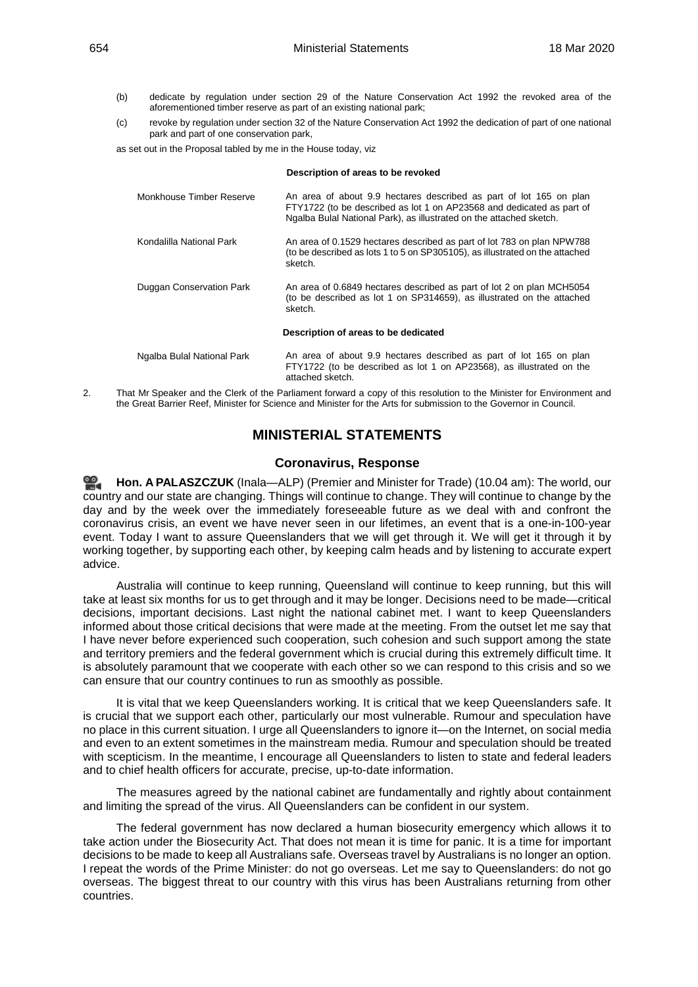- (b) dedicate by regulation under section 29 of the Nature Conservation Act 1992 the revoked area of the aforementioned timber reserve as part of an existing national park;
- (c) revoke by regulation under section 32 of the Nature Conservation Act 1992 the dedication of part of one national park and part of one conservation park,

**Description of areas to be revoked**

as set out in the Proposal tabled by me in the House today, viz

|                                      | Description of areas to be revoked                                                                                                                                                                                 |  |
|--------------------------------------|--------------------------------------------------------------------------------------------------------------------------------------------------------------------------------------------------------------------|--|
| Monkhouse Timber Reserve             | An area of about 9.9 hectares described as part of lot 165 on plan<br>FTY1722 (to be described as lot 1 on AP23568 and dedicated as part of<br>Ngalba Bulal National Park), as illustrated on the attached sketch. |  |
| Kondalilla National Park             | An area of 0.1529 hectares described as part of lot 783 on plan NPW788<br>(to be described as lots 1 to 5 on SP305105), as illustrated on the attached<br>sketch.                                                  |  |
| Duggan Conservation Park             | An area of 0.6849 hectares described as part of lot 2 on plan MCH5054<br>(to be described as lot 1 on SP314659), as illustrated on the attached<br>sketch.                                                         |  |
| Description of areas to be dedicated |                                                                                                                                                                                                                    |  |
| Ngalba Bulal National Park           | An area of about 9.9 hectares described as part of lot 165 on plan<br>FTY1722 (to be described as lot 1 on AP23568), as illustrated on the<br>attached sketch.                                                     |  |

<span id="page-4-0"></span>2. That Mr Speaker and the Clerk of the Parliament forward a copy of this resolution to the Minister for Environment and the Great Barrier Reef, Minister for Science and Minister for the Arts for submission to the Governor in Council.

## **MINISTERIAL STATEMENTS**

## **Coronavirus, Response**

<span id="page-4-1"></span>**Hon. A [PALASZCZUK](http://www.parliament.qld.gov.au/docs/find.aspx?id=0Mba20200318_100344)** (Inala—ALP) (Premier and Minister for Trade) (10.04 am): The world, our country and our state are changing. Things will continue to change. They will continue to change by the day and by the week over the immediately foreseeable future as we deal with and confront the coronavirus crisis, an event we have never seen in our lifetimes, an event that is a one-in-100-year event. Today I want to assure Queenslanders that we will get through it. We will get it through it by working together, by supporting each other, by keeping calm heads and by listening to accurate expert advice.

Australia will continue to keep running, Queensland will continue to keep running, but this will take at least six months for us to get through and it may be longer. Decisions need to be made—critical decisions, important decisions. Last night the national cabinet met. I want to keep Queenslanders informed about those critical decisions that were made at the meeting. From the outset let me say that I have never before experienced such cooperation, such cohesion and such support among the state and territory premiers and the federal government which is crucial during this extremely difficult time. It is absolutely paramount that we cooperate with each other so we can respond to this crisis and so we can ensure that our country continues to run as smoothly as possible.

It is vital that we keep Queenslanders working. It is critical that we keep Queenslanders safe. It is crucial that we support each other, particularly our most vulnerable. Rumour and speculation have no place in this current situation. I urge all Queenslanders to ignore it—on the Internet, on social media and even to an extent sometimes in the mainstream media. Rumour and speculation should be treated with scepticism. In the meantime, I encourage all Queenslanders to listen to state and federal leaders and to chief health officers for accurate, precise, up-to-date information.

The measures agreed by the national cabinet are fundamentally and rightly about containment and limiting the spread of the virus. All Queenslanders can be confident in our system.

The federal government has now declared a human biosecurity emergency which allows it to take action under the Biosecurity Act. That does not mean it is time for panic. It is a time for important decisions to be made to keep all Australians safe. Overseas travel by Australians is no longer an option. I repeat the words of the Prime Minister: do not go overseas. Let me say to Queenslanders: do not go overseas. The biggest threat to our country with this virus has been Australians returning from other countries.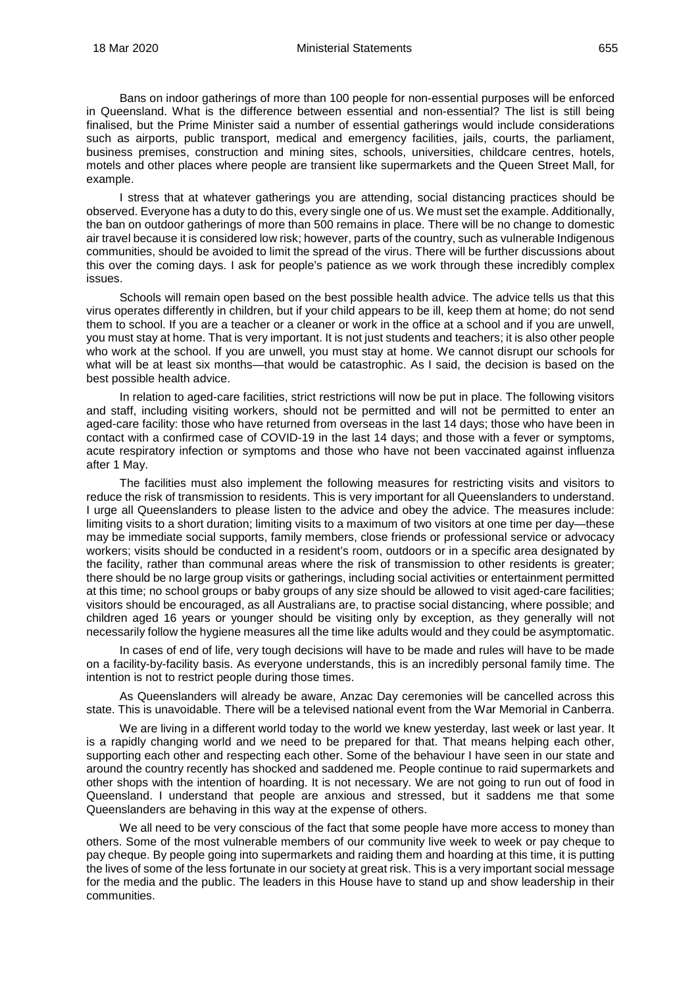Bans on indoor gatherings of more than 100 people for non-essential purposes will be enforced in Queensland. What is the difference between essential and non-essential? The list is still being finalised, but the Prime Minister said a number of essential gatherings would include considerations such as airports, public transport, medical and emergency facilities, jails, courts, the parliament, business premises, construction and mining sites, schools, universities, childcare centres, hotels, motels and other places where people are transient like supermarkets and the Queen Street Mall, for example.

I stress that at whatever gatherings you are attending, social distancing practices should be observed. Everyone has a duty to do this, every single one of us. We must set the example. Additionally, the ban on outdoor gatherings of more than 500 remains in place. There will be no change to domestic air travel because it is considered low risk; however, parts of the country, such as vulnerable Indigenous communities, should be avoided to limit the spread of the virus. There will be further discussions about this over the coming days. I ask for people's patience as we work through these incredibly complex issues.

Schools will remain open based on the best possible health advice. The advice tells us that this virus operates differently in children, but if your child appears to be ill, keep them at home; do not send them to school. If you are a teacher or a cleaner or work in the office at a school and if you are unwell, you must stay at home. That is very important. It is not just students and teachers; it is also other people who work at the school. If you are unwell, you must stay at home. We cannot disrupt our schools for what will be at least six months—that would be catastrophic. As I said, the decision is based on the best possible health advice.

In relation to aged-care facilities, strict restrictions will now be put in place. The following visitors and staff, including visiting workers, should not be permitted and will not be permitted to enter an aged-care facility: those who have returned from overseas in the last 14 days; those who have been in contact with a confirmed case of COVID-19 in the last 14 days; and those with a fever or symptoms, acute respiratory infection or symptoms and those who have not been vaccinated against influenza after 1 May.

The facilities must also implement the following measures for restricting visits and visitors to reduce the risk of transmission to residents. This is very important for all Queenslanders to understand. I urge all Queenslanders to please listen to the advice and obey the advice. The measures include: limiting visits to a short duration; limiting visits to a maximum of two visitors at one time per day—these may be immediate social supports, family members, close friends or professional service or advocacy workers; visits should be conducted in a resident's room, outdoors or in a specific area designated by the facility, rather than communal areas where the risk of transmission to other residents is greater; there should be no large group visits or gatherings, including social activities or entertainment permitted at this time; no school groups or baby groups of any size should be allowed to visit aged-care facilities; visitors should be encouraged, as all Australians are, to practise social distancing, where possible; and children aged 16 years or younger should be visiting only by exception, as they generally will not necessarily follow the hygiene measures all the time like adults would and they could be asymptomatic.

In cases of end of life, very tough decisions will have to be made and rules will have to be made on a facility-by-facility basis. As everyone understands, this is an incredibly personal family time. The intention is not to restrict people during those times.

As Queenslanders will already be aware, Anzac Day ceremonies will be cancelled across this state. This is unavoidable. There will be a televised national event from the War Memorial in Canberra.

We are living in a different world today to the world we knew yesterday, last week or last year. It is a rapidly changing world and we need to be prepared for that. That means helping each other, supporting each other and respecting each other. Some of the behaviour I have seen in our state and around the country recently has shocked and saddened me. People continue to raid supermarkets and other shops with the intention of hoarding. It is not necessary. We are not going to run out of food in Queensland. I understand that people are anxious and stressed, but it saddens me that some Queenslanders are behaving in this way at the expense of others.

We all need to be very conscious of the fact that some people have more access to money than others. Some of the most vulnerable members of our community live week to week or pay cheque to pay cheque. By people going into supermarkets and raiding them and hoarding at this time, it is putting the lives of some of the less fortunate in our society at great risk. This is a very important social message for the media and the public. The leaders in this House have to stand up and show leadership in their communities.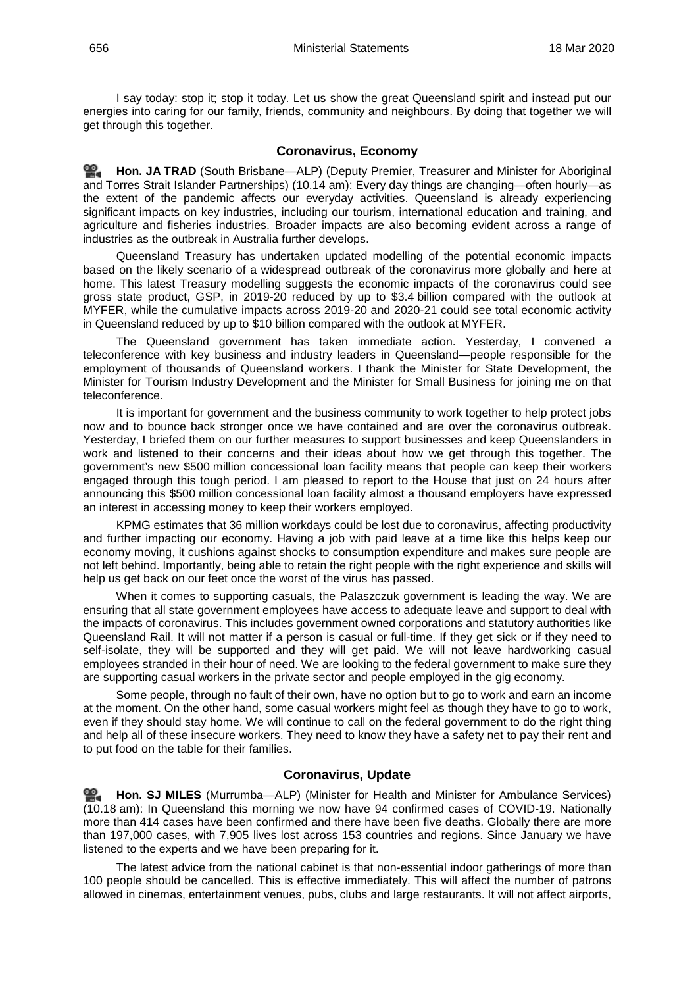I say today: stop it; stop it today. Let us show the great Queensland spirit and instead put our energies into caring for our family, friends, community and neighbours. By doing that together we will get through this together.

## **Coronavirus, Economy**

<span id="page-6-0"></span>≌. **[Hon. JA](http://www.parliament.qld.gov.au/docs/find.aspx?id=0Mba20200318_101306) TRAD** (South Brisbane—ALP) (Deputy Premier, Treasurer and Minister for Aboriginal and Torres Strait Islander Partnerships) (10.14 am): Every day things are changing—often hourly—as the extent of the pandemic affects our everyday activities. Queensland is already experiencing significant impacts on key industries, including our tourism, international education and training, and agriculture and fisheries industries. Broader impacts are also becoming evident across a range of industries as the outbreak in Australia further develops.

Queensland Treasury has undertaken updated modelling of the potential economic impacts based on the likely scenario of a widespread outbreak of the coronavirus more globally and here at home. This latest Treasury modelling suggests the economic impacts of the coronavirus could see gross state product, GSP, in 2019-20 reduced by up to \$3.4 billion compared with the outlook at MYFER, while the cumulative impacts across 2019-20 and 2020-21 could see total economic activity in Queensland reduced by up to \$10 billion compared with the outlook at MYFER.

The Queensland government has taken immediate action. Yesterday, I convened a teleconference with key business and industry leaders in Queensland—people responsible for the employment of thousands of Queensland workers. I thank the Minister for State Development, the Minister for Tourism Industry Development and the Minister for Small Business for joining me on that teleconference.

It is important for government and the business community to work together to help protect jobs now and to bounce back stronger once we have contained and are over the coronavirus outbreak. Yesterday, I briefed them on our further measures to support businesses and keep Queenslanders in work and listened to their concerns and their ideas about how we get through this together. The government's new \$500 million concessional loan facility means that people can keep their workers engaged through this tough period. I am pleased to report to the House that just on 24 hours after announcing this \$500 million concessional loan facility almost a thousand employers have expressed an interest in accessing money to keep their workers employed.

KPMG estimates that 36 million workdays could be lost due to coronavirus, affecting productivity and further impacting our economy. Having a job with paid leave at a time like this helps keep our economy moving, it cushions against shocks to consumption expenditure and makes sure people are not left behind. Importantly, being able to retain the right people with the right experience and skills will help us get back on our feet once the worst of the virus has passed.

When it comes to supporting casuals, the Palaszczuk government is leading the way. We are ensuring that all state government employees have access to adequate leave and support to deal with the impacts of coronavirus. This includes government owned corporations and statutory authorities like Queensland Rail. It will not matter if a person is casual or full-time. If they get sick or if they need to self-isolate, they will be supported and they will get paid. We will not leave hardworking casual employees stranded in their hour of need. We are looking to the federal government to make sure they are supporting casual workers in the private sector and people employed in the gig economy.

Some people, through no fault of their own, have no option but to go to work and earn an income at the moment. On the other hand, some casual workers might feel as though they have to go to work, even if they should stay home. We will continue to call on the federal government to do the right thing and help all of these insecure workers. They need to know they have a safety net to pay their rent and to put food on the table for their families.

## <span id="page-6-1"></span>**Coronavirus, Update**

**[Hon. SJ MILES](http://www.parliament.qld.gov.au/docs/find.aspx?id=0Mba20200318_101724)** (Murrumba—ALP) (Minister for Health and Minister for Ambulance Services) (10.18 am): In Queensland this morning we now have 94 confirmed cases of COVID-19. Nationally more than 414 cases have been confirmed and there have been five deaths. Globally there are more than 197,000 cases, with 7,905 lives lost across 153 countries and regions. Since January we have listened to the experts and we have been preparing for it.

The latest advice from the national cabinet is that non-essential indoor gatherings of more than 100 people should be cancelled. This is effective immediately. This will affect the number of patrons allowed in cinemas, entertainment venues, pubs, clubs and large restaurants. It will not affect airports,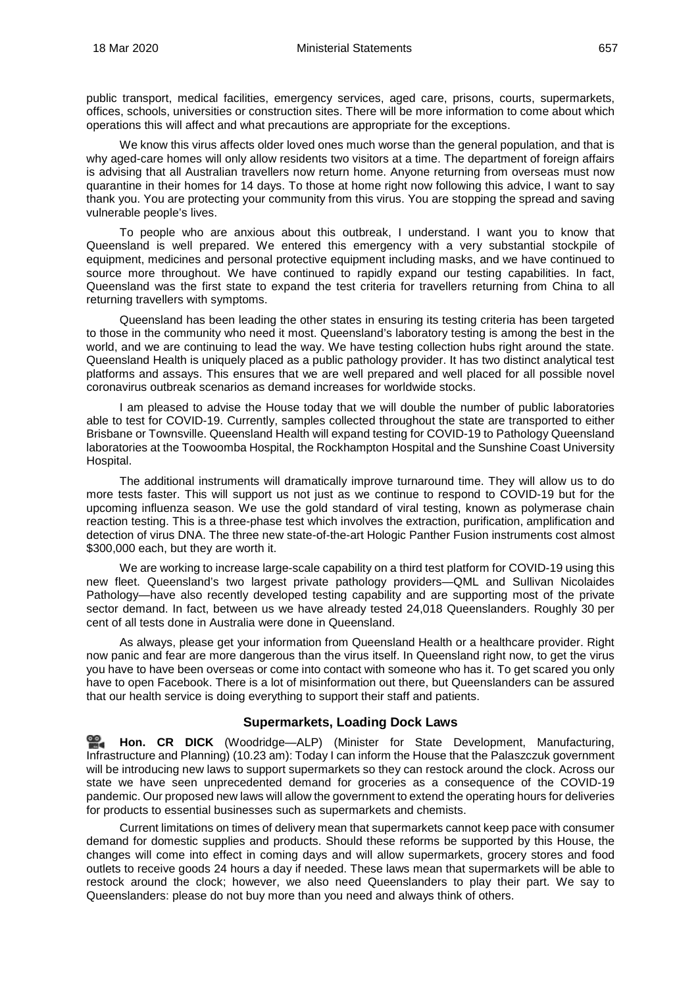public transport, medical facilities, emergency services, aged care, prisons, courts, supermarkets, offices, schools, universities or construction sites. There will be more information to come about which operations this will affect and what precautions are appropriate for the exceptions.

We know this virus affects older loved ones much worse than the general population, and that is why aged-care homes will only allow residents two visitors at a time. The department of foreign affairs is advising that all Australian travellers now return home. Anyone returning from overseas must now quarantine in their homes for 14 days. To those at home right now following this advice, I want to say thank you. You are protecting your community from this virus. You are stopping the spread and saving vulnerable people's lives.

To people who are anxious about this outbreak, I understand. I want you to know that Queensland is well prepared. We entered this emergency with a very substantial stockpile of equipment, medicines and personal protective equipment including masks, and we have continued to source more throughout. We have continued to rapidly expand our testing capabilities. In fact, Queensland was the first state to expand the test criteria for travellers returning from China to all returning travellers with symptoms.

Queensland has been leading the other states in ensuring its testing criteria has been targeted to those in the community who need it most. Queensland's laboratory testing is among the best in the world, and we are continuing to lead the way. We have testing collection hubs right around the state. Queensland Health is uniquely placed as a public pathology provider. It has two distinct analytical test platforms and assays. This ensures that we are well prepared and well placed for all possible novel coronavirus outbreak scenarios as demand increases for worldwide stocks.

I am pleased to advise the House today that we will double the number of public laboratories able to test for COVID-19. Currently, samples collected throughout the state are transported to either Brisbane or Townsville. Queensland Health will expand testing for COVID-19 to Pathology Queensland laboratories at the Toowoomba Hospital, the Rockhampton Hospital and the Sunshine Coast University Hospital.

The additional instruments will dramatically improve turnaround time. They will allow us to do more tests faster. This will support us not just as we continue to respond to COVID-19 but for the upcoming influenza season. We use the gold standard of viral testing, known as polymerase chain reaction testing. This is a three-phase test which involves the extraction, purification, amplification and detection of virus DNA. The three new state-of-the-art Hologic Panther Fusion instruments cost almost \$300,000 each, but they are worth it.

We are working to increase large-scale capability on a third test platform for COVID-19 using this new fleet. Queensland's two largest private pathology providers—QML and Sullivan Nicolaides Pathology—have also recently developed testing capability and are supporting most of the private sector demand. In fact, between us we have already tested 24,018 Queenslanders. Roughly 30 per cent of all tests done in Australia were done in Queensland.

As always, please get your information from Queensland Health or a healthcare provider. Right now panic and fear are more dangerous than the virus itself. In Queensland right now, to get the virus you have to have been overseas or come into contact with someone who has it. To get scared you only have to open Facebook. There is a lot of misinformation out there, but Queenslanders can be assured that our health service is doing everything to support their staff and patients.

## **Supermarkets, Loading Dock Laws**

<span id="page-7-0"></span><u>ഇ</u> **[Hon. CR DICK](http://www.parliament.qld.gov.au/docs/find.aspx?id=0Mba20200318_102215)** (Woodridge—ALP) (Minister for State Development, Manufacturing, Infrastructure and Planning) (10.23 am): Today I can inform the House that the Palaszczuk government will be introducing new laws to support supermarkets so they can restock around the clock. Across our state we have seen unprecedented demand for groceries as a consequence of the COVID-19 pandemic. Our proposed new laws will allow the government to extend the operating hours for deliveries for products to essential businesses such as supermarkets and chemists.

Current limitations on times of delivery mean that supermarkets cannot keep pace with consumer demand for domestic supplies and products. Should these reforms be supported by this House, the changes will come into effect in coming days and will allow supermarkets, grocery stores and food outlets to receive goods 24 hours a day if needed. These laws mean that supermarkets will be able to restock around the clock; however, we also need Queenslanders to play their part. We say to Queenslanders: please do not buy more than you need and always think of others.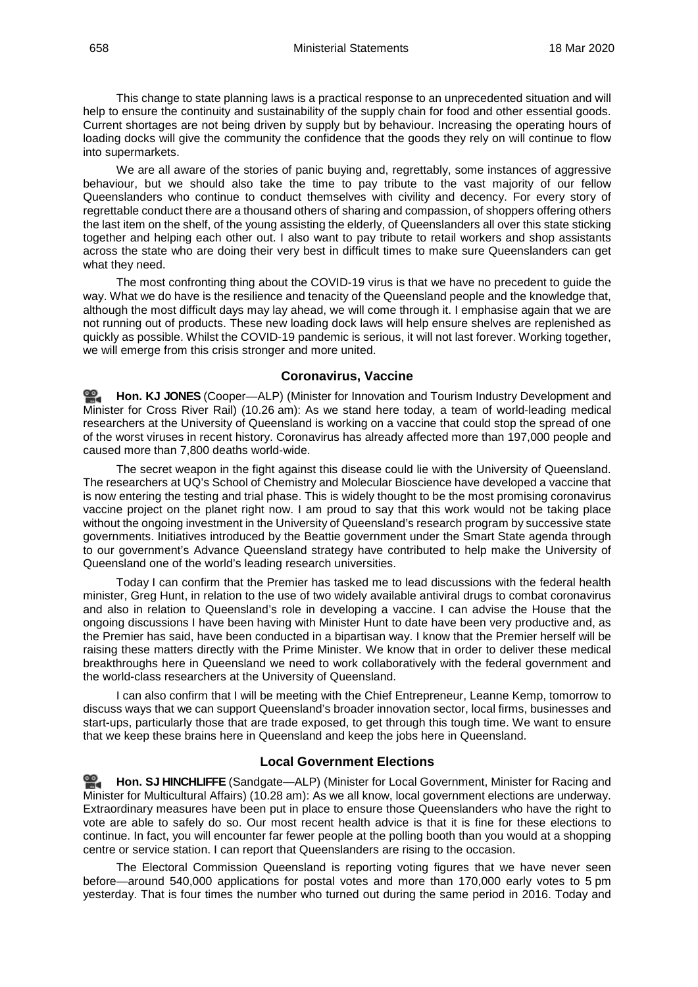This change to state planning laws is a practical response to an unprecedented situation and will help to ensure the continuity and sustainability of the supply chain for food and other essential goods. Current shortages are not being driven by supply but by behaviour. Increasing the operating hours of loading docks will give the community the confidence that the goods they rely on will continue to flow into supermarkets.

We are all aware of the stories of panic buying and, regrettably, some instances of aggressive behaviour, but we should also take the time to pay tribute to the vast majority of our fellow Queenslanders who continue to conduct themselves with civility and decency. For every story of regrettable conduct there are a thousand others of sharing and compassion, of shoppers offering others the last item on the shelf, of the young assisting the elderly, of Queenslanders all over this state sticking together and helping each other out. I also want to pay tribute to retail workers and shop assistants across the state who are doing their very best in difficult times to make sure Queenslanders can get what they need.

The most confronting thing about the COVID-19 virus is that we have no precedent to guide the way. What we do have is the resilience and tenacity of the Queensland people and the knowledge that, although the most difficult days may lay ahead, we will come through it. I emphasise again that we are not running out of products. These new loading dock laws will help ensure shelves are replenished as quickly as possible. Whilst the COVID-19 pandemic is serious, it will not last forever. Working together, we will emerge from this crisis stronger and more united.

#### **Coronavirus, Vaccine**

<span id="page-8-0"></span>**[Hon. KJ JONES](http://www.parliament.qld.gov.au/docs/find.aspx?id=0Mba20200318_102510)** (Cooper—ALP) (Minister for Innovation and Tourism Industry Development and Minister for Cross River Rail) (10.26 am): As we stand here today, a team of world-leading medical researchers at the University of Queensland is working on a vaccine that could stop the spread of one of the worst viruses in recent history. Coronavirus has already affected more than 197,000 people and caused more than 7,800 deaths world-wide.

The secret weapon in the fight against this disease could lie with the University of Queensland. The researchers at UQ's School of Chemistry and Molecular Bioscience have developed a vaccine that is now entering the testing and trial phase. This is widely thought to be the most promising coronavirus vaccine project on the planet right now. I am proud to say that this work would not be taking place without the ongoing investment in the University of Queensland's research program by successive state governments. Initiatives introduced by the Beattie government under the Smart State agenda through to our government's Advance Queensland strategy have contributed to help make the University of Queensland one of the world's leading research universities.

Today I can confirm that the Premier has tasked me to lead discussions with the federal health minister, Greg Hunt, in relation to the use of two widely available antiviral drugs to combat coronavirus and also in relation to Queensland's role in developing a vaccine. I can advise the House that the ongoing discussions I have been having with Minister Hunt to date have been very productive and, as the Premier has said, have been conducted in a bipartisan way. I know that the Premier herself will be raising these matters directly with the Prime Minister. We know that in order to deliver these medical breakthroughs here in Queensland we need to work collaboratively with the federal government and the world-class researchers at the University of Queensland.

I can also confirm that I will be meeting with the Chief Entrepreneur, Leanne Kemp, tomorrow to discuss ways that we can support Queensland's broader innovation sector, local firms, businesses and start-ups, particularly those that are trade exposed, to get through this tough time. We want to ensure that we keep these brains here in Queensland and keep the jobs here in Queensland.

#### **Local Government Elections**

<span id="page-8-1"></span>**Hon. SJ [HINCHLIFFE](http://www.parliament.qld.gov.au/docs/find.aspx?id=0Mba20200318_102724)** (Sandgate—ALP) (Minister for Local Government, Minister for Racing and Minister for Multicultural Affairs) (10.28 am): As we all know, local government elections are underway. Extraordinary measures have been put in place to ensure those Queenslanders who have the right to vote are able to safely do so. Our most recent health advice is that it is fine for these elections to continue. In fact, you will encounter far fewer people at the polling booth than you would at a shopping centre or service station. I can report that Queenslanders are rising to the occasion.

The Electoral Commission Queensland is reporting voting figures that we have never seen before—around 540,000 applications for postal votes and more than 170,000 early votes to 5 pm yesterday. That is four times the number who turned out during the same period in 2016. Today and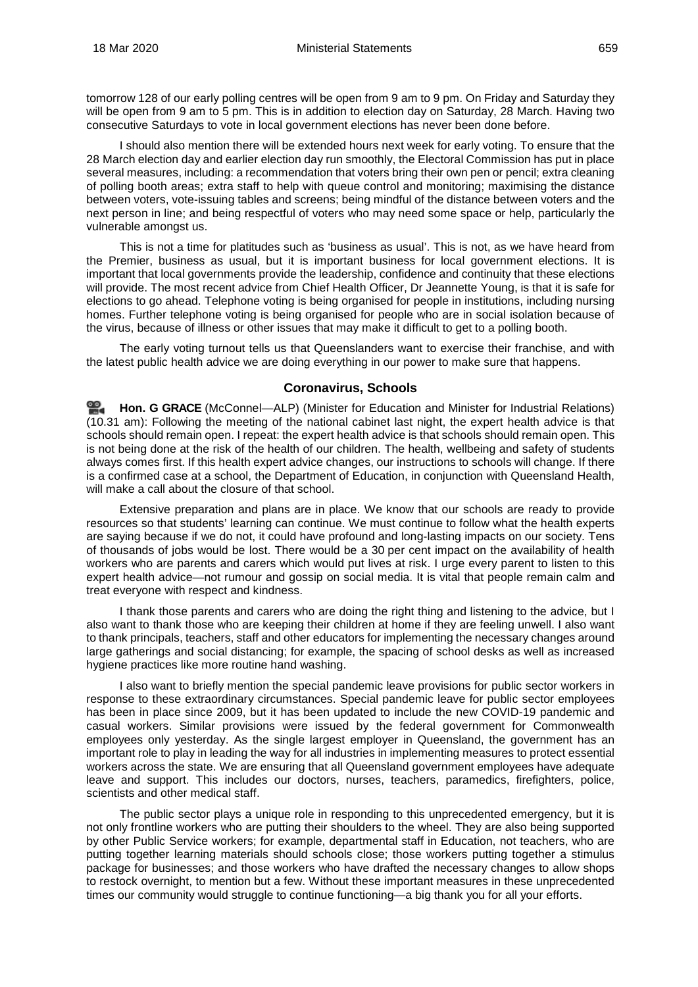tomorrow 128 of our early polling centres will be open from 9 am to 9 pm. On Friday and Saturday they will be open from 9 am to 5 pm. This is in addition to election day on Saturday, 28 March. Having two consecutive Saturdays to vote in local government elections has never been done before.

I should also mention there will be extended hours next week for early voting. To ensure that the 28 March election day and earlier election day run smoothly, the Electoral Commission has put in place several measures, including: a recommendation that voters bring their own pen or pencil; extra cleaning of polling booth areas; extra staff to help with queue control and monitoring; maximising the distance between voters, vote-issuing tables and screens; being mindful of the distance between voters and the next person in line; and being respectful of voters who may need some space or help, particularly the vulnerable amongst us.

This is not a time for platitudes such as 'business as usual'. This is not, as we have heard from the Premier, business as usual, but it is important business for local government elections. It is important that local governments provide the leadership, confidence and continuity that these elections will provide. The most recent advice from Chief Health Officer, Dr Jeannette Young, is that it is safe for elections to go ahead. Telephone voting is being organised for people in institutions, including nursing homes. Further telephone voting is being organised for people who are in social isolation because of the virus, because of illness or other issues that may make it difficult to get to a polling booth.

The early voting turnout tells us that Queenslanders want to exercise their franchise, and with the latest public health advice we are doing everything in our power to make sure that happens.

## **Coronavirus, Schools**

<span id="page-9-0"></span>**[Hon. G GRACE](http://www.parliament.qld.gov.au/docs/find.aspx?id=0Mba20200318_103025)** (McConnel—ALP) (Minister for Education and Minister for Industrial Relations) (10.31 am): Following the meeting of the national cabinet last night, the expert health advice is that schools should remain open. I repeat: the expert health advice is that schools should remain open. This is not being done at the risk of the health of our children. The health, wellbeing and safety of students always comes first. If this health expert advice changes, our instructions to schools will change. If there is a confirmed case at a school, the Department of Education, in conjunction with Queensland Health, will make a call about the closure of that school.

Extensive preparation and plans are in place. We know that our schools are ready to provide resources so that students' learning can continue. We must continue to follow what the health experts are saying because if we do not, it could have profound and long-lasting impacts on our society. Tens of thousands of jobs would be lost. There would be a 30 per cent impact on the availability of health workers who are parents and carers which would put lives at risk. I urge every parent to listen to this expert health advice—not rumour and gossip on social media. It is vital that people remain calm and treat everyone with respect and kindness.

I thank those parents and carers who are doing the right thing and listening to the advice, but I also want to thank those who are keeping their children at home if they are feeling unwell. I also want to thank principals, teachers, staff and other educators for implementing the necessary changes around large gatherings and social distancing; for example, the spacing of school desks as well as increased hygiene practices like more routine hand washing.

I also want to briefly mention the special pandemic leave provisions for public sector workers in response to these extraordinary circumstances. Special pandemic leave for public sector employees has been in place since 2009, but it has been updated to include the new COVID-19 pandemic and casual workers. Similar provisions were issued by the federal government for Commonwealth employees only yesterday. As the single largest employer in Queensland, the government has an important role to play in leading the way for all industries in implementing measures to protect essential workers across the state. We are ensuring that all Queensland government employees have adequate leave and support. This includes our doctors, nurses, teachers, paramedics, firefighters, police, scientists and other medical staff.

The public sector plays a unique role in responding to this unprecedented emergency, but it is not only frontline workers who are putting their shoulders to the wheel. They are also being supported by other Public Service workers; for example, departmental staff in Education, not teachers, who are putting together learning materials should schools close; those workers putting together a stimulus package for businesses; and those workers who have drafted the necessary changes to allow shops to restock overnight, to mention but a few. Without these important measures in these unprecedented times our community would struggle to continue functioning—a big thank you for all your efforts.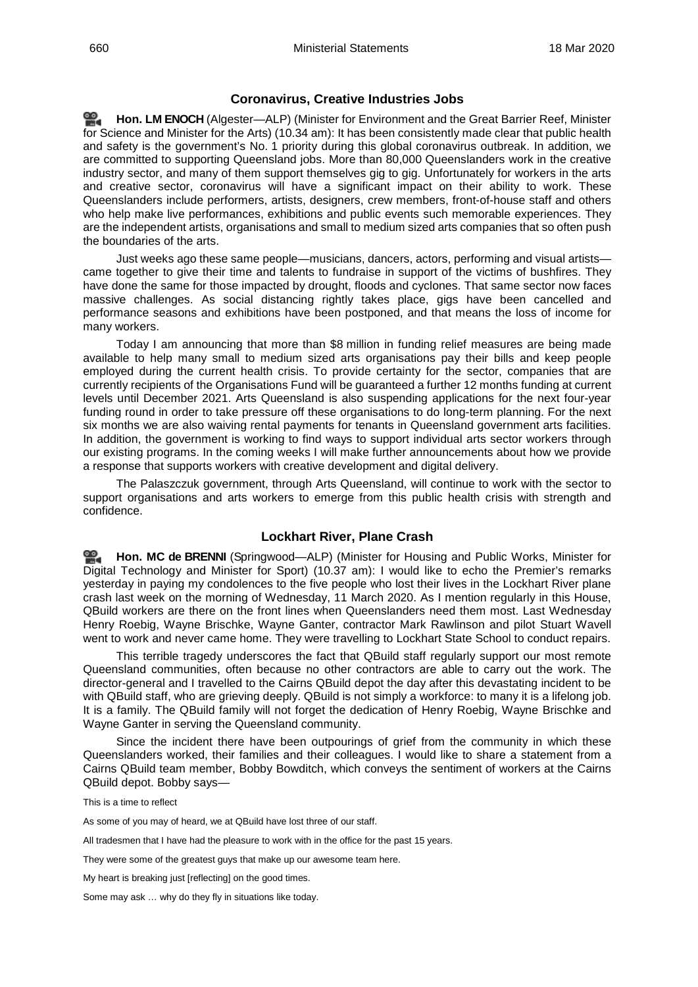## **Coronavirus, Creative Industries Jobs**

<span id="page-10-0"></span>≌. **[Hon. LM](http://www.parliament.qld.gov.au/docs/find.aspx?id=0Mba20200318_103400) ENOCH** (Algester—ALP) (Minister for Environment and the Great Barrier Reef, Minister for Science and Minister for the Arts) (10.34 am): It has been consistently made clear that public health and safety is the government's No. 1 priority during this global coronavirus outbreak. In addition, we are committed to supporting Queensland jobs. More than 80,000 Queenslanders work in the creative industry sector, and many of them support themselves gig to gig. Unfortunately for workers in the arts and creative sector, coronavirus will have a significant impact on their ability to work. These Queenslanders include performers, artists, designers, crew members, front-of-house staff and others who help make live performances, exhibitions and public events such memorable experiences. They are the independent artists, organisations and small to medium sized arts companies that so often push the boundaries of the arts.

Just weeks ago these same people—musicians, dancers, actors, performing and visual artists came together to give their time and talents to fundraise in support of the victims of bushfires. They have done the same for those impacted by drought, floods and cyclones. That same sector now faces massive challenges. As social distancing rightly takes place, gigs have been cancelled and performance seasons and exhibitions have been postponed, and that means the loss of income for many workers.

Today I am announcing that more than \$8 million in funding relief measures are being made available to help many small to medium sized arts organisations pay their bills and keep people employed during the current health crisis. To provide certainty for the sector, companies that are currently recipients of the Organisations Fund will be guaranteed a further 12 months funding at current levels until December 2021. Arts Queensland is also suspending applications for the next four-year funding round in order to take pressure off these organisations to do long-term planning. For the next six months we are also waiving rental payments for tenants in Queensland government arts facilities. In addition, the government is working to find ways to support individual arts sector workers through our existing programs. In the coming weeks I will make further announcements about how we provide a response that supports workers with creative development and digital delivery.

The Palaszczuk government, through Arts Queensland, will continue to work with the sector to support organisations and arts workers to emerge from this public health crisis with strength and confidence.

## **Lockhart River, Plane Crash**

<span id="page-10-1"></span>≌. **Hon. MC [de BRENNI](http://www.parliament.qld.gov.au/docs/find.aspx?id=0Mba20200318_103632)** (Springwood—ALP) (Minister for Housing and Public Works, Minister for Digital Technology and Minister for Sport) (10.37 am): I would like to echo the Premier's remarks yesterday in paying my condolences to the five people who lost their lives in the Lockhart River plane crash last week on the morning of Wednesday, 11 March 2020. As I mention regularly in this House, QBuild workers are there on the front lines when Queenslanders need them most. Last Wednesday Henry Roebig, Wayne Brischke, Wayne Ganter, contractor Mark Rawlinson and pilot Stuart Wavell went to work and never came home. They were travelling to Lockhart State School to conduct repairs.

This terrible tragedy underscores the fact that QBuild staff regularly support our most remote Queensland communities, often because no other contractors are able to carry out the work. The director-general and I travelled to the Cairns QBuild depot the day after this devastating incident to be with QBuild staff, who are grieving deeply. QBuild is not simply a workforce: to many it is a lifelong job. It is a family. The QBuild family will not forget the dedication of Henry Roebig, Wayne Brischke and Wayne Ganter in serving the Queensland community.

Since the incident there have been outpourings of grief from the community in which these Queenslanders worked, their families and their colleagues. I would like to share a statement from a Cairns QBuild team member, Bobby Bowditch, which conveys the sentiment of workers at the Cairns QBuild depot. Bobby says—

This is a time to reflect

As some of you may of heard, we at QBuild have lost three of our staff.

All tradesmen that I have had the pleasure to work with in the office for the past 15 years.

They were some of the greatest guys that make up our awesome team here.

My heart is breaking just [reflecting] on the good times.

Some may ask … why do they fly in situations like today.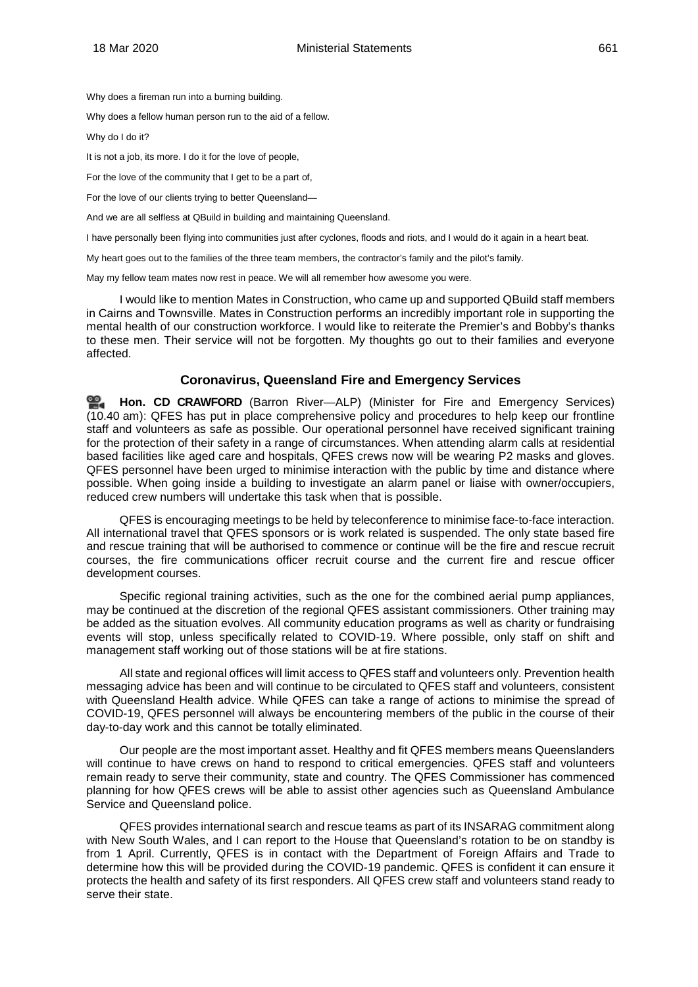Why does a fireman run into a burning building.

Why does a fellow human person run to the aid of a fellow.

Why do I do it?

It is not a job, its more. I do it for the love of people,

For the love of the community that I get to be a part of,

For the love of our clients trying to better Queensland-

And we are all selfless at QBuild in building and maintaining Queensland.

I have personally been flying into communities just after cyclones, floods and riots, and I would do it again in a heart beat.

My heart goes out to the families of the three team members, the contractor's family and the pilot's family.

May my fellow team mates now rest in peace. We will all remember how awesome you were.

I would like to mention Mates in Construction, who came up and supported QBuild staff members in Cairns and Townsville. Mates in Construction performs an incredibly important role in supporting the mental health of our construction workforce. I would like to reiterate the Premier's and Bobby's thanks to these men. Their service will not be forgotten. My thoughts go out to their families and everyone affected.

## **Coronavirus, Queensland Fire and Emergency Services**

<span id="page-11-0"></span>≌. **Hon. CD [CRAWFORD](http://www.parliament.qld.gov.au/docs/find.aspx?id=0Mba20200318_103941)** (Barron River—ALP) (Minister for Fire and Emergency Services) (10.40 am): QFES has put in place comprehensive policy and procedures to help keep our frontline staff and volunteers as safe as possible. Our operational personnel have received significant training for the protection of their safety in a range of circumstances. When attending alarm calls at residential based facilities like aged care and hospitals, QFES crews now will be wearing P2 masks and gloves. QFES personnel have been urged to minimise interaction with the public by time and distance where possible. When going inside a building to investigate an alarm panel or liaise with owner/occupiers, reduced crew numbers will undertake this task when that is possible.

QFES is encouraging meetings to be held by teleconference to minimise face-to-face interaction. All international travel that QFES sponsors or is work related is suspended. The only state based fire and rescue training that will be authorised to commence or continue will be the fire and rescue recruit courses, the fire communications officer recruit course and the current fire and rescue officer development courses.

Specific regional training activities, such as the one for the combined aerial pump appliances, may be continued at the discretion of the regional QFES assistant commissioners. Other training may be added as the situation evolves. All community education programs as well as charity or fundraising events will stop, unless specifically related to COVID-19. Where possible, only staff on shift and management staff working out of those stations will be at fire stations.

All state and regional offices will limit access to QFES staff and volunteers only. Prevention health messaging advice has been and will continue to be circulated to QFES staff and volunteers, consistent with Queensland Health advice. While QFES can take a range of actions to minimise the spread of COVID-19, QFES personnel will always be encountering members of the public in the course of their day-to-day work and this cannot be totally eliminated.

Our people are the most important asset. Healthy and fit QFES members means Queenslanders will continue to have crews on hand to respond to critical emergencies. QFES staff and volunteers remain ready to serve their community, state and country. The QFES Commissioner has commenced planning for how QFES crews will be able to assist other agencies such as Queensland Ambulance Service and Queensland police.

QFES provides international search and rescue teams as part of its INSARAG commitment along with New South Wales, and I can report to the House that Queensland's rotation to be on standby is from 1 April. Currently, QFES is in contact with the Department of Foreign Affairs and Trade to determine how this will be provided during the COVID-19 pandemic. QFES is confident it can ensure it protects the health and safety of its first responders. All QFES crew staff and volunteers stand ready to serve their state.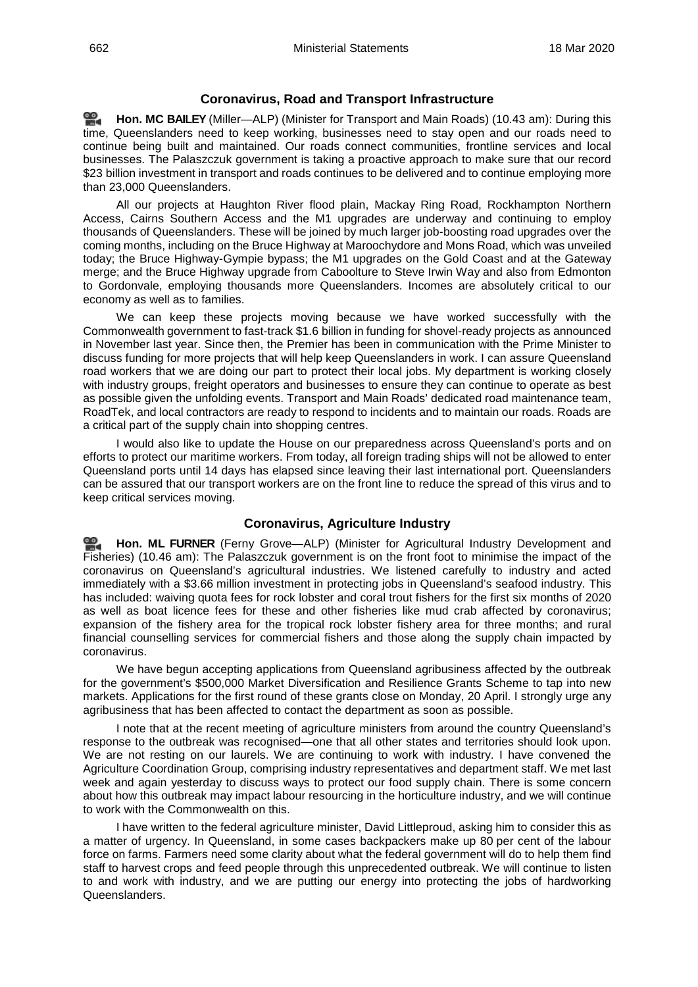## **Coronavirus, Road and Transport Infrastructure**

<span id="page-12-0"></span>**[Hon. MC BAILEY](http://www.parliament.qld.gov.au/docs/find.aspx?id=0Mba20200318_104252)** (Miller—ALP) (Minister for Transport and Main Roads) (10.43 am): During this ≌. time, Queenslanders need to keep working, businesses need to stay open and our roads need to continue being built and maintained. Our roads connect communities, frontline services and local businesses. The Palaszczuk government is taking a proactive approach to make sure that our record \$23 billion investment in transport and roads continues to be delivered and to continue employing more than 23,000 Queenslanders.

All our projects at Haughton River flood plain, Mackay Ring Road, Rockhampton Northern Access, Cairns Southern Access and the M1 upgrades are underway and continuing to employ thousands of Queenslanders. These will be joined by much larger job-boosting road upgrades over the coming months, including on the Bruce Highway at Maroochydore and Mons Road, which was unveiled today; the Bruce Highway-Gympie bypass; the M1 upgrades on the Gold Coast and at the Gateway merge; and the Bruce Highway upgrade from Caboolture to Steve Irwin Way and also from Edmonton to Gordonvale, employing thousands more Queenslanders. Incomes are absolutely critical to our economy as well as to families.

We can keep these projects moving because we have worked successfully with the Commonwealth government to fast-track \$1.6 billion in funding for shovel-ready projects as announced in November last year. Since then, the Premier has been in communication with the Prime Minister to discuss funding for more projects that will help keep Queenslanders in work. I can assure Queensland road workers that we are doing our part to protect their local jobs. My department is working closely with industry groups, freight operators and businesses to ensure they can continue to operate as best as possible given the unfolding events. Transport and Main Roads' dedicated road maintenance team, RoadTek, and local contractors are ready to respond to incidents and to maintain our roads. Roads are a critical part of the supply chain into shopping centres.

I would also like to update the House on our preparedness across Queensland's ports and on efforts to protect our maritime workers. From today, all foreign trading ships will not be allowed to enter Queensland ports until 14 days has elapsed since leaving their last international port. Queenslanders can be assured that our transport workers are on the front line to reduce the spread of this virus and to keep critical services moving.

## **Coronavirus, Agriculture Industry**

<span id="page-12-1"></span>≌. **[Hon. ML](http://www.parliament.qld.gov.au/docs/find.aspx?id=0Mba20200318_104521) FURNER** (Ferny Grove—ALP) (Minister for Agricultural Industry Development and Fisheries) (10.46 am): The Palaszczuk government is on the front foot to minimise the impact of the coronavirus on Queensland's agricultural industries. We listened carefully to industry and acted immediately with a \$3.66 million investment in protecting jobs in Queensland's seafood industry. This has included: waiving quota fees for rock lobster and coral trout fishers for the first six months of 2020 as well as boat licence fees for these and other fisheries like mud crab affected by coronavirus; expansion of the fishery area for the tropical rock lobster fishery area for three months; and rural financial counselling services for commercial fishers and those along the supply chain impacted by coronavirus.

We have begun accepting applications from Queensland agribusiness affected by the outbreak for the government's \$500,000 Market Diversification and Resilience Grants Scheme to tap into new markets. Applications for the first round of these grants close on Monday, 20 April. I strongly urge any agribusiness that has been affected to contact the department as soon as possible.

I note that at the recent meeting of agriculture ministers from around the country Queensland's response to the outbreak was recognised—one that all other states and territories should look upon. We are not resting on our laurels. We are continuing to work with industry. I have convened the Agriculture Coordination Group, comprising industry representatives and department staff. We met last week and again yesterday to discuss ways to protect our food supply chain. There is some concern about how this outbreak may impact labour resourcing in the horticulture industry, and we will continue to work with the Commonwealth on this.

I have written to the federal agriculture minister, David Littleproud, asking him to consider this as a matter of urgency. In Queensland, in some cases backpackers make up 80 per cent of the labour force on farms. Farmers need some clarity about what the federal government will do to help them find staff to harvest crops and feed people through this unprecedented outbreak. We will continue to listen to and work with industry, and we are putting our energy into protecting the jobs of hardworking Queenslanders.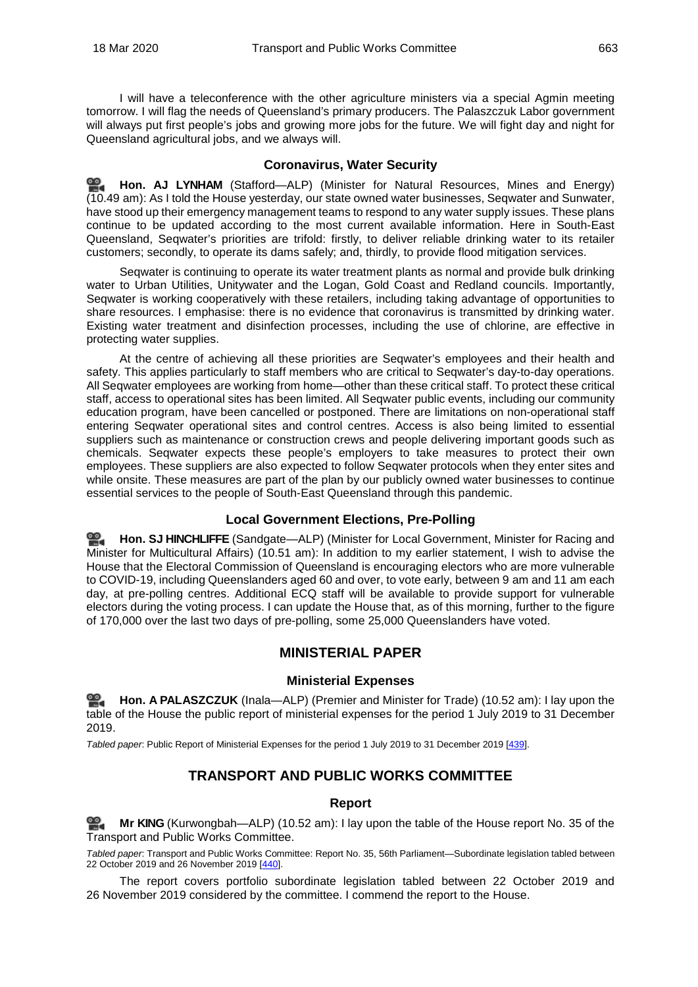I will have a teleconference with the other agriculture ministers via a special Agmin meeting tomorrow. I will flag the needs of Queensland's primary producers. The Palaszczuk Labor government will always put first people's jobs and growing more jobs for the future. We will fight day and night for Queensland agricultural jobs, and we always will.

## <span id="page-13-0"></span>**Coronavirus, Water Security**

**[Hon. AJ LYNHAM](http://www.parliament.qld.gov.au/docs/find.aspx?id=0Mba20200318_104805)** (Stafford—ALP) (Minister for Natural Resources, Mines and Energy) (10.49 am): As I told the House yesterday, our state owned water businesses, Seqwater and Sunwater, have stood up their emergency management teams to respond to any water supply issues. These plans continue to be updated according to the most current available information. Here in South-East Queensland, Seqwater's priorities are trifold: firstly, to deliver reliable drinking water to its retailer customers; secondly, to operate its dams safely; and, thirdly, to provide flood mitigation services.

Seqwater is continuing to operate its water treatment plants as normal and provide bulk drinking water to Urban Utilities, Unitywater and the Logan, Gold Coast and Redland councils. Importantly, Seqwater is working cooperatively with these retailers, including taking advantage of opportunities to share resources. I emphasise: there is no evidence that coronavirus is transmitted by drinking water. Existing water treatment and disinfection processes, including the use of chlorine, are effective in protecting water supplies.

At the centre of achieving all these priorities are Seqwater's employees and their health and safety. This applies particularly to staff members who are critical to Seqwater's day-to-day operations. All Seqwater employees are working from home—other than these critical staff. To protect these critical staff, access to operational sites has been limited. All Seqwater public events, including our community education program, have been cancelled or postponed. There are limitations on non-operational staff entering Seqwater operational sites and control centres. Access is also being limited to essential suppliers such as maintenance or construction crews and people delivering important goods such as chemicals. Seqwater expects these people's employers to take measures to protect their own employees. These suppliers are also expected to follow Seqwater protocols when they enter sites and while onsite. These measures are part of the plan by our publicly owned water businesses to continue essential services to the people of South-East Queensland through this pandemic.

## **Local Government Elections, Pre-Polling**

<span id="page-13-1"></span><u>ൈ</u> **Hon. SJ [HINCHLIFFE](http://www.parliament.qld.gov.au/docs/find.aspx?id=0Mba20200318_105030)** (Sandgate—ALP) (Minister for Local Government, Minister for Racing and Minister for Multicultural Affairs) (10.51 am): In addition to my earlier statement, I wish to advise the House that the Electoral Commission of Queensland is encouraging electors who are more vulnerable to COVID-19, including Queenslanders aged 60 and over, to vote early, between 9 am and 11 am each day, at pre-polling centres. Additional ECQ staff will be available to provide support for vulnerable electors during the voting process. I can update the House that, as of this morning, further to the figure of 170,000 over the last two days of pre-polling, some 25,000 Queenslanders have voted.

## **MINISTERIAL PAPER**

## **Ministerial Expenses**

<span id="page-13-3"></span><span id="page-13-2"></span>**Hon. A [PALASZCZUK](http://www.parliament.qld.gov.au/docs/find.aspx?id=0Mba20200318_105118)** (Inala—ALP) (Premier and Minister for Trade) (10.52 am): I lay upon the table of the House the public report of ministerial expenses for the period 1 July 2019 to 31 December 2019.

<span id="page-13-5"></span><span id="page-13-4"></span>*Tabled paper*: Public Report of Ministerial Expenses for the period 1 July 2019 to 31 December 2019 [\[439\].](http://www.parliament.qld.gov.au/docs/find.aspx?id=5620T439)

## **TRANSPORT AND PUBLIC WORKS COMMITTEE**

## **Report**

<span id="page-13-6"></span>≌. **Mr [KING](http://www.parliament.qld.gov.au/docs/find.aspx?id=0Mba20200318_105130)** (Kurwongbah—ALP) (10.52 am): I lay upon the table of the House report No. 35 of the Transport and Public Works Committee.

<span id="page-13-7"></span>*Tabled paper*: Transport and Public Works Committee: Report No. 35, 56th Parliament—Subordinate legislation tabled between 22 October 2019 and 26 November 2019 [\[440\]](http://www.parliament.qld.gov.au/docs/find.aspx?id=5620T440).

The report covers portfolio subordinate legislation tabled between 22 October 2019 and 26 November 2019 considered by the committee. I commend the report to the House.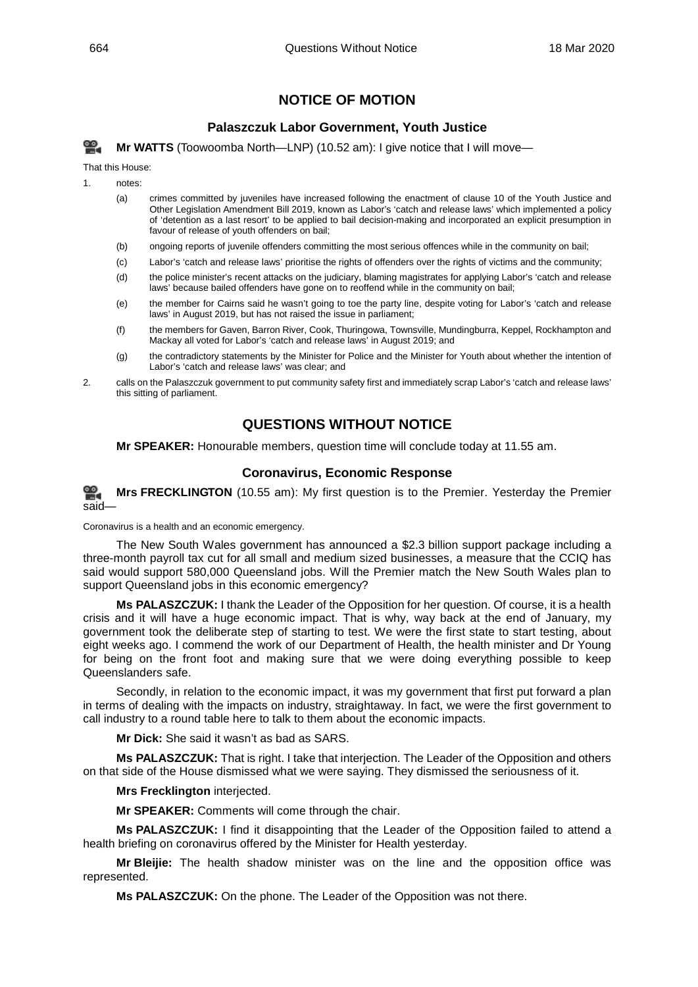## **NOTICE OF MOTION**

## **Palaszczuk Labor Government, Youth Justice**

<span id="page-14-1"></span><span id="page-14-0"></span>**Mr [WATTS](http://www.parliament.qld.gov.au/docs/find.aspx?id=0Mba20200318_105153)** (Toowoomba North—LNP) (10.52 am): I give notice that I will move—

That this House:

1. notes:

- (a) crimes committed by juveniles have increased following the enactment of clause 10 of the Youth Justice and Other Legislation Amendment Bill 2019, known as Labor's 'catch and release laws' which implemented a policy of 'detention as a last resort' to be applied to bail decision-making and incorporated an explicit presumption in favour of release of youth offenders on bail;
- (b) ongoing reports of juvenile offenders committing the most serious offences while in the community on bail;
- (c) Labor's 'catch and release laws' prioritise the rights of offenders over the rights of victims and the community;
- (d) the police minister's recent attacks on the judiciary, blaming magistrates for applying Labor's 'catch and release laws' because bailed offenders have gone on to reoffend while in the community on bail;
- (e) the member for Cairns said he wasn't going to toe the party line, despite voting for Labor's 'catch and release laws' in August 2019, but has not raised the issue in parliament;
- (f) the members for Gaven, Barron River, Cook, Thuringowa, Townsville, Mundingburra, Keppel, Rockhampton and Mackay all voted for Labor's 'catch and release laws' in August 2019; and
- (g) the contradictory statements by the Minister for Police and the Minister for Youth about whether the intention of Labor's 'catch and release laws' was clear; and
- <span id="page-14-2"></span>2. calls on the Palaszczuk government to put community safety first and immediately scrap Labor's 'catch and release laws' this sitting of parliament.

## **QUESTIONS WITHOUT NOTICE**

**Mr SPEAKER:** Honourable members, question time will conclude today at 11.55 am.

## **Coronavirus, Economic Response**

<span id="page-14-3"></span>≌. **Mrs [FRECKLINGTON](http://www.parliament.qld.gov.au/docs/find.aspx?id=0Mba20200318_105417)** (10.55 am): My first question is to the Premier. Yesterday the Premier said—

Coronavirus is a health and an economic emergency.

The New South Wales government has announced a \$2.3 billion support package including a three-month payroll tax cut for all small and medium sized businesses, a measure that the CCIQ has said would support 580,000 Queensland jobs. Will the Premier match the New South Wales plan to support Queensland jobs in this economic emergency?

**Ms PALASZCZUK:** I thank the Leader of the Opposition for her question. Of course, it is a health crisis and it will have a huge economic impact. That is why, way back at the end of January, my government took the deliberate step of starting to test. We were the first state to start testing, about eight weeks ago. I commend the work of our Department of Health, the health minister and Dr Young for being on the front foot and making sure that we were doing everything possible to keep Queenslanders safe.

Secondly, in relation to the economic impact, it was my government that first put forward a plan in terms of dealing with the impacts on industry, straightaway. In fact, we were the first government to call industry to a round table here to talk to them about the economic impacts.

**Mr Dick:** She said it wasn't as bad as SARS.

**Ms PALASZCZUK:** That is right. I take that interjection. The Leader of the Opposition and others on that side of the House dismissed what we were saying. They dismissed the seriousness of it.

**Mrs Frecklington** interjected.

**Mr SPEAKER:** Comments will come through the chair.

**Ms PALASZCZUK:** I find it disappointing that the Leader of the Opposition failed to attend a health briefing on coronavirus offered by the Minister for Health yesterday.

**Mr Bleijie:** The health shadow minister was on the line and the opposition office was represented.

**Ms PALASZCZUK:** On the phone. The Leader of the Opposition was not there.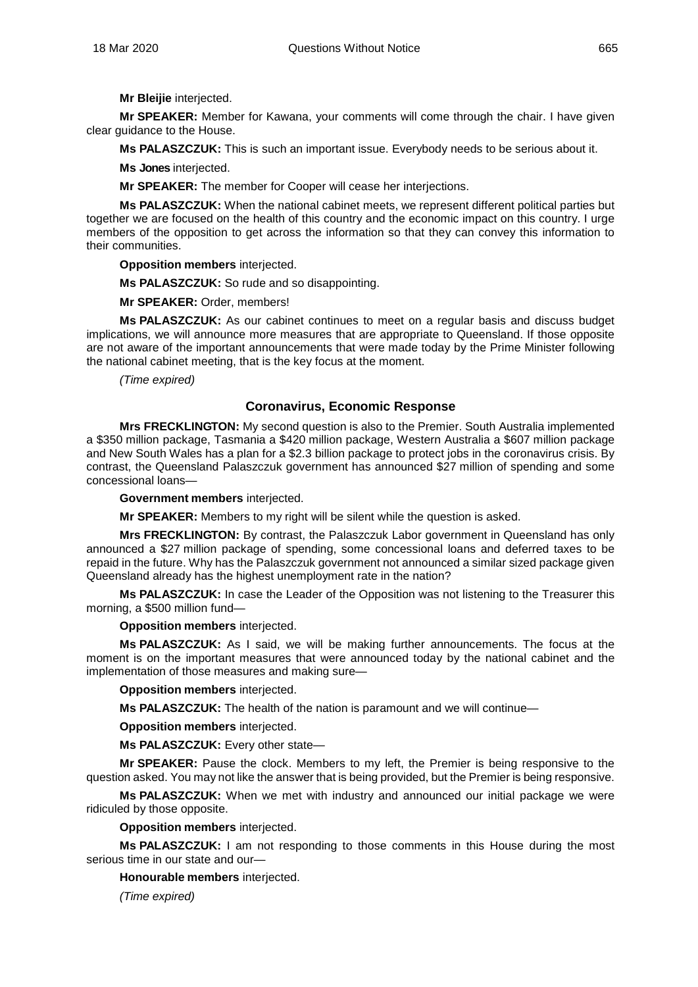**Mr Bleijie** interjected.

**Mr SPEAKER:** Member for Kawana, your comments will come through the chair. I have given clear guidance to the House.

**Ms PALASZCZUK:** This is such an important issue. Everybody needs to be serious about it.

**Ms Jones** interjected.

**Mr SPEAKER:** The member for Cooper will cease her interjections.

**Ms PALASZCZUK:** When the national cabinet meets, we represent different political parties but together we are focused on the health of this country and the economic impact on this country. I urge members of the opposition to get across the information so that they can convey this information to their communities.

**Opposition members** interjected.

**Ms PALASZCZUK:** So rude and so disappointing.

**Mr SPEAKER:** Order, members!

**Ms PALASZCZUK:** As our cabinet continues to meet on a regular basis and discuss budget implications, we will announce more measures that are appropriate to Queensland. If those opposite are not aware of the important announcements that were made today by the Prime Minister following the national cabinet meeting, that is the key focus at the moment.

*(Time expired)*

## <span id="page-15-0"></span>**Coronavirus, Economic Response**

**Mrs FRECKLINGTON:** My second question is also to the Premier. South Australia implemented a \$350 million package, Tasmania a \$420 million package, Western Australia a \$607 million package and New South Wales has a plan for a \$2.3 billion package to protect jobs in the coronavirus crisis. By contrast, the Queensland Palaszczuk government has announced \$27 million of spending and some concessional loans—

**Government members** interjected.

**Mr SPEAKER:** Members to my right will be silent while the question is asked.

**Mrs FRECKLINGTON:** By contrast, the Palaszczuk Labor government in Queensland has only announced a \$27 million package of spending, some concessional loans and deferred taxes to be repaid in the future. Why has the Palaszczuk government not announced a similar sized package given Queensland already has the highest unemployment rate in the nation?

**Ms PALASZCZUK:** In case the Leader of the Opposition was not listening to the Treasurer this morning, a \$500 million fund—

**Opposition members** interjected.

**Ms PALASZCZUK:** As I said, we will be making further announcements. The focus at the moment is on the important measures that were announced today by the national cabinet and the implementation of those measures and making sure—

**Opposition members** interjected.

**Ms PALASZCZUK:** The health of the nation is paramount and we will continue—

**Opposition members** interjected.

**Ms PALASZCZUK:** Every other state—

**Mr SPEAKER:** Pause the clock. Members to my left, the Premier is being responsive to the question asked. You may not like the answer that is being provided, but the Premier is being responsive.

**Ms PALASZCZUK:** When we met with industry and announced our initial package we were ridiculed by those opposite.

**Opposition members** interjected.

**Ms PALASZCZUK:** I am not responding to those comments in this House during the most serious time in our state and our—

**Honourable members** interjected.

*(Time expired)*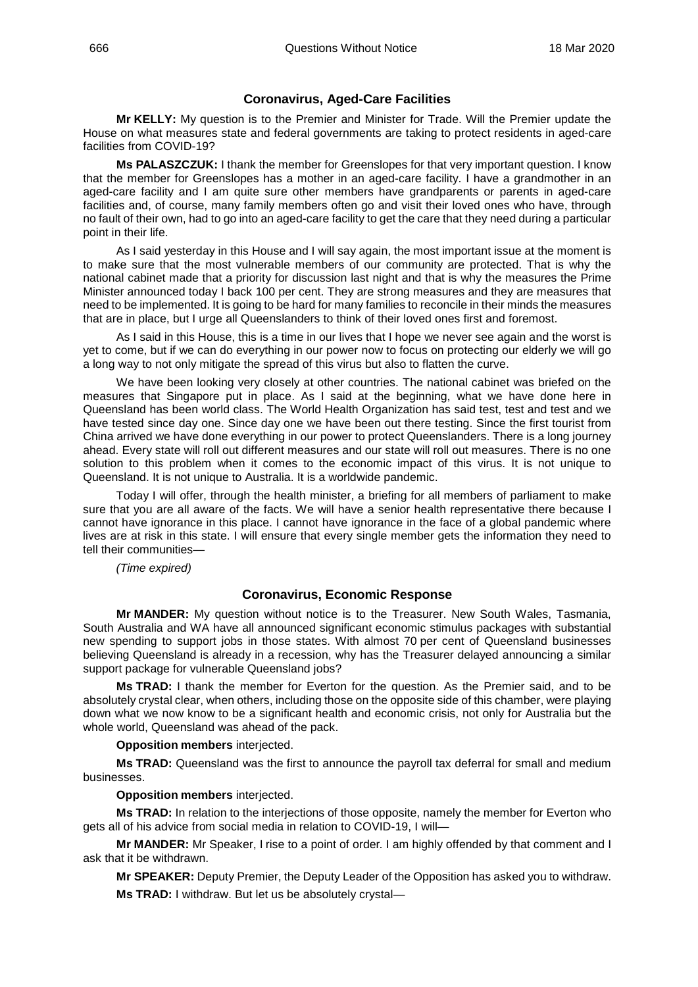## **Coronavirus, Aged-Care Facilities**

<span id="page-16-0"></span>**Mr KELLY:** My question is to the Premier and Minister for Trade. Will the Premier update the House on what measures state and federal governments are taking to protect residents in aged-care facilities from COVID-19?

**Ms PALASZCZUK:** I thank the member for Greenslopes for that very important question. I know that the member for Greenslopes has a mother in an aged-care facility. I have a grandmother in an aged-care facility and I am quite sure other members have grandparents or parents in aged-care facilities and, of course, many family members often go and visit their loved ones who have, through no fault of their own, had to go into an aged-care facility to get the care that they need during a particular point in their life.

As I said yesterday in this House and I will say again, the most important issue at the moment is to make sure that the most vulnerable members of our community are protected. That is why the national cabinet made that a priority for discussion last night and that is why the measures the Prime Minister announced today I back 100 per cent. They are strong measures and they are measures that need to be implemented. It is going to be hard for many families to reconcile in their minds the measures that are in place, but I urge all Queenslanders to think of their loved ones first and foremost.

As I said in this House, this is a time in our lives that I hope we never see again and the worst is yet to come, but if we can do everything in our power now to focus on protecting our elderly we will go a long way to not only mitigate the spread of this virus but also to flatten the curve.

We have been looking very closely at other countries. The national cabinet was briefed on the measures that Singapore put in place. As I said at the beginning, what we have done here in Queensland has been world class. The World Health Organization has said test, test and test and we have tested since day one. Since day one we have been out there testing. Since the first tourist from China arrived we have done everything in our power to protect Queenslanders. There is a long journey ahead. Every state will roll out different measures and our state will roll out measures. There is no one solution to this problem when it comes to the economic impact of this virus. It is not unique to Queensland. It is not unique to Australia. It is a worldwide pandemic.

Today I will offer, through the health minister, a briefing for all members of parliament to make sure that you are all aware of the facts. We will have a senior health representative there because I cannot have ignorance in this place. I cannot have ignorance in the face of a global pandemic where lives are at risk in this state. I will ensure that every single member gets the information they need to tell their communities—

*(Time expired)*

## **Coronavirus, Economic Response**

<span id="page-16-1"></span>**Mr MANDER:** My question without notice is to the Treasurer. New South Wales, Tasmania, South Australia and WA have all announced significant economic stimulus packages with substantial new spending to support jobs in those states. With almost 70 per cent of Queensland businesses believing Queensland is already in a recession, why has the Treasurer delayed announcing a similar support package for vulnerable Queensland jobs?

**Ms TRAD:** I thank the member for Everton for the question. As the Premier said, and to be absolutely crystal clear, when others, including those on the opposite side of this chamber, were playing down what we now know to be a significant health and economic crisis, not only for Australia but the whole world, Queensland was ahead of the pack.

**Opposition members** interjected.

**Ms TRAD:** Queensland was the first to announce the payroll tax deferral for small and medium businesses.

## **Opposition members** interjected.

**Ms TRAD:** In relation to the interjections of those opposite, namely the member for Everton who gets all of his advice from social media in relation to COVID-19, I will—

**Mr MANDER:** Mr Speaker, I rise to a point of order. I am highly offended by that comment and I ask that it be withdrawn.

**Mr SPEAKER:** Deputy Premier, the Deputy Leader of the Opposition has asked you to withdraw.

**Ms TRAD:** I withdraw. But let us be absolutely crystal—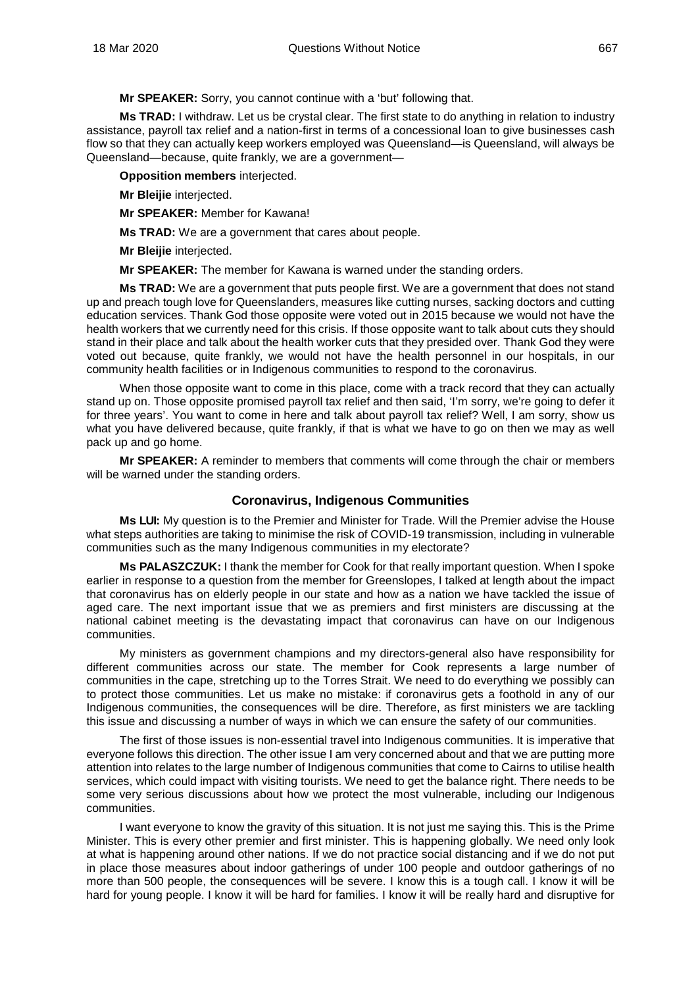**Mr SPEAKER:** Sorry, you cannot continue with a 'but' following that.

**Ms TRAD:** I withdraw. Let us be crystal clear. The first state to do anything in relation to industry assistance, payroll tax relief and a nation-first in terms of a concessional loan to give businesses cash flow so that they can actually keep workers employed was Queensland—is Queensland, will always be Queensland—because, quite frankly, we are a government—

**Opposition members** interjected.

**Mr Bleijie** interjected.

**Mr SPEAKER:** Member for Kawana!

**Ms TRAD:** We are a government that cares about people.

**Mr Bleijie** interjected.

**Mr SPEAKER:** The member for Kawana is warned under the standing orders.

**Ms TRAD:** We are a government that puts people first. We are a government that does not stand up and preach tough love for Queenslanders, measures like cutting nurses, sacking doctors and cutting education services. Thank God those opposite were voted out in 2015 because we would not have the health workers that we currently need for this crisis. If those opposite want to talk about cuts they should stand in their place and talk about the health worker cuts that they presided over. Thank God they were voted out because, quite frankly, we would not have the health personnel in our hospitals, in our community health facilities or in Indigenous communities to respond to the coronavirus.

When those opposite want to come in this place, come with a track record that they can actually stand up on. Those opposite promised payroll tax relief and then said, 'I'm sorry, we're going to defer it for three years'. You want to come in here and talk about payroll tax relief? Well, I am sorry, show us what you have delivered because, quite frankly, if that is what we have to go on then we may as well pack up and go home.

**Mr SPEAKER:** A reminder to members that comments will come through the chair or members will be warned under the standing orders.

## **Coronavirus, Indigenous Communities**

<span id="page-17-0"></span>**Ms LUI:** My question is to the Premier and Minister for Trade. Will the Premier advise the House what steps authorities are taking to minimise the risk of COVID-19 transmission, including in vulnerable communities such as the many Indigenous communities in my electorate?

**Ms PALASZCZUK:** I thank the member for Cook for that really important question. When I spoke earlier in response to a question from the member for Greenslopes, I talked at length about the impact that coronavirus has on elderly people in our state and how as a nation we have tackled the issue of aged care. The next important issue that we as premiers and first ministers are discussing at the national cabinet meeting is the devastating impact that coronavirus can have on our Indigenous communities.

My ministers as government champions and my directors-general also have responsibility for different communities across our state. The member for Cook represents a large number of communities in the cape, stretching up to the Torres Strait. We need to do everything we possibly can to protect those communities. Let us make no mistake: if coronavirus gets a foothold in any of our Indigenous communities, the consequences will be dire. Therefore, as first ministers we are tackling this issue and discussing a number of ways in which we can ensure the safety of our communities.

The first of those issues is non-essential travel into Indigenous communities. It is imperative that everyone follows this direction. The other issue I am very concerned about and that we are putting more attention into relates to the large number of Indigenous communities that come to Cairns to utilise health services, which could impact with visiting tourists. We need to get the balance right. There needs to be some very serious discussions about how we protect the most vulnerable, including our Indigenous communities.

I want everyone to know the gravity of this situation. It is not just me saying this. This is the Prime Minister. This is every other premier and first minister. This is happening globally. We need only look at what is happening around other nations. If we do not practice social distancing and if we do not put in place those measures about indoor gatherings of under 100 people and outdoor gatherings of no more than 500 people, the consequences will be severe. I know this is a tough call. I know it will be hard for young people. I know it will be hard for families. I know it will be really hard and disruptive for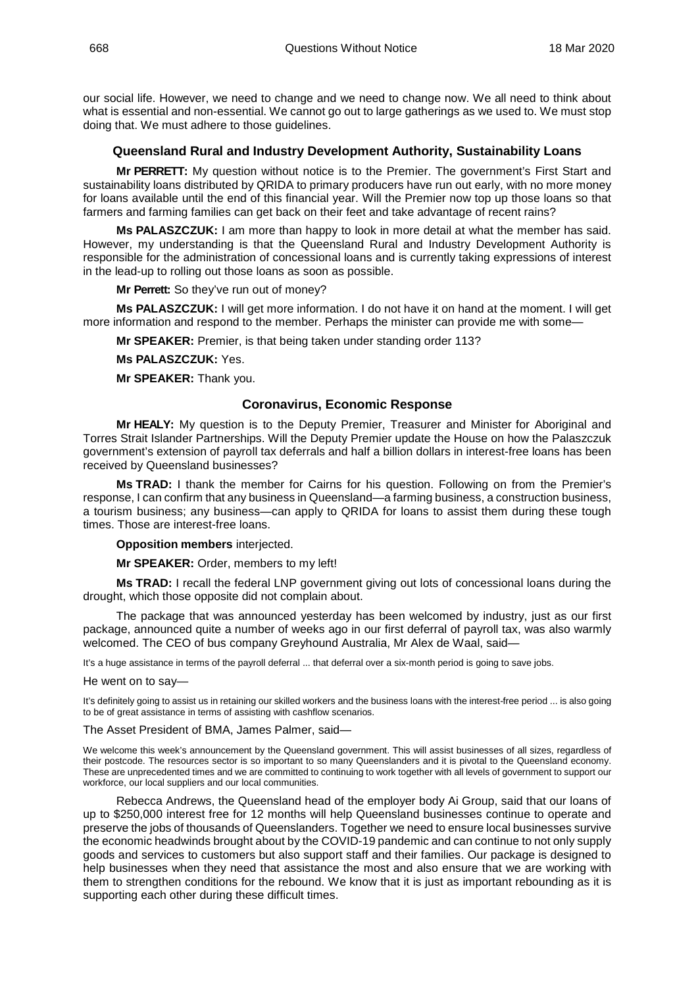our social life. However, we need to change and we need to change now. We all need to think about what is essential and non-essential. We cannot go out to large gatherings as we used to. We must stop doing that. We must adhere to those guidelines.

## **Queensland Rural and Industry Development Authority, Sustainability Loans**

<span id="page-18-0"></span>**Mr PERRETT:** My question without notice is to the Premier. The government's First Start and sustainability loans distributed by QRIDA to primary producers have run out early, with no more money for loans available until the end of this financial year. Will the Premier now top up those loans so that farmers and farming families can get back on their feet and take advantage of recent rains?

**Ms PALASZCZUK:** I am more than happy to look in more detail at what the member has said. However, my understanding is that the Queensland Rural and Industry Development Authority is responsible for the administration of concessional loans and is currently taking expressions of interest in the lead-up to rolling out those loans as soon as possible.

**Mr Perrett:** So they've run out of money?

**Ms PALASZCZUK:** I will get more information. I do not have it on hand at the moment. I will get more information and respond to the member. Perhaps the minister can provide me with some—

**Mr SPEAKER:** Premier, is that being taken under standing order 113?

**Ms PALASZCZUK:** Yes.

**Mr SPEAKER:** Thank you.

## **Coronavirus, Economic Response**

<span id="page-18-1"></span>**Mr HEALY:** My question is to the Deputy Premier, Treasurer and Minister for Aboriginal and Torres Strait Islander Partnerships. Will the Deputy Premier update the House on how the Palaszczuk government's extension of payroll tax deferrals and half a billion dollars in interest-free loans has been received by Queensland businesses?

**Ms TRAD:** I thank the member for Cairns for his question. Following on from the Premier's response, I can confirm that any business in Queensland—a farming business, a construction business, a tourism business; any business—can apply to QRIDA for loans to assist them during these tough times. Those are interest-free loans.

#### **Opposition members** interjected.

**Mr SPEAKER:** Order, members to my left!

**Ms TRAD:** I recall the federal LNP government giving out lots of concessional loans during the drought, which those opposite did not complain about.

The package that was announced yesterday has been welcomed by industry, just as our first package, announced quite a number of weeks ago in our first deferral of payroll tax, was also warmly welcomed. The CEO of bus company Greyhound Australia, Mr Alex de Waal, said-

It's a huge assistance in terms of the payroll deferral ... that deferral over a six-month period is going to save jobs.

He went on to say—

It's definitely going to assist us in retaining our skilled workers and the business loans with the interest-free period ... is also going to be of great assistance in terms of assisting with cashflow scenarios.

#### The Asset President of BMA, James Palmer, said—

We welcome this week's announcement by the Queensland government. This will assist businesses of all sizes, regardless of their postcode. The resources sector is so important to so many Queenslanders and it is pivotal to the Queensland economy. These are unprecedented times and we are committed to continuing to work together with all levels of government to support our workforce, our local suppliers and our local communities.

Rebecca Andrews, the Queensland head of the employer body Ai Group, said that our loans of up to \$250,000 interest free for 12 months will help Queensland businesses continue to operate and preserve the jobs of thousands of Queenslanders. Together we need to ensure local businesses survive the economic headwinds brought about by the COVID-19 pandemic and can continue to not only supply goods and services to customers but also support staff and their families. Our package is designed to help businesses when they need that assistance the most and also ensure that we are working with them to strengthen conditions for the rebound. We know that it is just as important rebounding as it is supporting each other during these difficult times.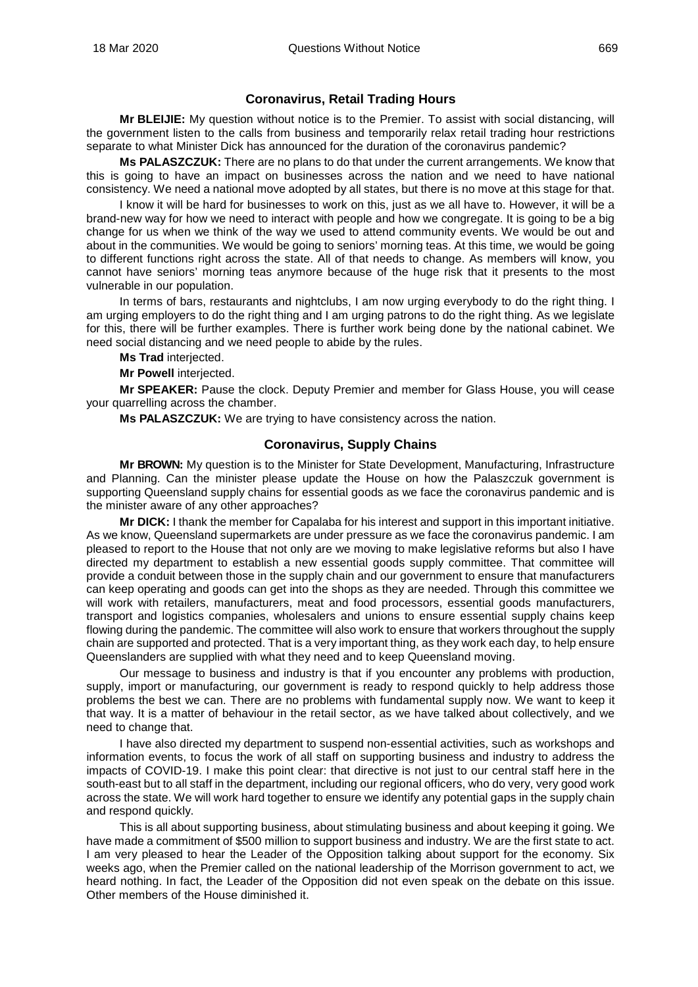## **Coronavirus, Retail Trading Hours**

<span id="page-19-0"></span>**Mr BLEIJIE:** My question without notice is to the Premier. To assist with social distancing, will the government listen to the calls from business and temporarily relax retail trading hour restrictions separate to what Minister Dick has announced for the duration of the coronavirus pandemic?

**Ms PALASZCZUK:** There are no plans to do that under the current arrangements. We know that this is going to have an impact on businesses across the nation and we need to have national consistency. We need a national move adopted by all states, but there is no move at this stage for that.

I know it will be hard for businesses to work on this, just as we all have to. However, it will be a brand-new way for how we need to interact with people and how we congregate. It is going to be a big change for us when we think of the way we used to attend community events. We would be out and about in the communities. We would be going to seniors' morning teas. At this time, we would be going to different functions right across the state. All of that needs to change. As members will know, you cannot have seniors' morning teas anymore because of the huge risk that it presents to the most vulnerable in our population.

In terms of bars, restaurants and nightclubs, I am now urging everybody to do the right thing. I am urging employers to do the right thing and I am urging patrons to do the right thing. As we legislate for this, there will be further examples. There is further work being done by the national cabinet. We need social distancing and we need people to abide by the rules.

- **Ms Trad** interjected.
- **Mr Powell** interjected.

**Mr SPEAKER:** Pause the clock. Deputy Premier and member for Glass House, you will cease your quarrelling across the chamber.

**Ms PALASZCZUK:** We are trying to have consistency across the nation.

## **Coronavirus, Supply Chains**

<span id="page-19-1"></span>**Mr BROWN:** My question is to the Minister for State Development, Manufacturing, Infrastructure and Planning. Can the minister please update the House on how the Palaszczuk government is supporting Queensland supply chains for essential goods as we face the coronavirus pandemic and is the minister aware of any other approaches?

**Mr DICK:** I thank the member for Capalaba for his interest and support in this important initiative. As we know, Queensland supermarkets are under pressure as we face the coronavirus pandemic. I am pleased to report to the House that not only are we moving to make legislative reforms but also I have directed my department to establish a new essential goods supply committee. That committee will provide a conduit between those in the supply chain and our government to ensure that manufacturers can keep operating and goods can get into the shops as they are needed. Through this committee we will work with retailers, manufacturers, meat and food processors, essential goods manufacturers, transport and logistics companies, wholesalers and unions to ensure essential supply chains keep flowing during the pandemic. The committee will also work to ensure that workers throughout the supply chain are supported and protected. That is a very important thing, as they work each day, to help ensure Queenslanders are supplied with what they need and to keep Queensland moving.

Our message to business and industry is that if you encounter any problems with production, supply, import or manufacturing, our government is ready to respond quickly to help address those problems the best we can. There are no problems with fundamental supply now. We want to keep it that way. It is a matter of behaviour in the retail sector, as we have talked about collectively, and we need to change that.

I have also directed my department to suspend non-essential activities, such as workshops and information events, to focus the work of all staff on supporting business and industry to address the impacts of COVID-19. I make this point clear: that directive is not just to our central staff here in the south-east but to all staff in the department, including our regional officers, who do very, very good work across the state. We will work hard together to ensure we identify any potential gaps in the supply chain and respond quickly.

This is all about supporting business, about stimulating business and about keeping it going. We have made a commitment of \$500 million to support business and industry. We are the first state to act. I am very pleased to hear the Leader of the Opposition talking about support for the economy. Six weeks ago, when the Premier called on the national leadership of the Morrison government to act, we heard nothing. In fact, the Leader of the Opposition did not even speak on the debate on this issue. Other members of the House diminished it.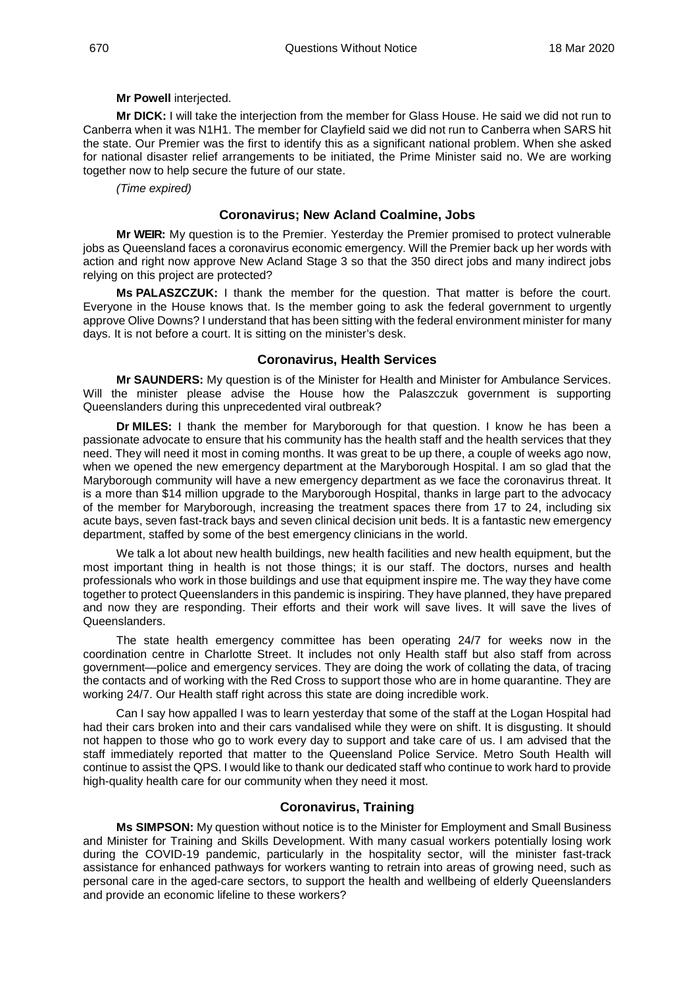## **Mr Powell** interjected.

**Mr DICK:** I will take the interjection from the member for Glass House. He said we did not run to Canberra when it was N1H1. The member for Clayfield said we did not run to Canberra when SARS hit the state. Our Premier was the first to identify this as a significant national problem. When she asked for national disaster relief arrangements to be initiated, the Prime Minister said no. We are working together now to help secure the future of our state.

*(Time expired)*

## **Coronavirus; New Acland Coalmine, Jobs**

<span id="page-20-0"></span>**Mr WEIR:** My question is to the Premier. Yesterday the Premier promised to protect vulnerable jobs as Queensland faces a coronavirus economic emergency. Will the Premier back up her words with action and right now approve New Acland Stage 3 so that the 350 direct jobs and many indirect jobs relying on this project are protected?

**Ms PALASZCZUK:** I thank the member for the question. That matter is before the court. Everyone in the House knows that. Is the member going to ask the federal government to urgently approve Olive Downs? I understand that has been sitting with the federal environment minister for many days. It is not before a court. It is sitting on the minister's desk.

## **Coronavirus, Health Services**

<span id="page-20-1"></span>**Mr SAUNDERS:** My question is of the Minister for Health and Minister for Ambulance Services. Will the minister please advise the House how the Palaszczuk government is supporting Queenslanders during this unprecedented viral outbreak?

**Dr MILES:** I thank the member for Maryborough for that question. I know he has been a passionate advocate to ensure that his community has the health staff and the health services that they need. They will need it most in coming months. It was great to be up there, a couple of weeks ago now, when we opened the new emergency department at the Maryborough Hospital. I am so glad that the Maryborough community will have a new emergency department as we face the coronavirus threat. It is a more than \$14 million upgrade to the Maryborough Hospital, thanks in large part to the advocacy of the member for Maryborough, increasing the treatment spaces there from 17 to 24, including six acute bays, seven fast-track bays and seven clinical decision unit beds. It is a fantastic new emergency department, staffed by some of the best emergency clinicians in the world.

We talk a lot about new health buildings, new health facilities and new health equipment, but the most important thing in health is not those things; it is our staff. The doctors, nurses and health professionals who work in those buildings and use that equipment inspire me. The way they have come together to protect Queenslanders in this pandemic is inspiring. They have planned, they have prepared and now they are responding. Their efforts and their work will save lives. It will save the lives of Queenslanders.

The state health emergency committee has been operating 24/7 for weeks now in the coordination centre in Charlotte Street. It includes not only Health staff but also staff from across government—police and emergency services. They are doing the work of collating the data, of tracing the contacts and of working with the Red Cross to support those who are in home quarantine. They are working 24/7. Our Health staff right across this state are doing incredible work.

Can I say how appalled I was to learn yesterday that some of the staff at the Logan Hospital had had their cars broken into and their cars vandalised while they were on shift. It is disgusting. It should not happen to those who go to work every day to support and take care of us. I am advised that the staff immediately reported that matter to the Queensland Police Service. Metro South Health will continue to assist the QPS. I would like to thank our dedicated staff who continue to work hard to provide high-quality health care for our community when they need it most.

## **Coronavirus, Training**

<span id="page-20-2"></span>**Ms SIMPSON:** My question without notice is to the Minister for Employment and Small Business and Minister for Training and Skills Development. With many casual workers potentially losing work during the COVID-19 pandemic, particularly in the hospitality sector, will the minister fast-track assistance for enhanced pathways for workers wanting to retrain into areas of growing need, such as personal care in the aged-care sectors, to support the health and wellbeing of elderly Queenslanders and provide an economic lifeline to these workers?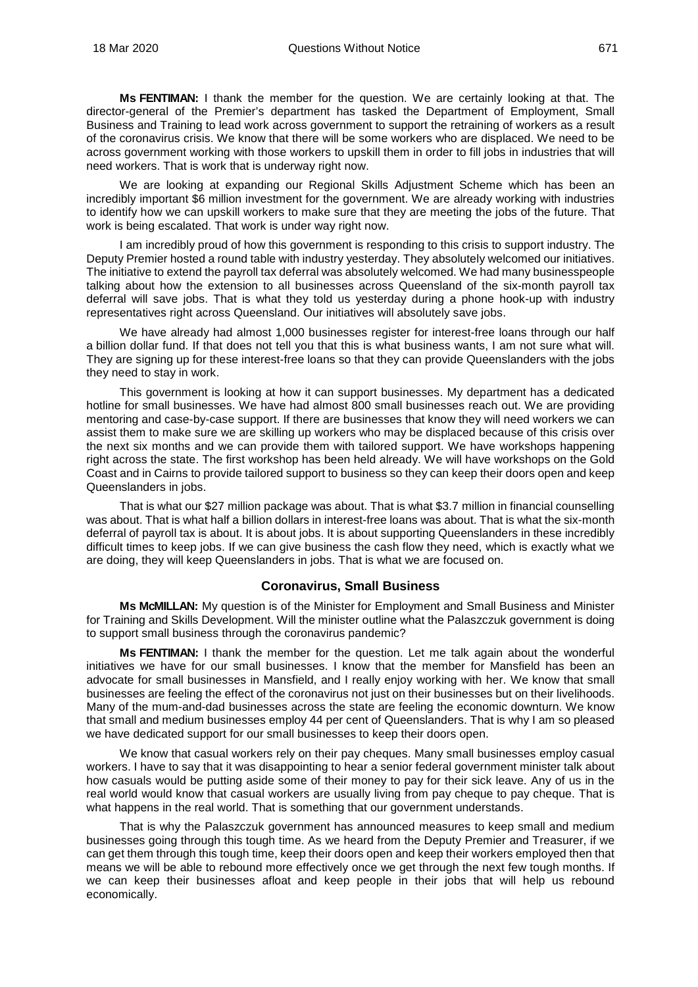**Ms FENTIMAN:** I thank the member for the question. We are certainly looking at that. The director-general of the Premier's department has tasked the Department of Employment, Small Business and Training to lead work across government to support the retraining of workers as a result of the coronavirus crisis. We know that there will be some workers who are displaced. We need to be across government working with those workers to upskill them in order to fill jobs in industries that will need workers. That is work that is underway right now.

We are looking at expanding our Regional Skills Adjustment Scheme which has been an incredibly important \$6 million investment for the government. We are already working with industries to identify how we can upskill workers to make sure that they are meeting the jobs of the future. That work is being escalated. That work is under way right now.

I am incredibly proud of how this government is responding to this crisis to support industry. The Deputy Premier hosted a round table with industry yesterday. They absolutely welcomed our initiatives. The initiative to extend the payroll tax deferral was absolutely welcomed. We had many businesspeople talking about how the extension to all businesses across Queensland of the six-month payroll tax deferral will save jobs. That is what they told us yesterday during a phone hook-up with industry representatives right across Queensland. Our initiatives will absolutely save jobs.

We have already had almost 1,000 businesses register for interest-free loans through our half a billion dollar fund. If that does not tell you that this is what business wants, I am not sure what will. They are signing up for these interest-free loans so that they can provide Queenslanders with the jobs they need to stay in work.

This government is looking at how it can support businesses. My department has a dedicated hotline for small businesses. We have had almost 800 small businesses reach out. We are providing mentoring and case-by-case support. If there are businesses that know they will need workers we can assist them to make sure we are skilling up workers who may be displaced because of this crisis over the next six months and we can provide them with tailored support. We have workshops happening right across the state. The first workshop has been held already. We will have workshops on the Gold Coast and in Cairns to provide tailored support to business so they can keep their doors open and keep Queenslanders in jobs.

That is what our \$27 million package was about. That is what \$3.7 million in financial counselling was about. That is what half a billion dollars in interest-free loans was about. That is what the six-month deferral of payroll tax is about. It is about jobs. It is about supporting Queenslanders in these incredibly difficult times to keep jobs. If we can give business the cash flow they need, which is exactly what we are doing, they will keep Queenslanders in jobs. That is what we are focused on.

## **Coronavirus, Small Business**

<span id="page-21-0"></span>**Ms McMILLAN:** My question is of the Minister for Employment and Small Business and Minister for Training and Skills Development. Will the minister outline what the Palaszczuk government is doing to support small business through the coronavirus pandemic?

**Ms FENTIMAN:** I thank the member for the question. Let me talk again about the wonderful initiatives we have for our small businesses. I know that the member for Mansfield has been an advocate for small businesses in Mansfield, and I really enjoy working with her. We know that small businesses are feeling the effect of the coronavirus not just on their businesses but on their livelihoods. Many of the mum-and-dad businesses across the state are feeling the economic downturn. We know that small and medium businesses employ 44 per cent of Queenslanders. That is why I am so pleased we have dedicated support for our small businesses to keep their doors open.

We know that casual workers rely on their pay cheques. Many small businesses employ casual workers. I have to say that it was disappointing to hear a senior federal government minister talk about how casuals would be putting aside some of their money to pay for their sick leave. Any of us in the real world would know that casual workers are usually living from pay cheque to pay cheque. That is what happens in the real world. That is something that our government understands.

That is why the Palaszczuk government has announced measures to keep small and medium businesses going through this tough time. As we heard from the Deputy Premier and Treasurer, if we can get them through this tough time, keep their doors open and keep their workers employed then that means we will be able to rebound more effectively once we get through the next few tough months. If we can keep their businesses afloat and keep people in their jobs that will help us rebound economically.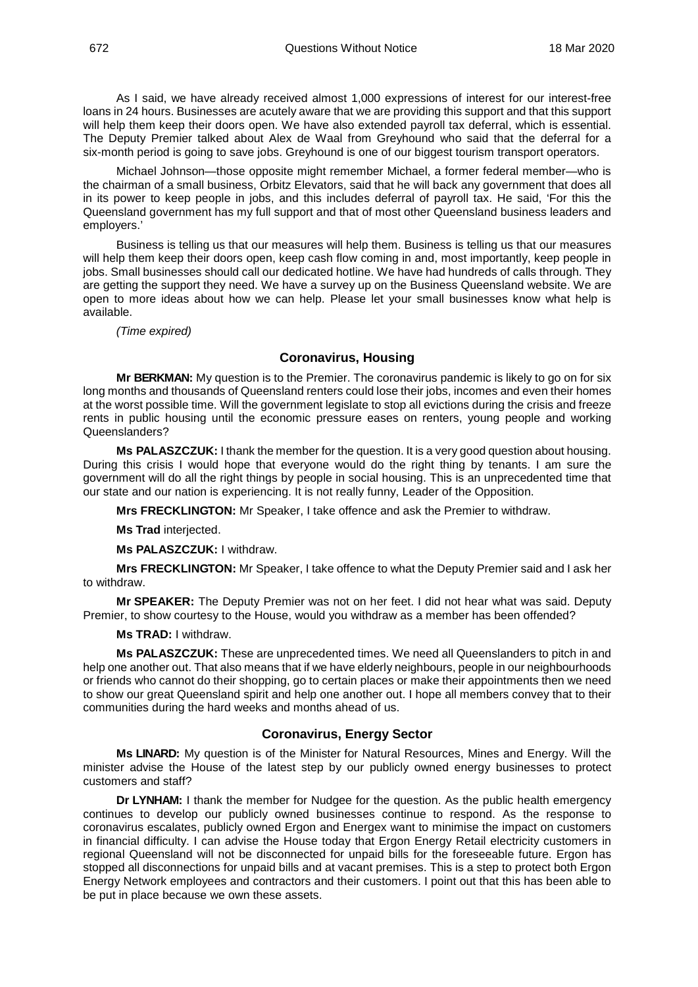As I said, we have already received almost 1,000 expressions of interest for our interest-free loans in 24 hours. Businesses are acutely aware that we are providing this support and that this support will help them keep their doors open. We have also extended payroll tax deferral, which is essential. The Deputy Premier talked about Alex de Waal from Greyhound who said that the deferral for a six-month period is going to save jobs. Greyhound is one of our biggest tourism transport operators.

Michael Johnson—those opposite might remember Michael, a former federal member—who is the chairman of a small business, Orbitz Elevators, said that he will back any government that does all in its power to keep people in jobs, and this includes deferral of payroll tax. He said, 'For this the Queensland government has my full support and that of most other Queensland business leaders and employers.'

Business is telling us that our measures will help them. Business is telling us that our measures will help them keep their doors open, keep cash flow coming in and, most importantly, keep people in jobs. Small businesses should call our dedicated hotline. We have had hundreds of calls through. They are getting the support they need. We have a survey up on the Business Queensland website. We are open to more ideas about how we can help. Please let your small businesses know what help is available.

*(Time expired)*

## **Coronavirus, Housing**

<span id="page-22-0"></span>**Mr BERKMAN:** My question is to the Premier. The coronavirus pandemic is likely to go on for six long months and thousands of Queensland renters could lose their jobs, incomes and even their homes at the worst possible time. Will the government legislate to stop all evictions during the crisis and freeze rents in public housing until the economic pressure eases on renters, young people and working Queenslanders?

**Ms PALASZCZUK:** I thank the member for the question. It is a very good question about housing. During this crisis I would hope that everyone would do the right thing by tenants. I am sure the government will do all the right things by people in social housing. This is an unprecedented time that our state and our nation is experiencing. It is not really funny, Leader of the Opposition.

**Mrs FRECKLINGTON:** Mr Speaker, I take offence and ask the Premier to withdraw.

**Ms Trad** interjected.

**Ms PALASZCZUK:** I withdraw.

**Mrs FRECKLINGTON:** Mr Speaker, I take offence to what the Deputy Premier said and I ask her to withdraw.

**Mr SPEAKER:** The Deputy Premier was not on her feet. I did not hear what was said. Deputy Premier, to show courtesy to the House, would you withdraw as a member has been offended?

**Ms TRAD:** I withdraw.

**Ms PALASZCZUK:** These are unprecedented times. We need all Queenslanders to pitch in and help one another out. That also means that if we have elderly neighbours, people in our neighbourhoods or friends who cannot do their shopping, go to certain places or make their appointments then we need to show our great Queensland spirit and help one another out. I hope all members convey that to their communities during the hard weeks and months ahead of us.

#### **Coronavirus, Energy Sector**

<span id="page-22-1"></span>**Ms LINARD:** My question is of the Minister for Natural Resources, Mines and Energy. Will the minister advise the House of the latest step by our publicly owned energy businesses to protect customers and staff?

**Dr LYNHAM:** I thank the member for Nudgee for the question. As the public health emergency continues to develop our publicly owned businesses continue to respond. As the response to coronavirus escalates, publicly owned Ergon and Energex want to minimise the impact on customers in financial difficulty. I can advise the House today that Ergon Energy Retail electricity customers in regional Queensland will not be disconnected for unpaid bills for the foreseeable future. Ergon has stopped all disconnections for unpaid bills and at vacant premises. This is a step to protect both Ergon Energy Network employees and contractors and their customers. I point out that this has been able to be put in place because we own these assets.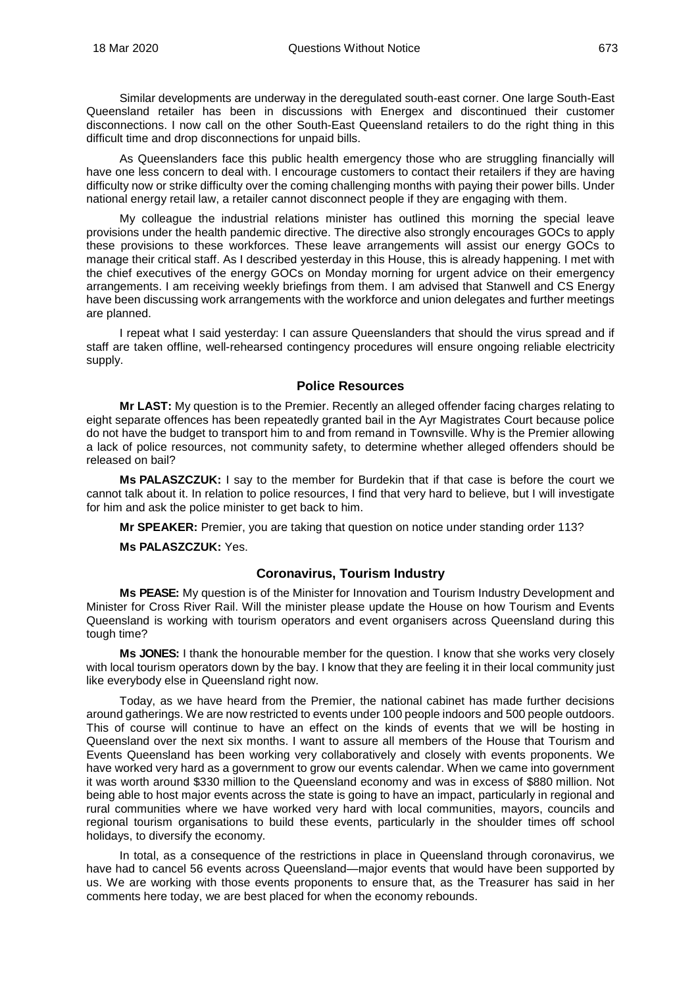Similar developments are underway in the deregulated south-east corner. One large South-East Queensland retailer has been in discussions with Energex and discontinued their customer disconnections. I now call on the other South-East Queensland retailers to do the right thing in this difficult time and drop disconnections for unpaid bills.

As Queenslanders face this public health emergency those who are struggling financially will have one less concern to deal with. I encourage customers to contact their retailers if they are having difficulty now or strike difficulty over the coming challenging months with paying their power bills. Under national energy retail law, a retailer cannot disconnect people if they are engaging with them.

My colleague the industrial relations minister has outlined this morning the special leave provisions under the health pandemic directive. The directive also strongly encourages GOCs to apply these provisions to these workforces. These leave arrangements will assist our energy GOCs to manage their critical staff. As I described yesterday in this House, this is already happening. I met with the chief executives of the energy GOCs on Monday morning for urgent advice on their emergency arrangements. I am receiving weekly briefings from them. I am advised that Stanwell and CS Energy have been discussing work arrangements with the workforce and union delegates and further meetings are planned.

I repeat what I said yesterday: I can assure Queenslanders that should the virus spread and if staff are taken offline, well-rehearsed contingency procedures will ensure ongoing reliable electricity supply.

## **Police Resources**

<span id="page-23-0"></span>**Mr LAST:** My question is to the Premier. Recently an alleged offender facing charges relating to eight separate offences has been repeatedly granted bail in the Ayr Magistrates Court because police do not have the budget to transport him to and from remand in Townsville. Why is the Premier allowing a lack of police resources, not community safety, to determine whether alleged offenders should be released on bail?

**Ms PALASZCZUK:** I say to the member for Burdekin that if that case is before the court we cannot talk about it. In relation to police resources, I find that very hard to believe, but I will investigate for him and ask the police minister to get back to him.

**Mr SPEAKER:** Premier, you are taking that question on notice under standing order 113?

## **Ms PALASZCZUK:** Yes.

## **Coronavirus, Tourism Industry**

<span id="page-23-1"></span>**Ms PEASE:** My question is of the Minister for Innovation and Tourism Industry Development and Minister for Cross River Rail. Will the minister please update the House on how Tourism and Events Queensland is working with tourism operators and event organisers across Queensland during this tough time?

**Ms JONES:** I thank the honourable member for the question. I know that she works very closely with local tourism operators down by the bay. I know that they are feeling it in their local community just like everybody else in Queensland right now.

Today, as we have heard from the Premier, the national cabinet has made further decisions around gatherings. We are now restricted to events under 100 people indoors and 500 people outdoors. This of course will continue to have an effect on the kinds of events that we will be hosting in Queensland over the next six months. I want to assure all members of the House that Tourism and Events Queensland has been working very collaboratively and closely with events proponents. We have worked very hard as a government to grow our events calendar. When we came into government it was worth around \$330 million to the Queensland economy and was in excess of \$880 million. Not being able to host major events across the state is going to have an impact, particularly in regional and rural communities where we have worked very hard with local communities, mayors, councils and regional tourism organisations to build these events, particularly in the shoulder times off school holidays, to diversify the economy.

In total, as a consequence of the restrictions in place in Queensland through coronavirus, we have had to cancel 56 events across Queensland—major events that would have been supported by us. We are working with those events proponents to ensure that, as the Treasurer has said in her comments here today, we are best placed for when the economy rebounds.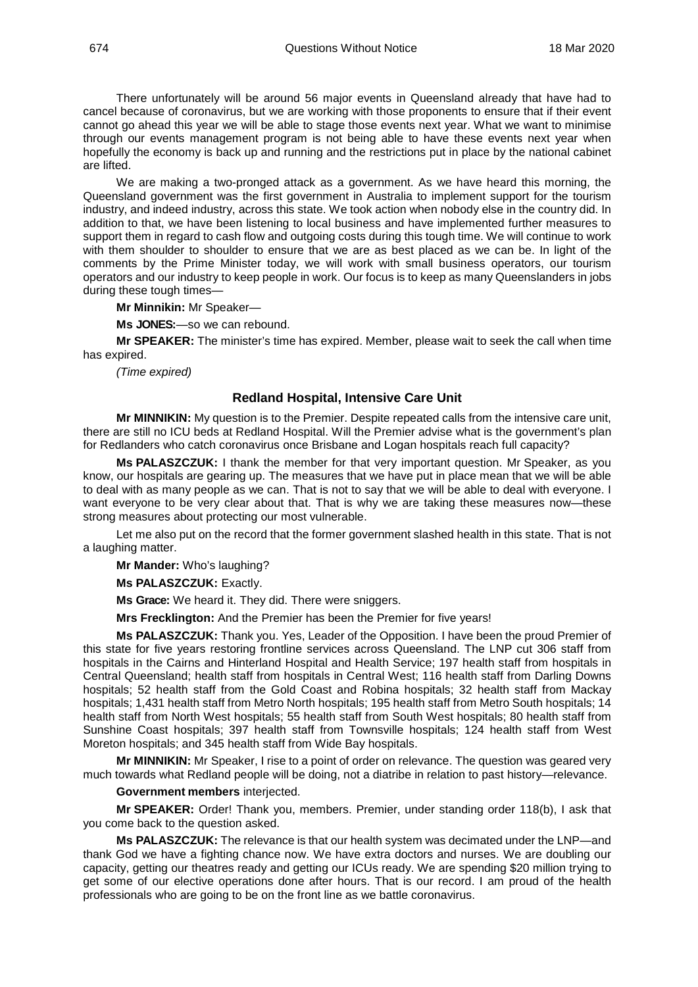There unfortunately will be around 56 major events in Queensland already that have had to cancel because of coronavirus, but we are working with those proponents to ensure that if their event cannot go ahead this year we will be able to stage those events next year. What we want to minimise through our events management program is not being able to have these events next year when hopefully the economy is back up and running and the restrictions put in place by the national cabinet are lifted.

We are making a two-pronged attack as a government. As we have heard this morning, the Queensland government was the first government in Australia to implement support for the tourism industry, and indeed industry, across this state. We took action when nobody else in the country did. In addition to that, we have been listening to local business and have implemented further measures to support them in regard to cash flow and outgoing costs during this tough time. We will continue to work with them shoulder to shoulder to ensure that we are as best placed as we can be. In light of the comments by the Prime Minister today, we will work with small business operators, our tourism operators and our industry to keep people in work. Our focus is to keep as many Queenslanders in jobs during these tough times—

**Mr Minnikin:** Mr Speaker—

**Ms JONES:**—so we can rebound.

**Mr SPEAKER:** The minister's time has expired. Member, please wait to seek the call when time has expired.

*(Time expired)*

#### **Redland Hospital, Intensive Care Unit**

<span id="page-24-0"></span>**Mr MINNIKIN:** My question is to the Premier. Despite repeated calls from the intensive care unit, there are still no ICU beds at Redland Hospital. Will the Premier advise what is the government's plan for Redlanders who catch coronavirus once Brisbane and Logan hospitals reach full capacity?

**Ms PALASZCZUK:** I thank the member for that very important question. Mr Speaker, as you know, our hospitals are gearing up. The measures that we have put in place mean that we will be able to deal with as many people as we can. That is not to say that we will be able to deal with everyone. I want everyone to be very clear about that. That is why we are taking these measures now—these strong measures about protecting our most vulnerable.

Let me also put on the record that the former government slashed health in this state. That is not a laughing matter.

**Mr Mander:** Who's laughing?

**Ms PALASZCZUK:** Exactly.

**Ms Grace:** We heard it. They did. There were sniggers.

**Mrs Frecklington:** And the Premier has been the Premier for five years!

**Ms PALASZCZUK:** Thank you. Yes, Leader of the Opposition. I have been the proud Premier of this state for five years restoring frontline services across Queensland. The LNP cut 306 staff from hospitals in the Cairns and Hinterland Hospital and Health Service; 197 health staff from hospitals in Central Queensland; health staff from hospitals in Central West; 116 health staff from Darling Downs hospitals; 52 health staff from the Gold Coast and Robina hospitals; 32 health staff from Mackay hospitals; 1,431 health staff from Metro North hospitals; 195 health staff from Metro South hospitals; 14 health staff from North West hospitals; 55 health staff from South West hospitals; 80 health staff from Sunshine Coast hospitals; 397 health staff from Townsville hospitals; 124 health staff from West Moreton hospitals; and 345 health staff from Wide Bay hospitals.

**Mr MINNIKIN:** Mr Speaker, I rise to a point of order on relevance. The question was geared very much towards what Redland people will be doing, not a diatribe in relation to past history—relevance.

**Government members** interjected.

**Mr SPEAKER:** Order! Thank you, members. Premier, under standing order 118(b), I ask that you come back to the question asked.

**Ms PALASZCZUK:** The relevance is that our health system was decimated under the LNP—and thank God we have a fighting chance now. We have extra doctors and nurses. We are doubling our capacity, getting our theatres ready and getting our ICUs ready. We are spending \$20 million trying to get some of our elective operations done after hours. That is our record. I am proud of the health professionals who are going to be on the front line as we battle coronavirus.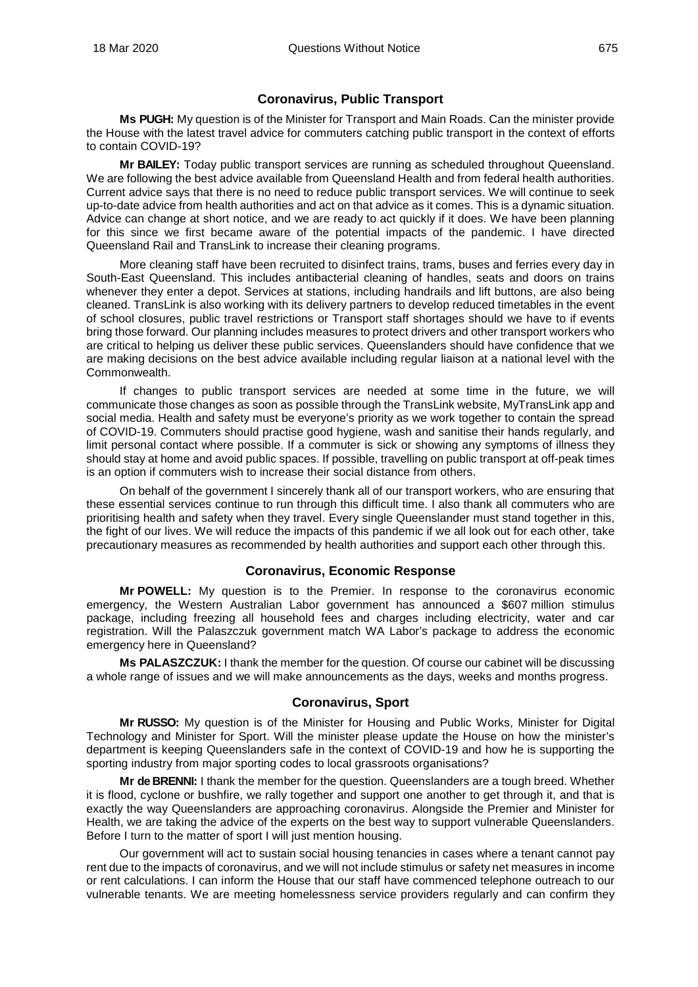## **Coronavirus, Public Transport**

<span id="page-25-0"></span>**Ms PUGH:** My question is of the Minister for Transport and Main Roads. Can the minister provide the House with the latest travel advice for commuters catching public transport in the context of efforts to contain COVID-19?

**Mr BAILEY:** Today public transport services are running as scheduled throughout Queensland. We are following the best advice available from Queensland Health and from federal health authorities. Current advice says that there is no need to reduce public transport services. We will continue to seek up-to-date advice from health authorities and act on that advice as it comes. This is a dynamic situation. Advice can change at short notice, and we are ready to act quickly if it does. We have been planning for this since we first became aware of the potential impacts of the pandemic. I have directed Queensland Rail and TransLink to increase their cleaning programs.

More cleaning staff have been recruited to disinfect trains, trams, buses and ferries every day in South-East Queensland. This includes antibacterial cleaning of handles, seats and doors on trains whenever they enter a depot. Services at stations, including handrails and lift buttons, are also being cleaned. TransLink is also working with its delivery partners to develop reduced timetables in the event of school closures, public travel restrictions or Transport staff shortages should we have to if events bring those forward. Our planning includes measures to protect drivers and other transport workers who are critical to helping us deliver these public services. Queenslanders should have confidence that we are making decisions on the best advice available including regular liaison at a national level with the Commonwealth.

If changes to public transport services are needed at some time in the future, we will communicate those changes as soon as possible through the TransLink website, MyTransLink app and social media. Health and safety must be everyone's priority as we work together to contain the spread of COVID-19. Commuters should practise good hygiene, wash and sanitise their hands regularly, and limit personal contact where possible. If a commuter is sick or showing any symptoms of illness they should stay at home and avoid public spaces. If possible, travelling on public transport at off-peak times is an option if commuters wish to increase their social distance from others.

On behalf of the government I sincerely thank all of our transport workers, who are ensuring that these essential services continue to run through this difficult time. I also thank all commuters who are prioritising health and safety when they travel. Every single Queenslander must stand together in this, the fight of our lives. We will reduce the impacts of this pandemic if we all look out for each other, take precautionary measures as recommended by health authorities and support each other through this.

## **Coronavirus, Economic Response**

<span id="page-25-1"></span>**Mr POWELL:** My question is to the Premier. In response to the coronavirus economic emergency, the Western Australian Labor government has announced a \$607 million stimulus package, including freezing all household fees and charges including electricity, water and car registration. Will the Palaszczuk government match WA Labor's package to address the economic emergency here in Queensland?

**Ms PALASZCZUK:** I thank the member for the question. Of course our cabinet will be discussing a whole range of issues and we will make announcements as the days, weeks and months progress.

## **Coronavirus, Sport**

<span id="page-25-2"></span>**Mr RUSSO:** My question is of the Minister for Housing and Public Works, Minister for Digital Technology and Minister for Sport. Will the minister please update the House on how the minister's department is keeping Queenslanders safe in the context of COVID-19 and how he is supporting the sporting industry from major sporting codes to local grassroots organisations?

**Mr de BRENNI:** I thank the member for the question. Queenslanders are a tough breed. Whether it is flood, cyclone or bushfire, we rally together and support one another to get through it, and that is exactly the way Queenslanders are approaching coronavirus. Alongside the Premier and Minister for Health, we are taking the advice of the experts on the best way to support vulnerable Queenslanders. Before I turn to the matter of sport I will just mention housing.

Our government will act to sustain social housing tenancies in cases where a tenant cannot pay rent due to the impacts of coronavirus, and we will not include stimulus or safety net measures in income or rent calculations. I can inform the House that our staff have commenced telephone outreach to our vulnerable tenants. We are meeting homelessness service providers regularly and can confirm they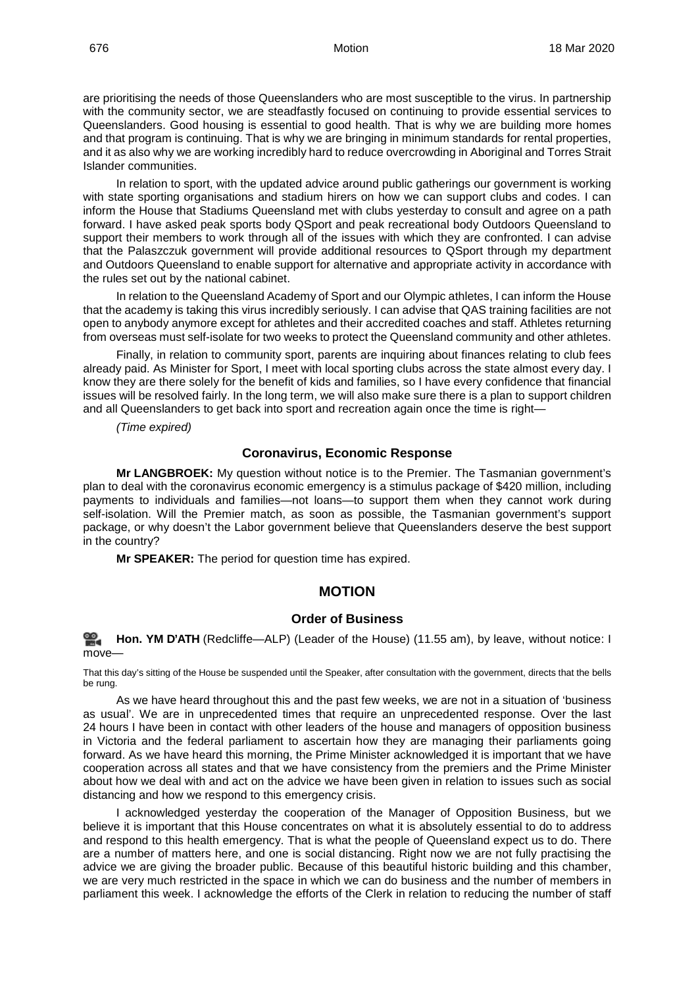are prioritising the needs of those Queenslanders who are most susceptible to the virus. In partnership with the community sector, we are steadfastly focused on continuing to provide essential services to Queenslanders. Good housing is essential to good health. That is why we are building more homes and that program is continuing. That is why we are bringing in minimum standards for rental properties, and it as also why we are working incredibly hard to reduce overcrowding in Aboriginal and Torres Strait Islander communities.

In relation to sport, with the updated advice around public gatherings our government is working with state sporting organisations and stadium hirers on how we can support clubs and codes. I can inform the House that Stadiums Queensland met with clubs yesterday to consult and agree on a path forward. I have asked peak sports body QSport and peak recreational body Outdoors Queensland to support their members to work through all of the issues with which they are confronted. I can advise that the Palaszczuk government will provide additional resources to QSport through my department and Outdoors Queensland to enable support for alternative and appropriate activity in accordance with the rules set out by the national cabinet.

In relation to the Queensland Academy of Sport and our Olympic athletes, I can inform the House that the academy is taking this virus incredibly seriously. I can advise that QAS training facilities are not open to anybody anymore except for athletes and their accredited coaches and staff. Athletes returning from overseas must self-isolate for two weeks to protect the Queensland community and other athletes.

Finally, in relation to community sport, parents are inquiring about finances relating to club fees already paid. As Minister for Sport, I meet with local sporting clubs across the state almost every day. I know they are there solely for the benefit of kids and families, so I have every confidence that financial issues will be resolved fairly. In the long term, we will also make sure there is a plan to support children and all Queenslanders to get back into sport and recreation again once the time is right—

*(Time expired)*

#### **Coronavirus, Economic Response**

<span id="page-26-0"></span>**Mr LANGBROEK:** My question without notice is to the Premier. The Tasmanian government's plan to deal with the coronavirus economic emergency is a stimulus package of \$420 million, including payments to individuals and families—not loans—to support them when they cannot work during self-isolation. Will the Premier match, as soon as possible, the Tasmanian government's support package, or why doesn't the Labor government believe that Queenslanders deserve the best support in the country?

**Mr SPEAKER:** The period for question time has expired.

## <span id="page-26-1"></span>**MOTION**

## **Order of Business**

<span id="page-26-2"></span>≌. **[Hon. YM](http://www.parliament.qld.gov.au/docs/find.aspx?id=0Mba20200318_115438) D'ATH** (Redcliffe—ALP) (Leader of the House) (11.55 am), by leave, without notice: I move—

That this day's sitting of the House be suspended until the Speaker, after consultation with the government, directs that the bells be rung.

As we have heard throughout this and the past few weeks, we are not in a situation of 'business as usual'. We are in unprecedented times that require an unprecedented response. Over the last 24 hours I have been in contact with other leaders of the house and managers of opposition business in Victoria and the federal parliament to ascertain how they are managing their parliaments going forward. As we have heard this morning, the Prime Minister acknowledged it is important that we have cooperation across all states and that we have consistency from the premiers and the Prime Minister about how we deal with and act on the advice we have been given in relation to issues such as social distancing and how we respond to this emergency crisis.

I acknowledged yesterday the cooperation of the Manager of Opposition Business, but we believe it is important that this House concentrates on what it is absolutely essential to do to address and respond to this health emergency. That is what the people of Queensland expect us to do. There are a number of matters here, and one is social distancing. Right now we are not fully practising the advice we are giving the broader public. Because of this beautiful historic building and this chamber, we are very much restricted in the space in which we can do business and the number of members in parliament this week. I acknowledge the efforts of the Clerk in relation to reducing the number of staff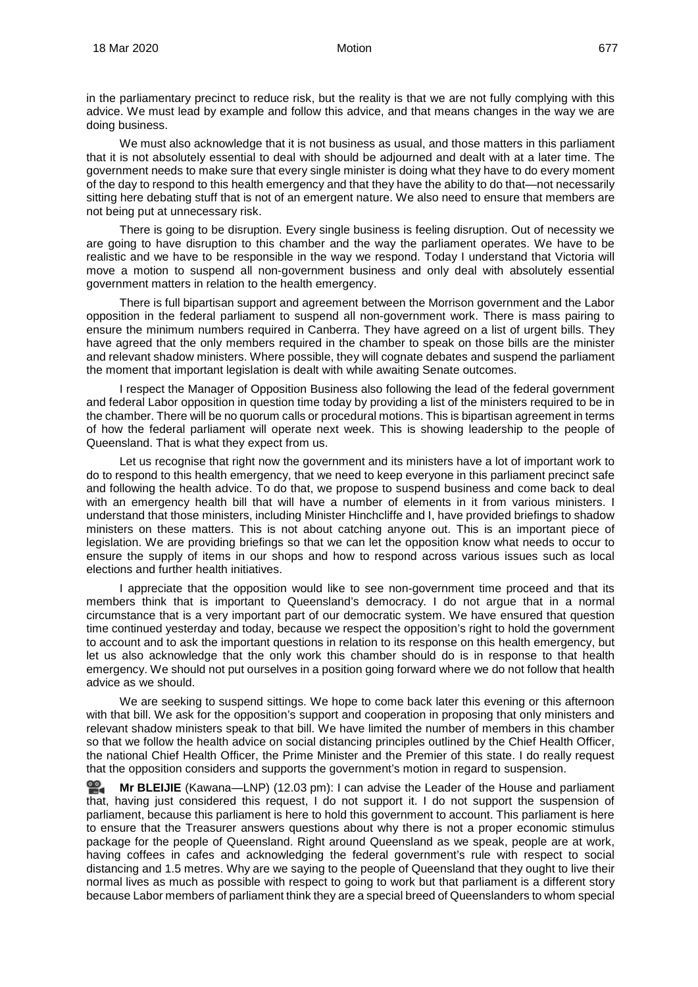in the parliamentary precinct to reduce risk, but the reality is that we are not fully complying with this advice. We must lead by example and follow this advice, and that means changes in the way we are doing business.

We must also acknowledge that it is not business as usual, and those matters in this parliament that it is not absolutely essential to deal with should be adjourned and dealt with at a later time. The government needs to make sure that every single minister is doing what they have to do every moment of the day to respond to this health emergency and that they have the ability to do that—not necessarily sitting here debating stuff that is not of an emergent nature. We also need to ensure that members are not being put at unnecessary risk.

There is going to be disruption. Every single business is feeling disruption. Out of necessity we are going to have disruption to this chamber and the way the parliament operates. We have to be realistic and we have to be responsible in the way we respond. Today I understand that Victoria will move a motion to suspend all non-government business and only deal with absolutely essential government matters in relation to the health emergency.

There is full bipartisan support and agreement between the Morrison government and the Labor opposition in the federal parliament to suspend all non-government work. There is mass pairing to ensure the minimum numbers required in Canberra. They have agreed on a list of urgent bills. They have agreed that the only members required in the chamber to speak on those bills are the minister and relevant shadow ministers. Where possible, they will cognate debates and suspend the parliament the moment that important legislation is dealt with while awaiting Senate outcomes.

I respect the Manager of Opposition Business also following the lead of the federal government and federal Labor opposition in question time today by providing a list of the ministers required to be in the chamber. There will be no quorum calls or procedural motions. This is bipartisan agreement in terms of how the federal parliament will operate next week. This is showing leadership to the people of Queensland. That is what they expect from us.

Let us recognise that right now the government and its ministers have a lot of important work to do to respond to this health emergency, that we need to keep everyone in this parliament precinct safe and following the health advice. To do that, we propose to suspend business and come back to deal with an emergency health bill that will have a number of elements in it from various ministers. I understand that those ministers, including Minister Hinchcliffe and I, have provided briefings to shadow ministers on these matters. This is not about catching anyone out. This is an important piece of legislation. We are providing briefings so that we can let the opposition know what needs to occur to ensure the supply of items in our shops and how to respond across various issues such as local elections and further health initiatives.

I appreciate that the opposition would like to see non-government time proceed and that its members think that is important to Queensland's democracy. I do not argue that in a normal circumstance that is a very important part of our democratic system. We have ensured that question time continued yesterday and today, because we respect the opposition's right to hold the government to account and to ask the important questions in relation to its response on this health emergency, but let us also acknowledge that the only work this chamber should do is in response to that health emergency. We should not put ourselves in a position going forward where we do not follow that health advice as we should.

We are seeking to suspend sittings. We hope to come back later this evening or this afternoon with that bill. We ask for the opposition's support and cooperation in proposing that only ministers and relevant shadow ministers speak to that bill. We have limited the number of members in this chamber so that we follow the health advice on social distancing principles outlined by the Chief Health Officer, the national Chief Health Officer, the Prime Minister and the Premier of this state. I do really request that the opposition considers and supports the government's motion in regard to suspension.

쓺. **Mr [BLEIJIE](http://www.parliament.qld.gov.au/docs/find.aspx?id=0Mba20200318_120226)** (Kawana—LNP) (12.03 pm): I can advise the Leader of the House and parliament that, having just considered this request, I do not support it. I do not support the suspension of parliament, because this parliament is here to hold this government to account. This parliament is here to ensure that the Treasurer answers questions about why there is not a proper economic stimulus package for the people of Queensland. Right around Queensland as we speak, people are at work, having coffees in cafes and acknowledging the federal government's rule with respect to social distancing and 1.5 metres. Why are we saying to the people of Queensland that they ought to live their normal lives as much as possible with respect to going to work but that parliament is a different story because Labor members of parliament think they are a special breed of Queenslanders to whom special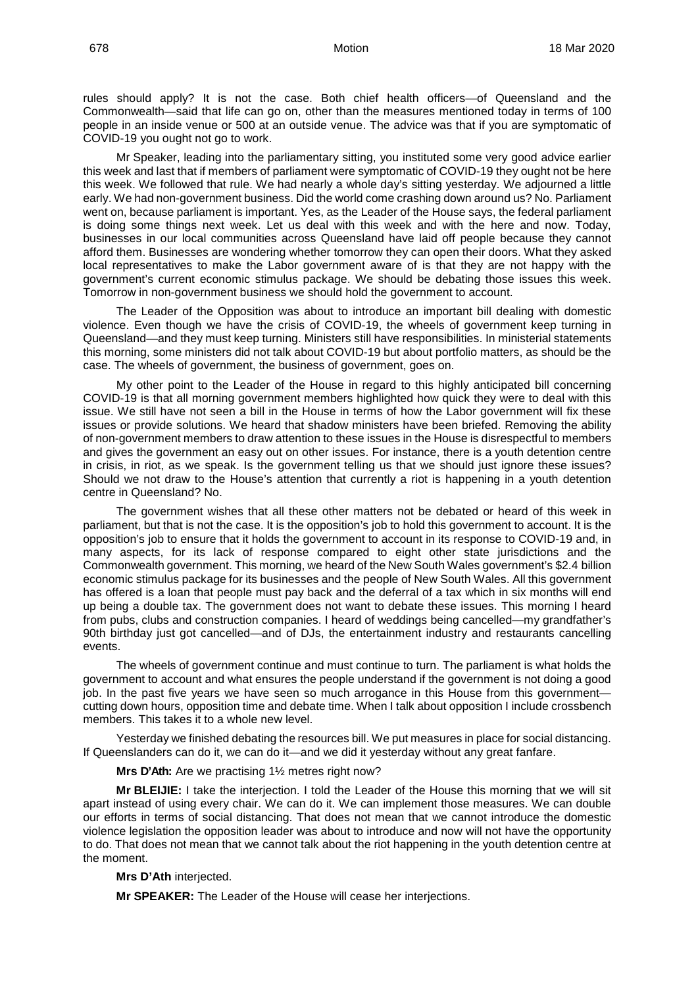rules should apply? It is not the case. Both chief health officers—of Queensland and the Commonwealth—said that life can go on, other than the measures mentioned today in terms of 100 people in an inside venue or 500 at an outside venue. The advice was that if you are symptomatic of COVID-19 you ought not go to work.

Mr Speaker, leading into the parliamentary sitting, you instituted some very good advice earlier this week and last that if members of parliament were symptomatic of COVID-19 they ought not be here this week. We followed that rule. We had nearly a whole day's sitting yesterday. We adjourned a little early. We had non-government business. Did the world come crashing down around us? No. Parliament went on, because parliament is important. Yes, as the Leader of the House says, the federal parliament is doing some things next week. Let us deal with this week and with the here and now. Today, businesses in our local communities across Queensland have laid off people because they cannot afford them. Businesses are wondering whether tomorrow they can open their doors. What they asked local representatives to make the Labor government aware of is that they are not happy with the government's current economic stimulus package. We should be debating those issues this week. Tomorrow in non-government business we should hold the government to account.

The Leader of the Opposition was about to introduce an important bill dealing with domestic violence. Even though we have the crisis of COVID-19, the wheels of government keep turning in Queensland—and they must keep turning. Ministers still have responsibilities. In ministerial statements this morning, some ministers did not talk about COVID-19 but about portfolio matters, as should be the case. The wheels of government, the business of government, goes on.

My other point to the Leader of the House in regard to this highly anticipated bill concerning COVID-19 is that all morning government members highlighted how quick they were to deal with this issue. We still have not seen a bill in the House in terms of how the Labor government will fix these issues or provide solutions. We heard that shadow ministers have been briefed. Removing the ability of non-government members to draw attention to these issues in the House is disrespectful to members and gives the government an easy out on other issues. For instance, there is a youth detention centre in crisis, in riot, as we speak. Is the government telling us that we should just ignore these issues? Should we not draw to the House's attention that currently a riot is happening in a youth detention centre in Queensland? No.

The government wishes that all these other matters not be debated or heard of this week in parliament, but that is not the case. It is the opposition's job to hold this government to account. It is the opposition's job to ensure that it holds the government to account in its response to COVID-19 and, in many aspects, for its lack of response compared to eight other state jurisdictions and the Commonwealth government. This morning, we heard of the New South Wales government's \$2.4 billion economic stimulus package for its businesses and the people of New South Wales. All this government has offered is a loan that people must pay back and the deferral of a tax which in six months will end up being a double tax. The government does not want to debate these issues. This morning I heard from pubs, clubs and construction companies. I heard of weddings being cancelled—my grandfather's 90th birthday just got cancelled—and of DJs, the entertainment industry and restaurants cancelling events.

The wheels of government continue and must continue to turn. The parliament is what holds the government to account and what ensures the people understand if the government is not doing a good job. In the past five years we have seen so much arrogance in this House from this government cutting down hours, opposition time and debate time. When I talk about opposition I include crossbench members. This takes it to a whole new level.

Yesterday we finished debating the resources bill. We put measures in place for social distancing. If Queenslanders can do it, we can do it—and we did it yesterday without any great fanfare.

**Mrs D'Ath:** Are we practising 1½ metres right now?

**Mr BLEIJIE:** I take the interjection. I told the Leader of the House this morning that we will sit apart instead of using every chair. We can do it. We can implement those measures. We can double our efforts in terms of social distancing. That does not mean that we cannot introduce the domestic violence legislation the opposition leader was about to introduce and now will not have the opportunity to do. That does not mean that we cannot talk about the riot happening in the youth detention centre at the moment.

**Mrs D'Ath** interjected.

**Mr SPEAKER:** The Leader of the House will cease her interjections.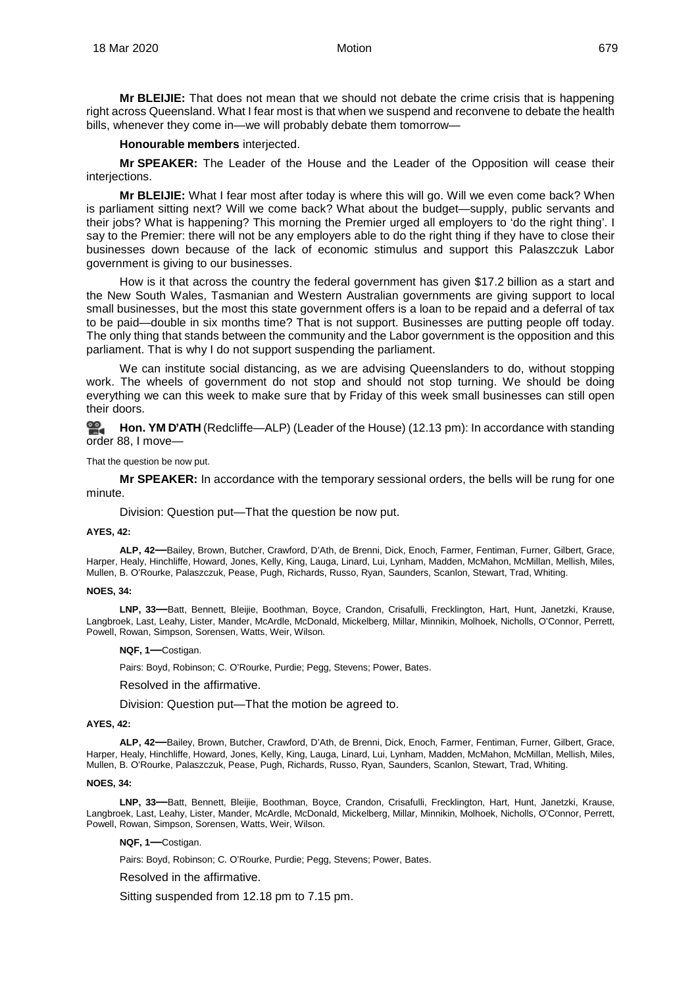**Mr BLEIJIE:** That does not mean that we should not debate the crime crisis that is happening right across Queensland. What I fear most is that when we suspend and reconvene to debate the health bills, whenever they come in—we will probably debate them tomorrow—

#### **Honourable members** interjected.

**Mr SPEAKER:** The Leader of the House and the Leader of the Opposition will cease their interjections.

**Mr BLEIJIE:** What I fear most after today is where this will go. Will we even come back? When is parliament sitting next? Will we come back? What about the budget—supply, public servants and their jobs? What is happening? This morning the Premier urged all employers to 'do the right thing'. I say to the Premier: there will not be any employers able to do the right thing if they have to close their businesses down because of the lack of economic stimulus and support this Palaszczuk Labor government is giving to our businesses.

How is it that across the country the federal government has given \$17.2 billion as a start and the New South Wales, Tasmanian and Western Australian governments are giving support to local small businesses, but the most this state government offers is a loan to be repaid and a deferral of tax to be paid—double in six months time? That is not support. Businesses are putting people off today. The only thing that stands between the community and the Labor government is the opposition and this parliament. That is why I do not support suspending the parliament.

We can institute social distancing, as we are advising Queenslanders to do, without stopping work. The wheels of government do not stop and should not stop turning. We should be doing everything we can this week to make sure that by Friday of this week small businesses can still open their doors.

≌. **[Hon. YM](http://www.parliament.qld.gov.au/docs/find.aspx?id=0Mba20200318_121236) D'ATH** (Redcliffe—ALP) (Leader of the House) (12.13 pm): In accordance with standing order 88, I move—

That the question be now put.

**Mr SPEAKER:** In accordance with the temporary sessional orders, the bells will be rung for one minute.

Division: Question put—That the question be now put.

#### <span id="page-29-0"></span>**AYES, 42:**

**ALP, 42—**Bailey, Brown, Butcher, Crawford, D'Ath, de Brenni, Dick, Enoch, Farmer, Fentiman, Furner, Gilbert, Grace, Harper, Healy, Hinchliffe, Howard, Jones, Kelly, King, Lauga, Linard, Lui, Lynham, Madden, McMahon, McMillan, Mellish, Miles, Mullen, B. O'Rourke, Palaszczuk, Pease, Pugh, Richards, Russo, Ryan, Saunders, Scanlon, Stewart, Trad, Whiting.

#### **NOES, 34:**

**LNP, 33—**Batt, Bennett, Bleijie, Boothman, Boyce, Crandon, Crisafulli, Frecklington, Hart, Hunt, Janetzki, Krause, Langbroek, Last, Leahy, Lister, Mander, McArdle, McDonald, Mickelberg, Millar, Minnikin, Molhoek, Nicholls, O'Connor, Perrett, Powell, Rowan, Simpson, Sorensen, Watts, Weir, Wilson.

**NQF, 1—**Costigan.

Pairs: Boyd, Robinson; C. O'Rourke, Purdie; Pegg, Stevens; Power, Bates.

<span id="page-29-1"></span>Resolved in the affirmative.

Division: Question put—That the motion be agreed to.

#### <span id="page-29-2"></span>**AYES, 42:**

**ALP, 42—**Bailey, Brown, Butcher, Crawford, D'Ath, de Brenni, Dick, Enoch, Farmer, Fentiman, Furner, Gilbert, Grace, Harper, Healy, Hinchliffe, Howard, Jones, Kelly, King, Lauga, Linard, Lui, Lynham, Madden, McMahon, McMillan, Mellish, Miles, Mullen, B. O'Rourke, Palaszczuk, Pease, Pugh, Richards, Russo, Ryan, Saunders, Scanlon, Stewart, Trad, Whiting.

#### **NOES, 34:**

**LNP, 33—**Batt, Bennett, Bleijie, Boothman, Boyce, Crandon, Crisafulli, Frecklington, Hart, Hunt, Janetzki, Krause, Langbroek, Last, Leahy, Lister, Mander, McArdle, McDonald, Mickelberg, Millar, Minnikin, Molhoek, Nicholls, O'Connor, Perrett, Powell, Rowan, Simpson, Sorensen, Watts, Weir, Wilson.

#### **NQF, 1—**Costigan.

Pairs: Boyd, Robinson; C. O'Rourke, Purdie; Pegg, Stevens; Power, Bates.

#### <span id="page-29-3"></span>Resolved in the affirmative.

Sitting suspended from 12.18 pm to 7.15 pm.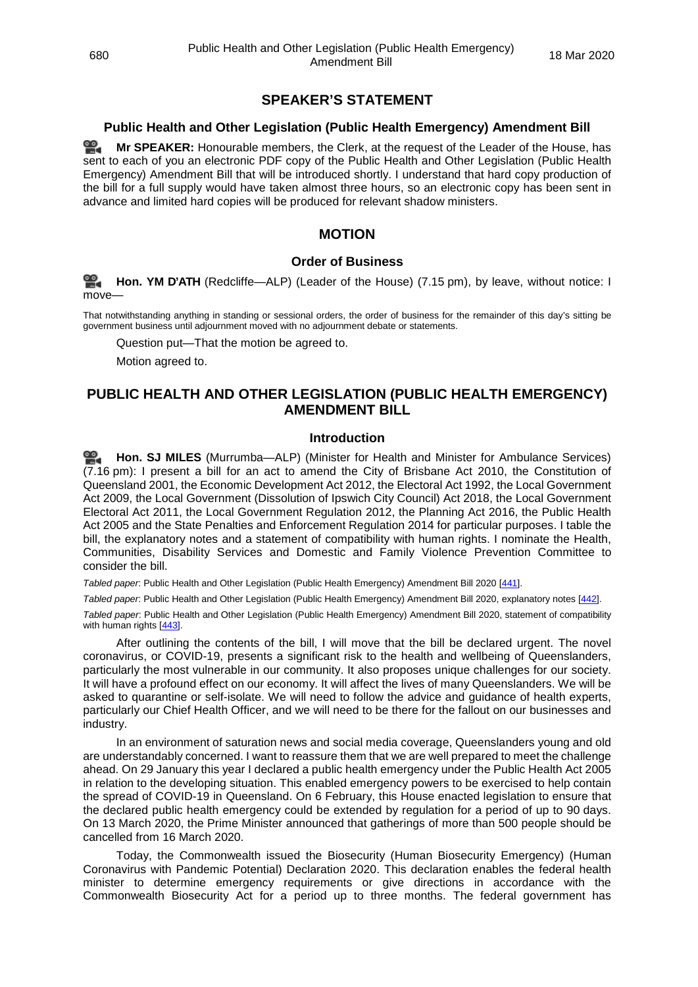## <span id="page-30-0"></span>**SPEAKER'S STATEMENT**

## <span id="page-30-1"></span>**Public Health and Other Legislation (Public Health Emergency) Amendment Bill**

≌. **Mr [SPEAKER:](http://www.parliament.qld.gov.au/docs/find.aspx?id=0Mba20200318_191523)** Honourable members, the Clerk, at the request of the Leader of the House, has sent to each of you an electronic PDF copy of the Public Health and Other Legislation (Public Health Emergency) Amendment Bill that will be introduced shortly. I understand that hard copy production of the bill for a full supply would have taken almost three hours, so an electronic copy has been sent in advance and limited hard copies will be produced for relevant shadow ministers.

## **MOTION**

## **Order of Business**

<span id="page-30-3"></span><span id="page-30-2"></span>**[Hon. YM](http://www.parliament.qld.gov.au/docs/find.aspx?id=0Mba20200318_191548) D'ATH** (Redcliffe—ALP) (Leader of the House) (7.15 pm), by leave, without notice: I move—

That notwithstanding anything in standing or sessional orders, the order of business for the remainder of this day's sitting be government business until adjournment moved with no adjournment debate or statements.

Question put—That the motion be agreed to.

Motion agreed to.

## <span id="page-30-4"></span>**PUBLIC HEALTH AND OTHER LEGISLATION (PUBLIC HEALTH EMERGENCY) AMENDMENT BILL**

#### **Introduction**

<span id="page-30-5"></span>**[Hon. SJ MILES](http://www.parliament.qld.gov.au/docs/find.aspx?id=0Mba20200318_191618)** (Murrumba—ALP) (Minister for Health and Minister for Ambulance Services) (7.16 pm): I present a bill for an act to amend the City of Brisbane Act 2010, the Constitution of Queensland 2001, the Economic Development Act 2012, the Electoral Act 1992, the Local Government Act 2009, the Local Government (Dissolution of Ipswich City Council) Act 2018, the Local Government Electoral Act 2011, the Local Government Regulation 2012, the Planning Act 2016, the Public Health Act 2005 and the State Penalties and Enforcement Regulation 2014 for particular purposes. I table the bill, the explanatory notes and a statement of compatibility with human rights. I nominate the Health, Communities, Disability Services and Domestic and Family Violence Prevention Committee to consider the bill.

<span id="page-30-6"></span>*Tabled paper*: Public Health and Other Legislation (Public Health Emergency) Amendment Bill 2020 [\[441\].](http://www.parliament.qld.gov.au/docs/find.aspx?id=5620T441)

<span id="page-30-7"></span>*Tabled paper*: Public Health and Other Legislation (Public Health Emergency) Amendment Bill 2020, explanatory notes [\[442\]](http://www.parliament.qld.gov.au/docs/find.aspx?id=5620T442).

<span id="page-30-8"></span>*Tabled paper*: Public Health and Other Legislation (Public Health Emergency) Amendment Bill 2020, statement of compatibility with human rights [\[443\].](http://www.parliament.qld.gov.au/docs/find.aspx?id=5620T443)

After outlining the contents of the bill, I will move that the bill be declared urgent. The novel coronavirus, or COVID-19, presents a significant risk to the health and wellbeing of Queenslanders, particularly the most vulnerable in our community. It also proposes unique challenges for our society. It will have a profound effect on our economy. It will affect the lives of many Queenslanders. We will be asked to quarantine or self-isolate. We will need to follow the advice and guidance of health experts, particularly our Chief Health Officer, and we will need to be there for the fallout on our businesses and industry.

In an environment of saturation news and social media coverage, Queenslanders young and old are understandably concerned. I want to reassure them that we are well prepared to meet the challenge ahead. On 29 January this year I declared a public health emergency under the Public Health Act 2005 in relation to the developing situation. This enabled emergency powers to be exercised to help contain the spread of COVID-19 in Queensland. On 6 February, this House enacted legislation to ensure that the declared public health emergency could be extended by regulation for a period of up to 90 days. On 13 March 2020, the Prime Minister announced that gatherings of more than 500 people should be cancelled from 16 March 2020.

Today, the Commonwealth issued the Biosecurity (Human Biosecurity Emergency) (Human Coronavirus with Pandemic Potential) Declaration 2020. This declaration enables the federal health minister to determine emergency requirements or give directions in accordance with the Commonwealth Biosecurity Act for a period up to three months. The federal government has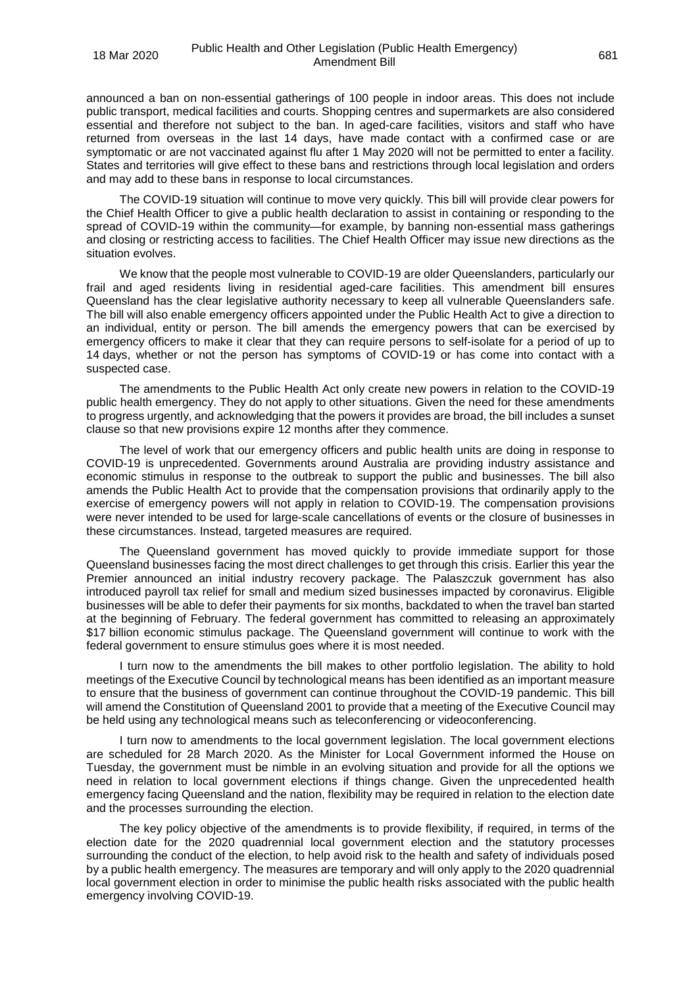announced a ban on non-essential gatherings of 100 people in indoor areas. This does not include public transport, medical facilities and courts. Shopping centres and supermarkets are also considered essential and therefore not subject to the ban. In aged-care facilities, visitors and staff who have returned from overseas in the last 14 days, have made contact with a confirmed case or are symptomatic or are not vaccinated against flu after 1 May 2020 will not be permitted to enter a facility. States and territories will give effect to these bans and restrictions through local legislation and orders and may add to these bans in response to local circumstances.

The COVID-19 situation will continue to move very quickly. This bill will provide clear powers for the Chief Health Officer to give a public health declaration to assist in containing or responding to the spread of COVID-19 within the community—for example, by banning non-essential mass gatherings and closing or restricting access to facilities. The Chief Health Officer may issue new directions as the situation evolves.

We know that the people most vulnerable to COVID-19 are older Queenslanders, particularly our frail and aged residents living in residential aged-care facilities. This amendment bill ensures Queensland has the clear legislative authority necessary to keep all vulnerable Queenslanders safe. The bill will also enable emergency officers appointed under the Public Health Act to give a direction to an individual, entity or person. The bill amends the emergency powers that can be exercised by emergency officers to make it clear that they can require persons to self-isolate for a period of up to 14 days, whether or not the person has symptoms of COVID-19 or has come into contact with a suspected case.

The amendments to the Public Health Act only create new powers in relation to the COVID-19 public health emergency. They do not apply to other situations. Given the need for these amendments to progress urgently, and acknowledging that the powers it provides are broad, the bill includes a sunset clause so that new provisions expire 12 months after they commence.

The level of work that our emergency officers and public health units are doing in response to COVID-19 is unprecedented. Governments around Australia are providing industry assistance and economic stimulus in response to the outbreak to support the public and businesses. The bill also amends the Public Health Act to provide that the compensation provisions that ordinarily apply to the exercise of emergency powers will not apply in relation to COVID-19. The compensation provisions were never intended to be used for large-scale cancellations of events or the closure of businesses in these circumstances. Instead, targeted measures are required.

The Queensland government has moved quickly to provide immediate support for those Queensland businesses facing the most direct challenges to get through this crisis. Earlier this year the Premier announced an initial industry recovery package. The Palaszczuk government has also introduced payroll tax relief for small and medium sized businesses impacted by coronavirus. Eligible businesses will be able to defer their payments for six months, backdated to when the travel ban started at the beginning of February. The federal government has committed to releasing an approximately \$17 billion economic stimulus package. The Queensland government will continue to work with the federal government to ensure stimulus goes where it is most needed.

I turn now to the amendments the bill makes to other portfolio legislation. The ability to hold meetings of the Executive Council by technological means has been identified as an important measure to ensure that the business of government can continue throughout the COVID-19 pandemic. This bill will amend the Constitution of Queensland 2001 to provide that a meeting of the Executive Council may be held using any technological means such as teleconferencing or videoconferencing.

I turn now to amendments to the local government legislation. The local government elections are scheduled for 28 March 2020. As the Minister for Local Government informed the House on Tuesday, the government must be nimble in an evolving situation and provide for all the options we need in relation to local government elections if things change. Given the unprecedented health emergency facing Queensland and the nation, flexibility may be required in relation to the election date and the processes surrounding the election.

The key policy objective of the amendments is to provide flexibility, if required, in terms of the election date for the 2020 quadrennial local government election and the statutory processes surrounding the conduct of the election, to help avoid risk to the health and safety of individuals posed by a public health emergency. The measures are temporary and will only apply to the 2020 quadrennial local government election in order to minimise the public health risks associated with the public health emergency involving COVID-19.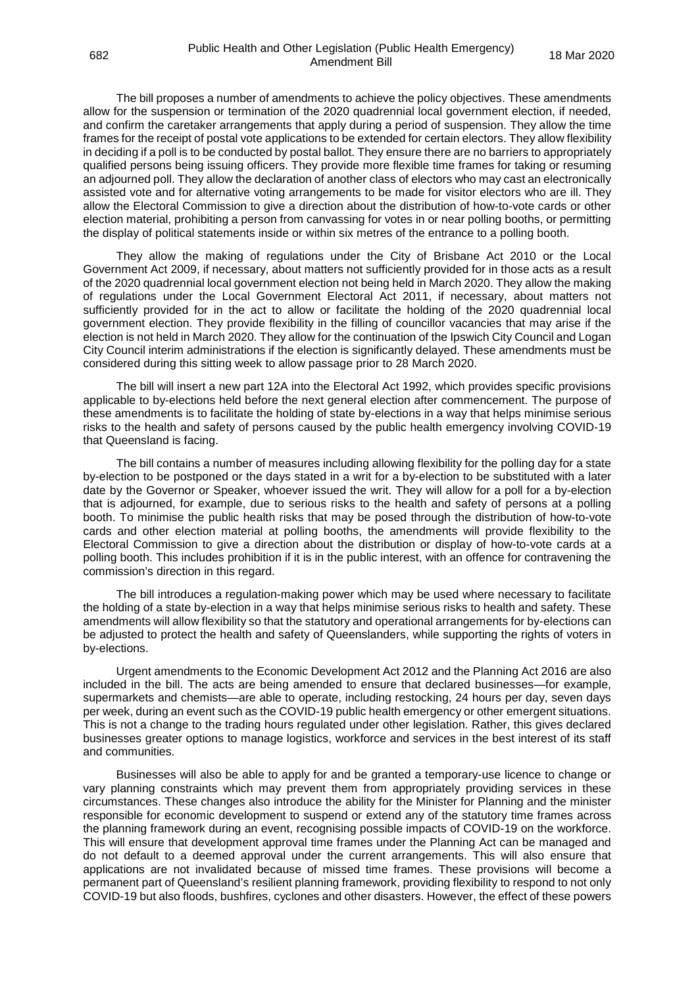The bill proposes a number of amendments to achieve the policy objectives. These amendments allow for the suspension or termination of the 2020 quadrennial local government election, if needed, and confirm the caretaker arrangements that apply during a period of suspension. They allow the time frames for the receipt of postal vote applications to be extended for certain electors. They allow flexibility in deciding if a poll is to be conducted by postal ballot. They ensure there are no barriers to appropriately qualified persons being issuing officers. They provide more flexible time frames for taking or resuming an adjourned poll. They allow the declaration of another class of electors who may cast an electronically assisted vote and for alternative voting arrangements to be made for visitor electors who are ill. They allow the Electoral Commission to give a direction about the distribution of how-to-vote cards or other election material, prohibiting a person from canvassing for votes in or near polling booths, or permitting the display of political statements inside or within six metres of the entrance to a polling booth.

They allow the making of regulations under the City of Brisbane Act 2010 or the Local Government Act 2009, if necessary, about matters not sufficiently provided for in those acts as a result of the 2020 quadrennial local government election not being held in March 2020. They allow the making of regulations under the Local Government Electoral Act 2011, if necessary, about matters not sufficiently provided for in the act to allow or facilitate the holding of the 2020 quadrennial local government election. They provide flexibility in the filling of councillor vacancies that may arise if the election is not held in March 2020. They allow for the continuation of the Ipswich City Council and Logan City Council interim administrations if the election is significantly delayed. These amendments must be considered during this sitting week to allow passage prior to 28 March 2020.

The bill will insert a new part 12A into the Electoral Act 1992, which provides specific provisions applicable to by-elections held before the next general election after commencement. The purpose of these amendments is to facilitate the holding of state by-elections in a way that helps minimise serious risks to the health and safety of persons caused by the public health emergency involving COVID-19 that Queensland is facing.

The bill contains a number of measures including allowing flexibility for the polling day for a state by-election to be postponed or the days stated in a writ for a by-election to be substituted with a later date by the Governor or Speaker, whoever issued the writ. They will allow for a poll for a by-election that is adjourned, for example, due to serious risks to the health and safety of persons at a polling booth. To minimise the public health risks that may be posed through the distribution of how-to-vote cards and other election material at polling booths, the amendments will provide flexibility to the Electoral Commission to give a direction about the distribution or display of how-to-vote cards at a polling booth. This includes prohibition if it is in the public interest, with an offence for contravening the commission's direction in this regard.

The bill introduces a regulation-making power which may be used where necessary to facilitate the holding of a state by-election in a way that helps minimise serious risks to health and safety. These amendments will allow flexibility so that the statutory and operational arrangements for by-elections can be adjusted to protect the health and safety of Queenslanders, while supporting the rights of voters in by-elections.

Urgent amendments to the Economic Development Act 2012 and the Planning Act 2016 are also included in the bill. The acts are being amended to ensure that declared businesses—for example, supermarkets and chemists—are able to operate, including restocking, 24 hours per day, seven days per week, during an event such as the COVID-19 public health emergency or other emergent situations. This is not a change to the trading hours regulated under other legislation. Rather, this gives declared businesses greater options to manage logistics, workforce and services in the best interest of its staff and communities.

Businesses will also be able to apply for and be granted a temporary-use licence to change or vary planning constraints which may prevent them from appropriately providing services in these circumstances. These changes also introduce the ability for the Minister for Planning and the minister responsible for economic development to suspend or extend any of the statutory time frames across the planning framework during an event, recognising possible impacts of COVID-19 on the workforce. This will ensure that development approval time frames under the Planning Act can be managed and do not default to a deemed approval under the current arrangements. This will also ensure that applications are not invalidated because of missed time frames. These provisions will become a permanent part of Queensland's resilient planning framework, providing flexibility to respond to not only COVID-19 but also floods, bushfires, cyclones and other disasters. However, the effect of these powers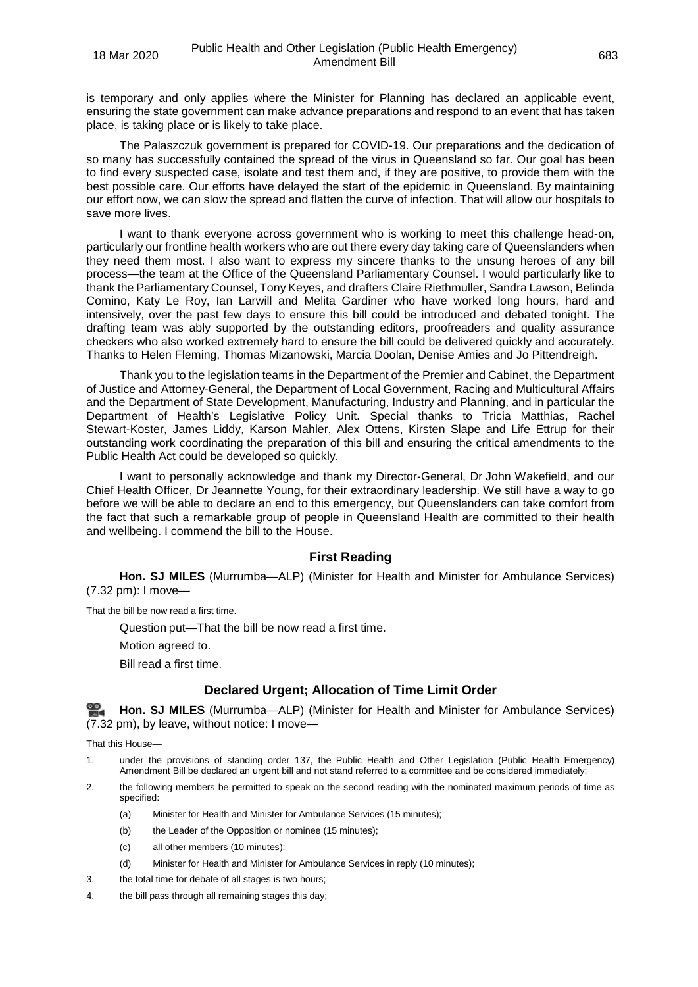is temporary and only applies where the Minister for Planning has declared an applicable event, ensuring the state government can make advance preparations and respond to an event that has taken place, is taking place or is likely to take place.

The Palaszczuk government is prepared for COVID-19. Our preparations and the dedication of so many has successfully contained the spread of the virus in Queensland so far. Our goal has been to find every suspected case, isolate and test them and, if they are positive, to provide them with the best possible care. Our efforts have delayed the start of the epidemic in Queensland. By maintaining our effort now, we can slow the spread and flatten the curve of infection. That will allow our hospitals to save more lives.

I want to thank everyone across government who is working to meet this challenge head-on, particularly our frontline health workers who are out there every day taking care of Queenslanders when they need them most. I also want to express my sincere thanks to the unsung heroes of any bill process—the team at the Office of the Queensland Parliamentary Counsel. I would particularly like to thank the Parliamentary Counsel, Tony Keyes, and drafters Claire Riethmuller, Sandra Lawson, Belinda Comino, Katy Le Roy, Ian Larwill and Melita Gardiner who have worked long hours, hard and intensively, over the past few days to ensure this bill could be introduced and debated tonight. The drafting team was ably supported by the outstanding editors, proofreaders and quality assurance checkers who also worked extremely hard to ensure the bill could be delivered quickly and accurately. Thanks to Helen Fleming, Thomas Mizanowski, Marcia Doolan, Denise Amies and Jo Pittendreigh.

Thank you to the legislation teams in the Department of the Premier and Cabinet, the Department of Justice and Attorney-General, the Department of Local Government, Racing and Multicultural Affairs and the Department of State Development, Manufacturing, Industry and Planning, and in particular the Department of Health's Legislative Policy Unit. Special thanks to Tricia Matthias, Rachel Stewart-Koster, James Liddy, Karson Mahler, Alex Ottens, Kirsten Slape and Life Ettrup for their outstanding work coordinating the preparation of this bill and ensuring the critical amendments to the Public Health Act could be developed so quickly.

I want to personally acknowledge and thank my Director-General, Dr John Wakefield, and our Chief Health Officer, Dr Jeannette Young, for their extraordinary leadership. We still have a way to go before we will be able to declare an end to this emergency, but Queenslanders can take comfort from the fact that such a remarkable group of people in Queensland Health are committed to their health and wellbeing. I commend the bill to the House.

## **First Reading**

<span id="page-33-0"></span>**Hon. SJ MILES** (Murrumba—ALP) (Minister for Health and Minister for Ambulance Services) (7.32 pm): I move—

That the bill be now read a first time.

Question put—That the bill be now read a first time.

Motion agreed to.

Bill read a first time.

## **Declared Urgent; Allocation of Time Limit Order**

<span id="page-33-1"></span><u>ൈ</u> **[Hon. SJ MILES](http://www.parliament.qld.gov.au/docs/find.aspx?id=0Mba20200318_193244)** (Murrumba—ALP) (Minister for Health and Minister for Ambulance Services) (7.32 pm), by leave, without notice: I move—

That this House—

- 1. under the provisions of standing order 137, the Public Health and Other Legislation (Public Health Emergency) Amendment Bill be declared an urgent bill and not stand referred to a committee and be considered immediately;
- 2. the following members be permitted to speak on the second reading with the nominated maximum periods of time as specified:
	- (a) Minister for Health and Minister for Ambulance Services (15 minutes);
	- (b) the Leader of the Opposition or nominee (15 minutes);
	- (c) all other members (10 minutes);
	- (d) Minister for Health and Minister for Ambulance Services in reply (10 minutes);
- 3. the total time for debate of all stages is two hours;
- 4. the bill pass through all remaining stages this day;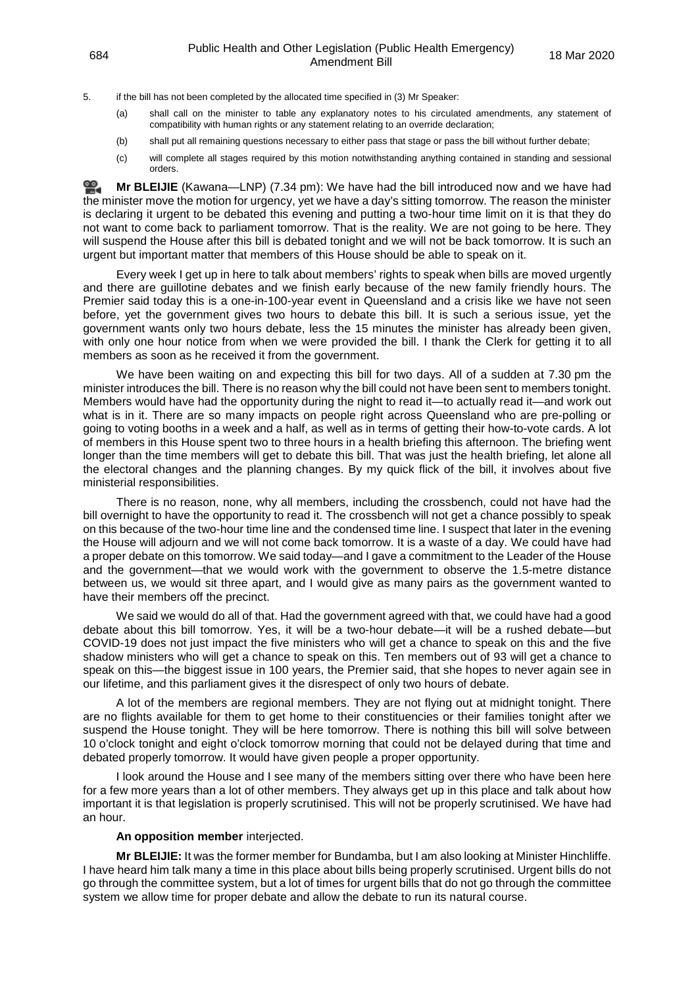5. if the bill has not been completed by the allocated time specified in (3) Mr Speaker:

- (a) shall call on the minister to table any explanatory notes to his circulated amendments, any statement of compatibility with human rights or any statement relating to an override declaration:
- (b) shall put all remaining questions necessary to either pass that stage or pass the bill without further debate;
- (c) will complete all stages required by this motion notwithstanding anything contained in standing and sessional orders.

≌. **Mr [BLEIJIE](http://www.parliament.qld.gov.au/docs/find.aspx?id=0Mba20200318_193407)** (Kawana—LNP) (7.34 pm): We have had the bill introduced now and we have had the minister move the motion for urgency, yet we have a day's sitting tomorrow. The reason the minister is declaring it urgent to be debated this evening and putting a two-hour time limit on it is that they do not want to come back to parliament tomorrow. That is the reality. We are not going to be here. They will suspend the House after this bill is debated tonight and we will not be back tomorrow. It is such an urgent but important matter that members of this House should be able to speak on it.

Every week I get up in here to talk about members' rights to speak when bills are moved urgently and there are guillotine debates and we finish early because of the new family friendly hours. The Premier said today this is a one-in-100-year event in Queensland and a crisis like we have not seen before, yet the government gives two hours to debate this bill. It is such a serious issue, yet the government wants only two hours debate, less the 15 minutes the minister has already been given, with only one hour notice from when we were provided the bill. I thank the Clerk for getting it to all members as soon as he received it from the government.

We have been waiting on and expecting this bill for two days. All of a sudden at 7.30 pm the minister introduces the bill. There is no reason why the bill could not have been sent to members tonight. Members would have had the opportunity during the night to read it—to actually read it—and work out what is in it. There are so many impacts on people right across Queensland who are pre-polling or going to voting booths in a week and a half, as well as in terms of getting their how-to-vote cards. A lot of members in this House spent two to three hours in a health briefing this afternoon. The briefing went longer than the time members will get to debate this bill. That was just the health briefing, let alone all the electoral changes and the planning changes. By my quick flick of the bill, it involves about five ministerial responsibilities.

There is no reason, none, why all members, including the crossbench, could not have had the bill overnight to have the opportunity to read it. The crossbench will not get a chance possibly to speak on this because of the two-hour time line and the condensed time line. I suspect that later in the evening the House will adjourn and we will not come back tomorrow. It is a waste of a day. We could have had a proper debate on this tomorrow. We said today—and I gave a commitment to the Leader of the House and the government—that we would work with the government to observe the 1.5-metre distance between us, we would sit three apart, and I would give as many pairs as the government wanted to have their members off the precinct.

We said we would do all of that. Had the government agreed with that, we could have had a good debate about this bill tomorrow. Yes, it will be a two-hour debate—it will be a rushed debate—but COVID-19 does not just impact the five ministers who will get a chance to speak on this and the five shadow ministers who will get a chance to speak on this. Ten members out of 93 will get a chance to speak on this—the biggest issue in 100 years, the Premier said, that she hopes to never again see in our lifetime, and this parliament gives it the disrespect of only two hours of debate.

A lot of the members are regional members. They are not flying out at midnight tonight. There are no flights available for them to get home to their constituencies or their families tonight after we suspend the House tonight. They will be here tomorrow. There is nothing this bill will solve between 10 o'clock tonight and eight o'clock tomorrow morning that could not be delayed during that time and debated properly tomorrow. It would have given people a proper opportunity.

I look around the House and I see many of the members sitting over there who have been here for a few more years than a lot of other members. They always get up in this place and talk about how important it is that legislation is properly scrutinised. This will not be properly scrutinised. We have had an hour.

#### **An opposition member** interjected.

**Mr BLEIJIE:** It was the former member for Bundamba, but I am also looking at Minister Hinchliffe. I have heard him talk many a time in this place about bills being properly scrutinised. Urgent bills do not go through the committee system, but a lot of times for urgent bills that do not go through the committee system we allow time for proper debate and allow the debate to run its natural course.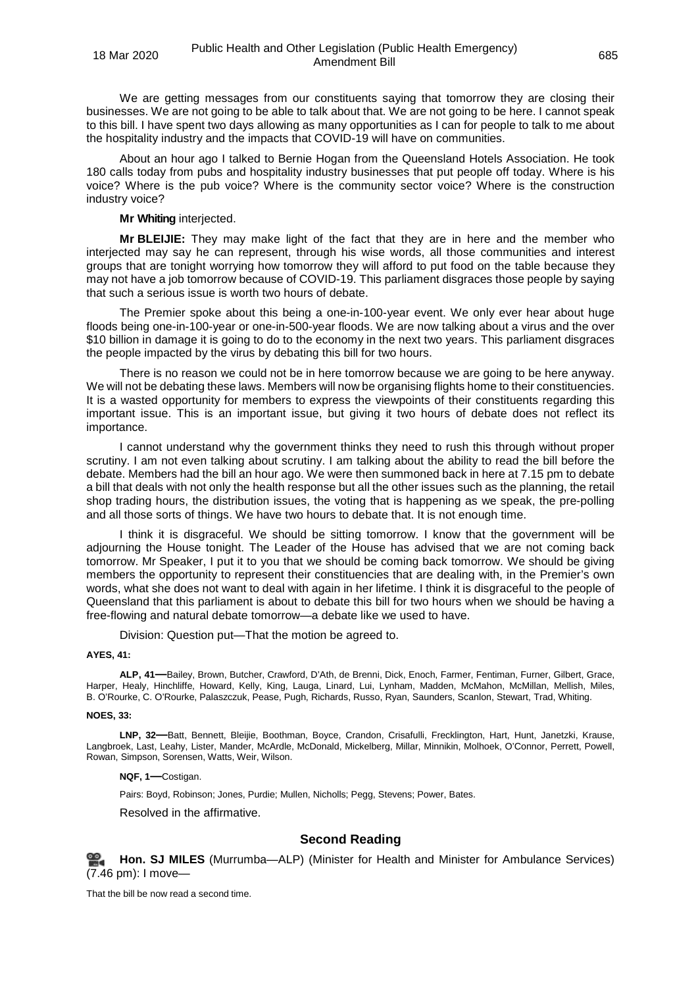We are getting messages from our constituents saying that tomorrow they are closing their businesses. We are not going to be able to talk about that. We are not going to be here. I cannot speak to this bill. I have spent two days allowing as many opportunities as I can for people to talk to me about the hospitality industry and the impacts that COVID-19 will have on communities.

About an hour ago I talked to Bernie Hogan from the Queensland Hotels Association. He took 180 calls today from pubs and hospitality industry businesses that put people off today. Where is his voice? Where is the pub voice? Where is the community sector voice? Where is the construction industry voice?

#### **Mr Whiting** interjected.

**Mr BLEIJIE:** They may make light of the fact that they are in here and the member who interjected may say he can represent, through his wise words, all those communities and interest groups that are tonight worrying how tomorrow they will afford to put food on the table because they may not have a job tomorrow because of COVID-19. This parliament disgraces those people by saying that such a serious issue is worth two hours of debate.

The Premier spoke about this being a one-in-100-year event. We only ever hear about huge floods being one-in-100-year or one-in-500-year floods. We are now talking about a virus and the over \$10 billion in damage it is going to do to the economy in the next two years. This parliament disgraces the people impacted by the virus by debating this bill for two hours.

There is no reason we could not be in here tomorrow because we are going to be here anyway. We will not be debating these laws. Members will now be organising flights home to their constituencies. It is a wasted opportunity for members to express the viewpoints of their constituents regarding this important issue. This is an important issue, but giving it two hours of debate does not reflect its importance.

I cannot understand why the government thinks they need to rush this through without proper scrutiny. I am not even talking about scrutiny. I am talking about the ability to read the bill before the debate. Members had the bill an hour ago. We were then summoned back in here at 7.15 pm to debate a bill that deals with not only the health response but all the other issues such as the planning, the retail shop trading hours, the distribution issues, the voting that is happening as we speak, the pre-polling and all those sorts of things. We have two hours to debate that. It is not enough time.

I think it is disgraceful. We should be sitting tomorrow. I know that the government will be adjourning the House tonight. The Leader of the House has advised that we are not coming back tomorrow. Mr Speaker, I put it to you that we should be coming back tomorrow. We should be giving members the opportunity to represent their constituencies that are dealing with, in the Premier's own words, what she does not want to deal with again in her lifetime. I think it is disgraceful to the people of Queensland that this parliament is about to debate this bill for two hours when we should be having a free-flowing and natural debate tomorrow—a debate like we used to have.

Division: Question put—That the motion be agreed to.

#### <span id="page-35-0"></span>**AYES, 41:**

**ALP, 41—**Bailey, Brown, Butcher, Crawford, D'Ath, de Brenni, Dick, Enoch, Farmer, Fentiman, Furner, Gilbert, Grace, Harper, Healy, Hinchliffe, Howard, Kelly, King, Lauga, Linard, Lui, Lynham, Madden, McMahon, McMillan, Mellish, Miles, B. O'Rourke, C. O'Rourke, Palaszczuk, Pease, Pugh, Richards, Russo, Ryan, Saunders, Scanlon, Stewart, Trad, Whiting.

#### **NOES, 33:**

**LNP, 32—**Batt, Bennett, Bleijie, Boothman, Boyce, Crandon, Crisafulli, Frecklington, Hart, Hunt, Janetzki, Krause, Langbroek, Last, Leahy, Lister, Mander, McArdle, McDonald, Mickelberg, Millar, Minnikin, Molhoek, O'Connor, Perrett, Powell, Rowan, Simpson, Sorensen, Watts, Weir, Wilson.

**NQF, 1—**Costigan.

Pairs: Boyd, Robinson; Jones, Purdie; Mullen, Nicholls; Pegg, Stevens; Power, Bates.

<span id="page-35-1"></span>Resolved in the affirmative.

## **Second Reading**

<span id="page-35-2"></span>

**[Hon. SJ MILES](http://www.parliament.qld.gov.au/docs/find.aspx?id=0Mba20200318_194607)** (Murrumba—ALP) (Minister for Health and Minister for Ambulance Services) (7.46 pm): I move—

That the bill be now read a second time.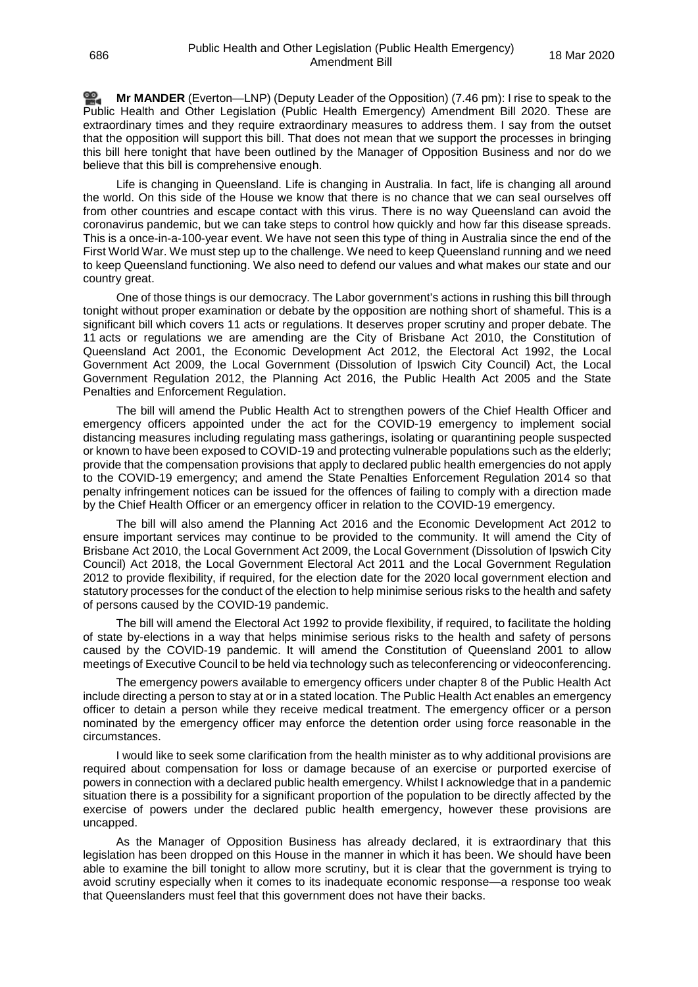<u>ഇ</u> **Mr [MANDER](http://www.parliament.qld.gov.au/docs/find.aspx?id=0Mba20200318_194618)** (Everton—LNP) (Deputy Leader of the Opposition) (7.46 pm): I rise to speak to the Public Health and Other Legislation (Public Health Emergency) Amendment Bill 2020. These are extraordinary times and they require extraordinary measures to address them. I say from the outset that the opposition will support this bill. That does not mean that we support the processes in bringing this bill here tonight that have been outlined by the Manager of Opposition Business and nor do we believe that this bill is comprehensive enough.

Life is changing in Queensland. Life is changing in Australia. In fact, life is changing all around the world. On this side of the House we know that there is no chance that we can seal ourselves off from other countries and escape contact with this virus. There is no way Queensland can avoid the coronavirus pandemic, but we can take steps to control how quickly and how far this disease spreads. This is a once-in-a-100-year event. We have not seen this type of thing in Australia since the end of the First World War. We must step up to the challenge. We need to keep Queensland running and we need to keep Queensland functioning. We also need to defend our values and what makes our state and our country great.

One of those things is our democracy. The Labor government's actions in rushing this bill through tonight without proper examination or debate by the opposition are nothing short of shameful. This is a significant bill which covers 11 acts or regulations. It deserves proper scrutiny and proper debate. The 11 acts or regulations we are amending are the City of Brisbane Act 2010, the Constitution of Queensland Act 2001, the Economic Development Act 2012, the Electoral Act 1992, the Local Government Act 2009, the Local Government (Dissolution of Ipswich City Council) Act, the Local Government Regulation 2012, the Planning Act 2016, the Public Health Act 2005 and the State Penalties and Enforcement Regulation.

The bill will amend the Public Health Act to strengthen powers of the Chief Health Officer and emergency officers appointed under the act for the COVID-19 emergency to implement social distancing measures including regulating mass gatherings, isolating or quarantining people suspected or known to have been exposed to COVID-19 and protecting vulnerable populations such as the elderly; provide that the compensation provisions that apply to declared public health emergencies do not apply to the COVID-19 emergency; and amend the State Penalties Enforcement Regulation 2014 so that penalty infringement notices can be issued for the offences of failing to comply with a direction made by the Chief Health Officer or an emergency officer in relation to the COVID-19 emergency.

The bill will also amend the Planning Act 2016 and the Economic Development Act 2012 to ensure important services may continue to be provided to the community. It will amend the City of Brisbane Act 2010, the Local Government Act 2009, the Local Government (Dissolution of Ipswich City Council) Act 2018, the Local Government Electoral Act 2011 and the Local Government Regulation 2012 to provide flexibility, if required, for the election date for the 2020 local government election and statutory processes for the conduct of the election to help minimise serious risks to the health and safety of persons caused by the COVID-19 pandemic.

The bill will amend the Electoral Act 1992 to provide flexibility, if required, to facilitate the holding of state by-elections in a way that helps minimise serious risks to the health and safety of persons caused by the COVID-19 pandemic. It will amend the Constitution of Queensland 2001 to allow meetings of Executive Council to be held via technology such as teleconferencing or videoconferencing.

The emergency powers available to emergency officers under chapter 8 of the Public Health Act include directing a person to stay at or in a stated location. The Public Health Act enables an emergency officer to detain a person while they receive medical treatment. The emergency officer or a person nominated by the emergency officer may enforce the detention order using force reasonable in the circumstances.

I would like to seek some clarification from the health minister as to why additional provisions are required about compensation for loss or damage because of an exercise or purported exercise of powers in connection with a declared public health emergency. Whilst I acknowledge that in a pandemic situation there is a possibility for a significant proportion of the population to be directly affected by the exercise of powers under the declared public health emergency, however these provisions are uncapped.

As the Manager of Opposition Business has already declared, it is extraordinary that this legislation has been dropped on this House in the manner in which it has been. We should have been able to examine the bill tonight to allow more scrutiny, but it is clear that the government is trying to avoid scrutiny especially when it comes to its inadequate economic response—a response too weak that Queenslanders must feel that this government does not have their backs.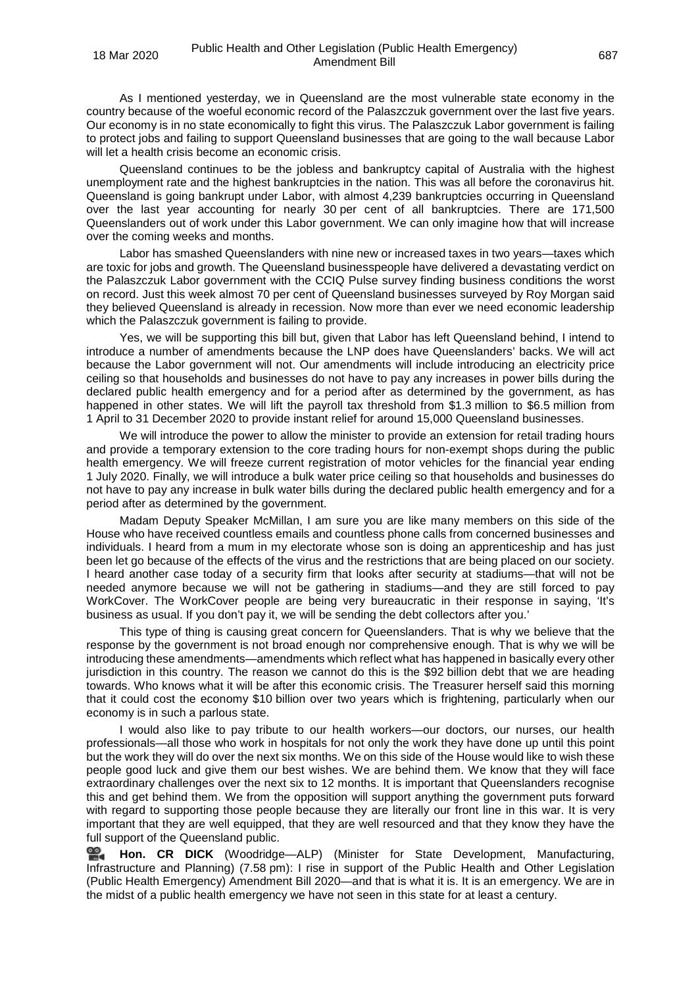As I mentioned yesterday, we in Queensland are the most vulnerable state economy in the country because of the woeful economic record of the Palaszczuk government over the last five years. Our economy is in no state economically to fight this virus. The Palaszczuk Labor government is failing to protect jobs and failing to support Queensland businesses that are going to the wall because Labor will let a health crisis become an economic crisis.

Queensland continues to be the jobless and bankruptcy capital of Australia with the highest unemployment rate and the highest bankruptcies in the nation. This was all before the coronavirus hit. Queensland is going bankrupt under Labor, with almost 4,239 bankruptcies occurring in Queensland over the last year accounting for nearly 30 per cent of all bankruptcies. There are 171,500 Queenslanders out of work under this Labor government. We can only imagine how that will increase over the coming weeks and months.

Labor has smashed Queenslanders with nine new or increased taxes in two years—taxes which are toxic for jobs and growth. The Queensland businesspeople have delivered a devastating verdict on the Palaszczuk Labor government with the CCIQ Pulse survey finding business conditions the worst on record. Just this week almost 70 per cent of Queensland businesses surveyed by Roy Morgan said they believed Queensland is already in recession. Now more than ever we need economic leadership which the Palaszczuk government is failing to provide.

Yes, we will be supporting this bill but, given that Labor has left Queensland behind, I intend to introduce a number of amendments because the LNP does have Queenslanders' backs. We will act because the Labor government will not. Our amendments will include introducing an electricity price ceiling so that households and businesses do not have to pay any increases in power bills during the declared public health emergency and for a period after as determined by the government, as has happened in other states. We will lift the payroll tax threshold from \$1.3 million to \$6.5 million from 1 April to 31 December 2020 to provide instant relief for around 15,000 Queensland businesses.

We will introduce the power to allow the minister to provide an extension for retail trading hours and provide a temporary extension to the core trading hours for non-exempt shops during the public health emergency. We will freeze current registration of motor vehicles for the financial year ending 1 July 2020. Finally, we will introduce a bulk water price ceiling so that households and businesses do not have to pay any increase in bulk water bills during the declared public health emergency and for a period after as determined by the government.

Madam Deputy Speaker McMillan, I am sure you are like many members on this side of the House who have received countless emails and countless phone calls from concerned businesses and individuals. I heard from a mum in my electorate whose son is doing an apprenticeship and has just been let go because of the effects of the virus and the restrictions that are being placed on our society. I heard another case today of a security firm that looks after security at stadiums—that will not be needed anymore because we will not be gathering in stadiums—and they are still forced to pay WorkCover. The WorkCover people are being very bureaucratic in their response in saying, 'It's business as usual. If you don't pay it, we will be sending the debt collectors after you.'

This type of thing is causing great concern for Queenslanders. That is why we believe that the response by the government is not broad enough nor comprehensive enough. That is why we will be introducing these amendments—amendments which reflect what has happened in basically every other jurisdiction in this country. The reason we cannot do this is the \$92 billion debt that we are heading towards. Who knows what it will be after this economic crisis. The Treasurer herself said this morning that it could cost the economy \$10 billion over two years which is frightening, particularly when our economy is in such a parlous state.

I would also like to pay tribute to our health workers—our doctors, our nurses, our health professionals—all those who work in hospitals for not only the work they have done up until this point but the work they will do over the next six months. We on this side of the House would like to wish these people good luck and give them our best wishes. We are behind them. We know that they will face extraordinary challenges over the next six to 12 months. It is important that Queenslanders recognise this and get behind them. We from the opposition will support anything the government puts forward with regard to supporting those people because they are literally our front line in this war. It is very important that they are well equipped, that they are well resourced and that they know they have the full support of the Queensland public.

**[Hon. CR DICK](http://www.parliament.qld.gov.au/docs/find.aspx?id=0Mba20200318_195854)** (Woodridge—ALP) (Minister for State Development, Manufacturing, Infrastructure and Planning) (7.58 pm): I rise in support of the Public Health and Other Legislation (Public Health Emergency) Amendment Bill 2020—and that is what it is. It is an emergency. We are in the midst of a public health emergency we have not seen in this state for at least a century.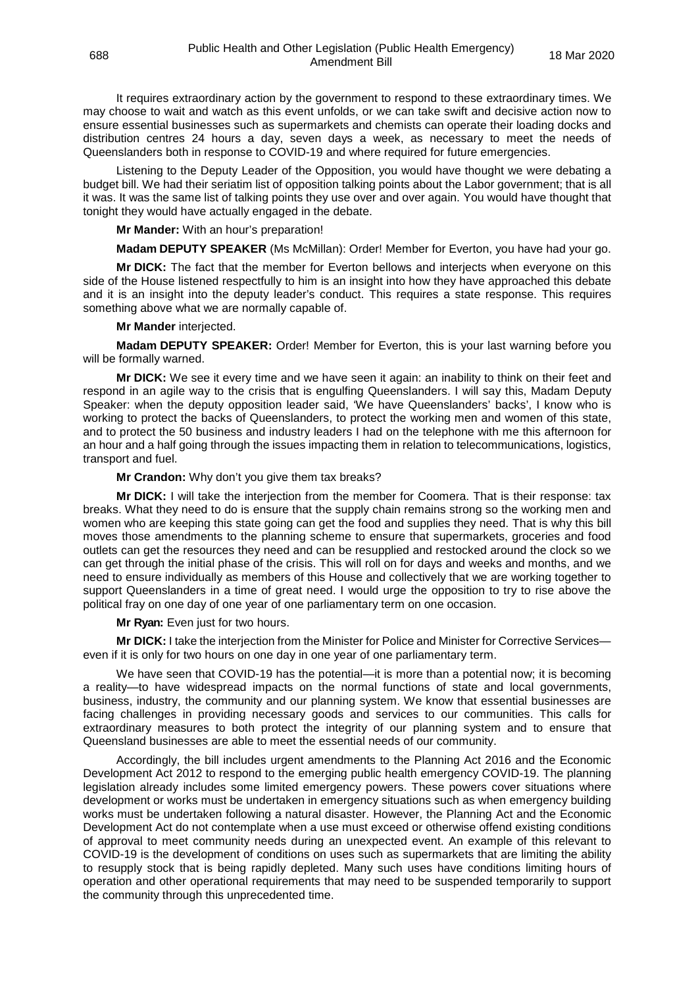It requires extraordinary action by the government to respond to these extraordinary times. We may choose to wait and watch as this event unfolds, or we can take swift and decisive action now to ensure essential businesses such as supermarkets and chemists can operate their loading docks and distribution centres 24 hours a day, seven days a week, as necessary to meet the needs of Queenslanders both in response to COVID-19 and where required for future emergencies.

Listening to the Deputy Leader of the Opposition, you would have thought we were debating a budget bill. We had their seriatim list of opposition talking points about the Labor government; that is all it was. It was the same list of talking points they use over and over again. You would have thought that tonight they would have actually engaged in the debate.

**Mr Mander:** With an hour's preparation!

**Madam DEPUTY SPEAKER** (Ms McMillan): Order! Member for Everton, you have had your go.

**Mr DICK:** The fact that the member for Everton bellows and interjects when everyone on this side of the House listened respectfully to him is an insight into how they have approached this debate and it is an insight into the deputy leader's conduct. This requires a state response. This requires something above what we are normally capable of.

#### **Mr Mander** interjected.

**Madam DEPUTY SPEAKER:** Order! Member for Everton, this is your last warning before you will be formally warned.

**Mr DICK:** We see it every time and we have seen it again: an inability to think on their feet and respond in an agile way to the crisis that is engulfing Queenslanders. I will say this, Madam Deputy Speaker: when the deputy opposition leader said, 'We have Queenslanders' backs', I know who is working to protect the backs of Queenslanders, to protect the working men and women of this state, and to protect the 50 business and industry leaders I had on the telephone with me this afternoon for an hour and a half going through the issues impacting them in relation to telecommunications, logistics, transport and fuel.

**Mr Crandon:** Why don't you give them tax breaks?

**Mr DICK:** I will take the interjection from the member for Coomera. That is their response: tax breaks. What they need to do is ensure that the supply chain remains strong so the working men and women who are keeping this state going can get the food and supplies they need. That is why this bill moves those amendments to the planning scheme to ensure that supermarkets, groceries and food outlets can get the resources they need and can be resupplied and restocked around the clock so we can get through the initial phase of the crisis. This will roll on for days and weeks and months, and we need to ensure individually as members of this House and collectively that we are working together to support Queenslanders in a time of great need. I would urge the opposition to try to rise above the political fray on one day of one year of one parliamentary term on one occasion.

**Mr Ryan:** Even just for two hours.

**Mr DICK:** I take the interjection from the Minister for Police and Minister for Corrective Services even if it is only for two hours on one day in one year of one parliamentary term.

We have seen that COVID-19 has the potential—it is more than a potential now; it is becoming a reality—to have widespread impacts on the normal functions of state and local governments, business, industry, the community and our planning system. We know that essential businesses are facing challenges in providing necessary goods and services to our communities. This calls for extraordinary measures to both protect the integrity of our planning system and to ensure that Queensland businesses are able to meet the essential needs of our community.

Accordingly, the bill includes urgent amendments to the Planning Act 2016 and the Economic Development Act 2012 to respond to the emerging public health emergency COVID-19. The planning legislation already includes some limited emergency powers. These powers cover situations where development or works must be undertaken in emergency situations such as when emergency building works must be undertaken following a natural disaster. However, the Planning Act and the Economic Development Act do not contemplate when a use must exceed or otherwise offend existing conditions of approval to meet community needs during an unexpected event. An example of this relevant to COVID-19 is the development of conditions on uses such as supermarkets that are limiting the ability to resupply stock that is being rapidly depleted. Many such uses have conditions limiting hours of operation and other operational requirements that may need to be suspended temporarily to support the community through this unprecedented time.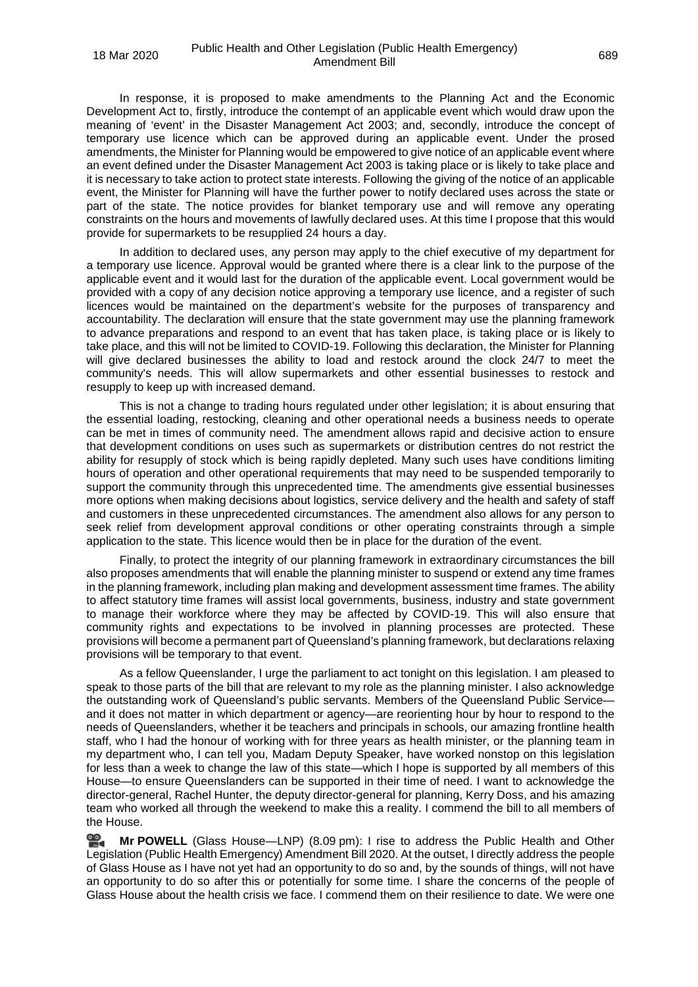In response, it is proposed to make amendments to the Planning Act and the Economic Development Act to, firstly, introduce the contempt of an applicable event which would draw upon the meaning of 'event' in the Disaster Management Act 2003; and, secondly, introduce the concept of temporary use licence which can be approved during an applicable event. Under the prosed amendments, the Minister for Planning would be empowered to give notice of an applicable event where an event defined under the Disaster Management Act 2003 is taking place or is likely to take place and it is necessary to take action to protect state interests. Following the giving of the notice of an applicable event, the Minister for Planning will have the further power to notify declared uses across the state or part of the state. The notice provides for blanket temporary use and will remove any operating constraints on the hours and movements of lawfully declared uses. At this time I propose that this would provide for supermarkets to be resupplied 24 hours a day.

In addition to declared uses, any person may apply to the chief executive of my department for a temporary use licence. Approval would be granted where there is a clear link to the purpose of the applicable event and it would last for the duration of the applicable event. Local government would be provided with a copy of any decision notice approving a temporary use licence, and a register of such licences would be maintained on the department's website for the purposes of transparency and accountability. The declaration will ensure that the state government may use the planning framework to advance preparations and respond to an event that has taken place, is taking place or is likely to take place, and this will not be limited to COVID-19. Following this declaration, the Minister for Planning will give declared businesses the ability to load and restock around the clock 24/7 to meet the community's needs. This will allow supermarkets and other essential businesses to restock and resupply to keep up with increased demand.

This is not a change to trading hours regulated under other legislation; it is about ensuring that the essential loading, restocking, cleaning and other operational needs a business needs to operate can be met in times of community need. The amendment allows rapid and decisive action to ensure that development conditions on uses such as supermarkets or distribution centres do not restrict the ability for resupply of stock which is being rapidly depleted. Many such uses have conditions limiting hours of operation and other operational requirements that may need to be suspended temporarily to support the community through this unprecedented time. The amendments give essential businesses more options when making decisions about logistics, service delivery and the health and safety of staff and customers in these unprecedented circumstances. The amendment also allows for any person to seek relief from development approval conditions or other operating constraints through a simple application to the state. This licence would then be in place for the duration of the event.

Finally, to protect the integrity of our planning framework in extraordinary circumstances the bill also proposes amendments that will enable the planning minister to suspend or extend any time frames in the planning framework, including plan making and development assessment time frames. The ability to affect statutory time frames will assist local governments, business, industry and state government to manage their workforce where they may be affected by COVID-19. This will also ensure that community rights and expectations to be involved in planning processes are protected. These provisions will become a permanent part of Queensland's planning framework, but declarations relaxing provisions will be temporary to that event.

As a fellow Queenslander, I urge the parliament to act tonight on this legislation. I am pleased to speak to those parts of the bill that are relevant to my role as the planning minister. I also acknowledge the outstanding work of Queensland's public servants. Members of the Queensland Public Service and it does not matter in which department or agency—are reorienting hour by hour to respond to the needs of Queenslanders, whether it be teachers and principals in schools, our amazing frontline health staff, who I had the honour of working with for three years as health minister, or the planning team in my department who, I can tell you, Madam Deputy Speaker, have worked nonstop on this legislation for less than a week to change the law of this state—which I hope is supported by all members of this House—to ensure Queenslanders can be supported in their time of need. I want to acknowledge the director-general, Rachel Hunter, the deputy director-general for planning, Kerry Doss, and his amazing team who worked all through the weekend to make this a reality. I commend the bill to all members of the House.

≌. **Mr [POWELL](http://www.parliament.qld.gov.au/docs/find.aspx?id=0Mba20200318_200919)** (Glass House—LNP) (8.09 pm): I rise to address the Public Health and Other Legislation (Public Health Emergency) Amendment Bill 2020. At the outset, I directly address the people of Glass House as I have not yet had an opportunity to do so and, by the sounds of things, will not have an opportunity to do so after this or potentially for some time. I share the concerns of the people of Glass House about the health crisis we face. I commend them on their resilience to date. We were one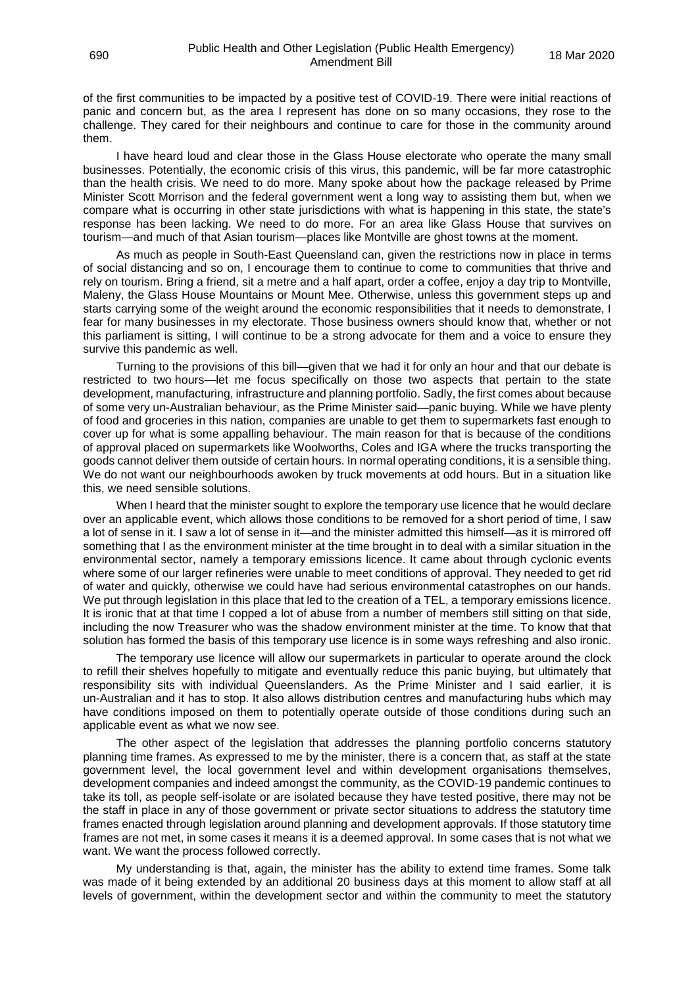of the first communities to be impacted by a positive test of COVID-19. There were initial reactions of panic and concern but, as the area I represent has done on so many occasions, they rose to the challenge. They cared for their neighbours and continue to care for those in the community around them.

I have heard loud and clear those in the Glass House electorate who operate the many small businesses. Potentially, the economic crisis of this virus, this pandemic, will be far more catastrophic than the health crisis. We need to do more. Many spoke about how the package released by Prime Minister Scott Morrison and the federal government went a long way to assisting them but, when we compare what is occurring in other state jurisdictions with what is happening in this state, the state's response has been lacking. We need to do more. For an area like Glass House that survives on tourism—and much of that Asian tourism—places like Montville are ghost towns at the moment.

As much as people in South-East Queensland can, given the restrictions now in place in terms of social distancing and so on, I encourage them to continue to come to communities that thrive and rely on tourism. Bring a friend, sit a metre and a half apart, order a coffee, enjoy a day trip to Montville, Maleny, the Glass House Mountains or Mount Mee. Otherwise, unless this government steps up and starts carrying some of the weight around the economic responsibilities that it needs to demonstrate, I fear for many businesses in my electorate. Those business owners should know that, whether or not this parliament is sitting, I will continue to be a strong advocate for them and a voice to ensure they survive this pandemic as well.

Turning to the provisions of this bill—given that we had it for only an hour and that our debate is restricted to two hours—let me focus specifically on those two aspects that pertain to the state development, manufacturing, infrastructure and planning portfolio. Sadly, the first comes about because of some very un-Australian behaviour, as the Prime Minister said—panic buying. While we have plenty of food and groceries in this nation, companies are unable to get them to supermarkets fast enough to cover up for what is some appalling behaviour. The main reason for that is because of the conditions of approval placed on supermarkets like Woolworths, Coles and IGA where the trucks transporting the goods cannot deliver them outside of certain hours. In normal operating conditions, it is a sensible thing. We do not want our neighbourhoods awoken by truck movements at odd hours. But in a situation like this, we need sensible solutions.

When I heard that the minister sought to explore the temporary use licence that he would declare over an applicable event, which allows those conditions to be removed for a short period of time, I saw a lot of sense in it. I saw a lot of sense in it—and the minister admitted this himself—as it is mirrored off something that I as the environment minister at the time brought in to deal with a similar situation in the environmental sector, namely a temporary emissions licence. It came about through cyclonic events where some of our larger refineries were unable to meet conditions of approval. They needed to get rid of water and quickly, otherwise we could have had serious environmental catastrophes on our hands. We put through legislation in this place that led to the creation of a TEL, a temporary emissions licence. It is ironic that at that time I copped a lot of abuse from a number of members still sitting on that side, including the now Treasurer who was the shadow environment minister at the time. To know that that solution has formed the basis of this temporary use licence is in some ways refreshing and also ironic.

The temporary use licence will allow our supermarkets in particular to operate around the clock to refill their shelves hopefully to mitigate and eventually reduce this panic buying, but ultimately that responsibility sits with individual Queenslanders. As the Prime Minister and I said earlier, it is un-Australian and it has to stop. It also allows distribution centres and manufacturing hubs which may have conditions imposed on them to potentially operate outside of those conditions during such an applicable event as what we now see.

The other aspect of the legislation that addresses the planning portfolio concerns statutory planning time frames. As expressed to me by the minister, there is a concern that, as staff at the state government level, the local government level and within development organisations themselves, development companies and indeed amongst the community, as the COVID-19 pandemic continues to take its toll, as people self-isolate or are isolated because they have tested positive, there may not be the staff in place in any of those government or private sector situations to address the statutory time frames enacted through legislation around planning and development approvals. If those statutory time frames are not met, in some cases it means it is a deemed approval. In some cases that is not what we want. We want the process followed correctly.

My understanding is that, again, the minister has the ability to extend time frames. Some talk was made of it being extended by an additional 20 business days at this moment to allow staff at all levels of government, within the development sector and within the community to meet the statutory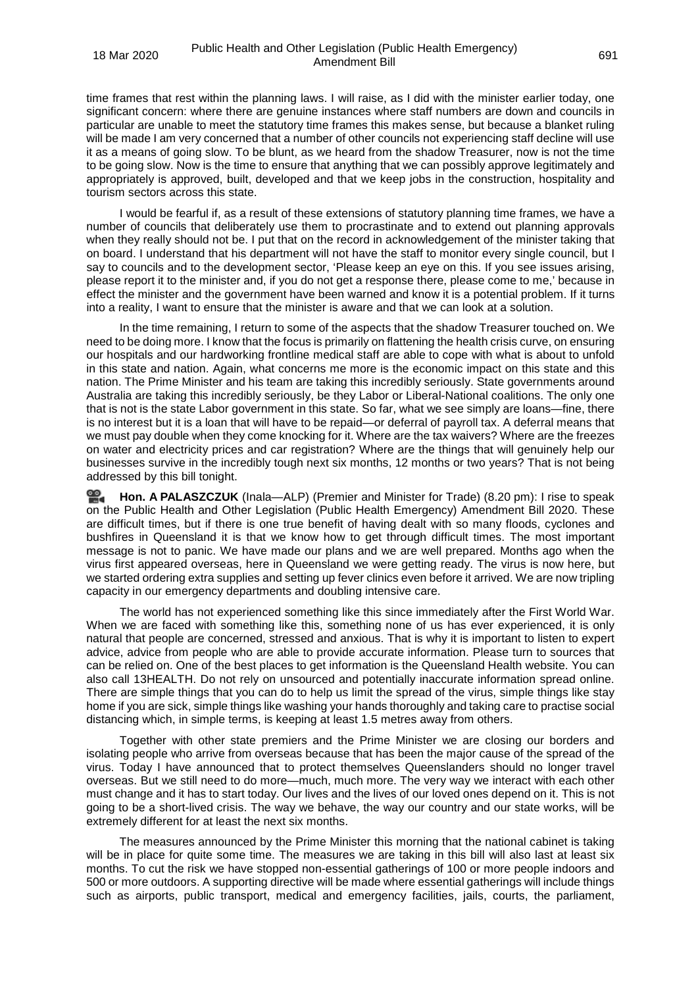time frames that rest within the planning laws. I will raise, as I did with the minister earlier today, one significant concern: where there are genuine instances where staff numbers are down and councils in particular are unable to meet the statutory time frames this makes sense, but because a blanket ruling will be made I am very concerned that a number of other councils not experiencing staff decline will use it as a means of going slow. To be blunt, as we heard from the shadow Treasurer, now is not the time to be going slow. Now is the time to ensure that anything that we can possibly approve legitimately and appropriately is approved, built, developed and that we keep jobs in the construction, hospitality and tourism sectors across this state.

I would be fearful if, as a result of these extensions of statutory planning time frames, we have a number of councils that deliberately use them to procrastinate and to extend out planning approvals when they really should not be. I put that on the record in acknowledgement of the minister taking that on board. I understand that his department will not have the staff to monitor every single council, but I say to councils and to the development sector, 'Please keep an eye on this. If you see issues arising, please report it to the minister and, if you do not get a response there, please come to me,' because in effect the minister and the government have been warned and know it is a potential problem. If it turns into a reality, I want to ensure that the minister is aware and that we can look at a solution.

In the time remaining, I return to some of the aspects that the shadow Treasurer touched on. We need to be doing more. I know that the focus is primarily on flattening the health crisis curve, on ensuring our hospitals and our hardworking frontline medical staff are able to cope with what is about to unfold in this state and nation. Again, what concerns me more is the economic impact on this state and this nation. The Prime Minister and his team are taking this incredibly seriously. State governments around Australia are taking this incredibly seriously, be they Labor or Liberal-National coalitions. The only one that is not is the state Labor government in this state. So far, what we see simply are loans—fine, there is no interest but it is a loan that will have to be repaid—or deferral of payroll tax. A deferral means that we must pay double when they come knocking for it. Where are the tax waivers? Where are the freezes on water and electricity prices and car registration? Where are the things that will genuinely help our businesses survive in the incredibly tough next six months, 12 months or two years? That is not being addressed by this bill tonight.

**Hon. A [PALASZCZUK](http://www.parliament.qld.gov.au/docs/find.aspx?id=0Mba20200318_201920)** (Inala—ALP) (Premier and Minister for Trade) (8.20 pm): I rise to speak ≌. on the Public Health and Other Legislation (Public Health Emergency) Amendment Bill 2020. These are difficult times, but if there is one true benefit of having dealt with so many floods, cyclones and bushfires in Queensland it is that we know how to get through difficult times. The most important message is not to panic. We have made our plans and we are well prepared. Months ago when the virus first appeared overseas, here in Queensland we were getting ready. The virus is now here, but we started ordering extra supplies and setting up fever clinics even before it arrived. We are now tripling capacity in our emergency departments and doubling intensive care.

The world has not experienced something like this since immediately after the First World War. When we are faced with something like this, something none of us has ever experienced, it is only natural that people are concerned, stressed and anxious. That is why it is important to listen to expert advice, advice from people who are able to provide accurate information. Please turn to sources that can be relied on. One of the best places to get information is the Queensland Health website. You can also call 13HEALTH. Do not rely on unsourced and potentially inaccurate information spread online. There are simple things that you can do to help us limit the spread of the virus, simple things like stay home if you are sick, simple things like washing your hands thoroughly and taking care to practise social distancing which, in simple terms, is keeping at least 1.5 metres away from others.

Together with other state premiers and the Prime Minister we are closing our borders and isolating people who arrive from overseas because that has been the major cause of the spread of the virus. Today I have announced that to protect themselves Queenslanders should no longer travel overseas. But we still need to do more—much, much more. The very way we interact with each other must change and it has to start today. Our lives and the lives of our loved ones depend on it. This is not going to be a short-lived crisis. The way we behave, the way our country and our state works, will be extremely different for at least the next six months.

The measures announced by the Prime Minister this morning that the national cabinet is taking will be in place for quite some time. The measures we are taking in this bill will also last at least six months. To cut the risk we have stopped non-essential gatherings of 100 or more people indoors and 500 or more outdoors. A supporting directive will be made where essential gatherings will include things such as airports, public transport, medical and emergency facilities, jails, courts, the parliament,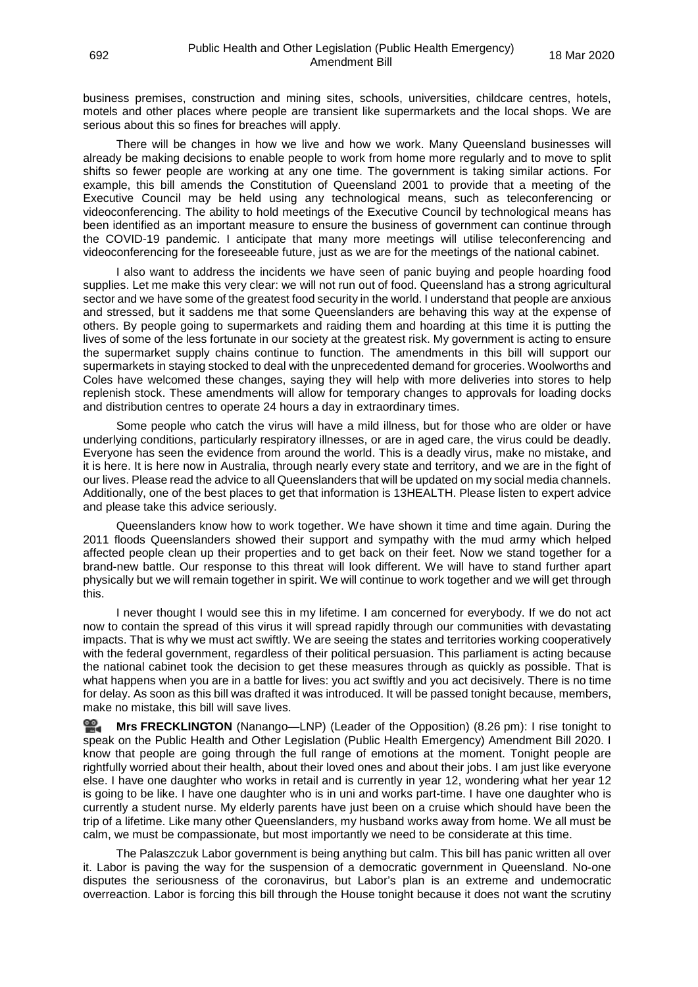business premises, construction and mining sites, schools, universities, childcare centres, hotels, motels and other places where people are transient like supermarkets and the local shops. We are serious about this so fines for breaches will apply.

There will be changes in how we live and how we work. Many Queensland businesses will already be making decisions to enable people to work from home more regularly and to move to split shifts so fewer people are working at any one time. The government is taking similar actions. For example, this bill amends the Constitution of Queensland 2001 to provide that a meeting of the Executive Council may be held using any technological means, such as teleconferencing or videoconferencing. The ability to hold meetings of the Executive Council by technological means has been identified as an important measure to ensure the business of government can continue through the COVID-19 pandemic. I anticipate that many more meetings will utilise teleconferencing and videoconferencing for the foreseeable future, just as we are for the meetings of the national cabinet.

I also want to address the incidents we have seen of panic buying and people hoarding food supplies. Let me make this very clear: we will not run out of food. Queensland has a strong agricultural sector and we have some of the greatest food security in the world. I understand that people are anxious and stressed, but it saddens me that some Queenslanders are behaving this way at the expense of others. By people going to supermarkets and raiding them and hoarding at this time it is putting the lives of some of the less fortunate in our society at the greatest risk. My government is acting to ensure the supermarket supply chains continue to function. The amendments in this bill will support our supermarkets in staying stocked to deal with the unprecedented demand for groceries. Woolworths and Coles have welcomed these changes, saying they will help with more deliveries into stores to help replenish stock. These amendments will allow for temporary changes to approvals for loading docks and distribution centres to operate 24 hours a day in extraordinary times.

Some people who catch the virus will have a mild illness, but for those who are older or have underlying conditions, particularly respiratory illnesses, or are in aged care, the virus could be deadly. Everyone has seen the evidence from around the world. This is a deadly virus, make no mistake, and it is here. It is here now in Australia, through nearly every state and territory, and we are in the fight of our lives. Please read the advice to all Queenslanders that will be updated on my social media channels. Additionally, one of the best places to get that information is 13HEALTH. Please listen to expert advice and please take this advice seriously.

Queenslanders know how to work together. We have shown it time and time again. During the 2011 floods Queenslanders showed their support and sympathy with the mud army which helped affected people clean up their properties and to get back on their feet. Now we stand together for a brand-new battle. Our response to this threat will look different. We will have to stand further apart physically but we will remain together in spirit. We will continue to work together and we will get through this.

I never thought I would see this in my lifetime. I am concerned for everybody. If we do not act now to contain the spread of this virus it will spread rapidly through our communities with devastating impacts. That is why we must act swiftly. We are seeing the states and territories working cooperatively with the federal government, regardless of their political persuasion. This parliament is acting because the national cabinet took the decision to get these measures through as quickly as possible. That is what happens when you are in a battle for lives: you act swiftly and you act decisively. There is no time for delay. As soon as this bill was drafted it was introduced. It will be passed tonight because, members, make no mistake, this bill will save lives.

**Mrs [FRECKLINGTON](http://www.parliament.qld.gov.au/docs/find.aspx?id=0Mba20200318_202629)** (Nanango—LNP) (Leader of the Opposition) (8.26 pm): I rise tonight to speak on the Public Health and Other Legislation (Public Health Emergency) Amendment Bill 2020. I know that people are going through the full range of emotions at the moment. Tonight people are rightfully worried about their health, about their loved ones and about their jobs. I am just like everyone else. I have one daughter who works in retail and is currently in year 12, wondering what her year 12 is going to be like. I have one daughter who is in uni and works part-time. I have one daughter who is currently a student nurse. My elderly parents have just been on a cruise which should have been the trip of a lifetime. Like many other Queenslanders, my husband works away from home. We all must be calm, we must be compassionate, but most importantly we need to be considerate at this time.

The Palaszczuk Labor government is being anything but calm. This bill has panic written all over it. Labor is paving the way for the suspension of a democratic government in Queensland. No-one disputes the seriousness of the coronavirus, but Labor's plan is an extreme and undemocratic overreaction. Labor is forcing this bill through the House tonight because it does not want the scrutiny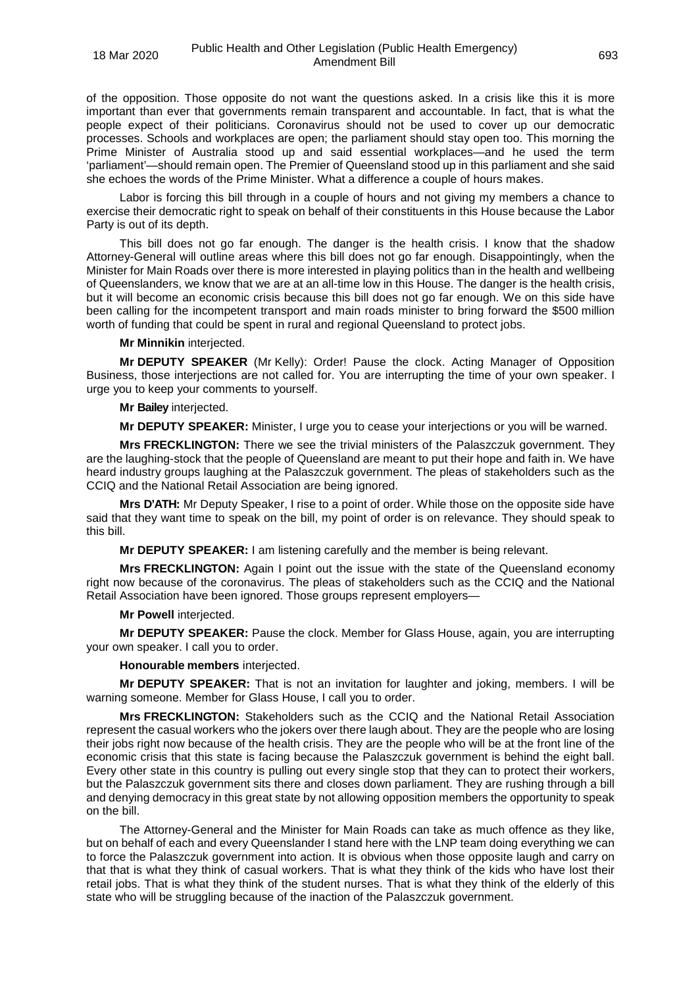of the opposition. Those opposite do not want the questions asked. In a crisis like this it is more important than ever that governments remain transparent and accountable. In fact, that is what the people expect of their politicians. Coronavirus should not be used to cover up our democratic processes. Schools and workplaces are open; the parliament should stay open too. This morning the Prime Minister of Australia stood up and said essential workplaces—and he used the term 'parliament'—should remain open. The Premier of Queensland stood up in this parliament and she said she echoes the words of the Prime Minister. What a difference a couple of hours makes.

Labor is forcing this bill through in a couple of hours and not giving my members a chance to exercise their democratic right to speak on behalf of their constituents in this House because the Labor Party is out of its depth.

This bill does not go far enough. The danger is the health crisis. I know that the shadow Attorney-General will outline areas where this bill does not go far enough. Disappointingly, when the Minister for Main Roads over there is more interested in playing politics than in the health and wellbeing of Queenslanders, we know that we are at an all-time low in this House. The danger is the health crisis, but it will become an economic crisis because this bill does not go far enough. We on this side have been calling for the incompetent transport and main roads minister to bring forward the \$500 million worth of funding that could be spent in rural and regional Queensland to protect jobs.

**Mr Minnikin** interjected.

**Mr DEPUTY SPEAKER** (Mr Kelly): Order! Pause the clock. Acting Manager of Opposition Business, those interjections are not called for. You are interrupting the time of your own speaker. I urge you to keep your comments to yourself.

## **Mr Bailey** interjected.

**Mr DEPUTY SPEAKER:** Minister, I urge you to cease your interjections or you will be warned.

**Mrs FRECKLINGTON:** There we see the trivial ministers of the Palaszczuk government. They are the laughing-stock that the people of Queensland are meant to put their hope and faith in. We have heard industry groups laughing at the Palaszczuk government. The pleas of stakeholders such as the CCIQ and the National Retail Association are being ignored.

**Mrs D'ATH:** Mr Deputy Speaker, I rise to a point of order. While those on the opposite side have said that they want time to speak on the bill, my point of order is on relevance. They should speak to this bill.

**Mr DEPUTY SPEAKER:** I am listening carefully and the member is being relevant.

**Mrs FRECKLINGTON:** Again I point out the issue with the state of the Queensland economy right now because of the coronavirus. The pleas of stakeholders such as the CCIQ and the National Retail Association have been ignored. Those groups represent employers—

## **Mr Powell** interjected.

**Mr DEPUTY SPEAKER:** Pause the clock. Member for Glass House, again, you are interrupting your own speaker. I call you to order.

## **Honourable members** interjected.

**Mr DEPUTY SPEAKER:** That is not an invitation for laughter and joking, members. I will be warning someone. Member for Glass House, I call you to order.

**Mrs FRECKLINGTON:** Stakeholders such as the CCIQ and the National Retail Association represent the casual workers who the jokers over there laugh about. They are the people who are losing their jobs right now because of the health crisis. They are the people who will be at the front line of the economic crisis that this state is facing because the Palaszczuk government is behind the eight ball. Every other state in this country is pulling out every single stop that they can to protect their workers, but the Palaszczuk government sits there and closes down parliament. They are rushing through a bill and denying democracy in this great state by not allowing opposition members the opportunity to speak on the bill.

The Attorney-General and the Minister for Main Roads can take as much offence as they like, but on behalf of each and every Queenslander I stand here with the LNP team doing everything we can to force the Palaszczuk government into action. It is obvious when those opposite laugh and carry on that that is what they think of casual workers. That is what they think of the kids who have lost their retail jobs. That is what they think of the student nurses. That is what they think of the elderly of this state who will be struggling because of the inaction of the Palaszczuk government.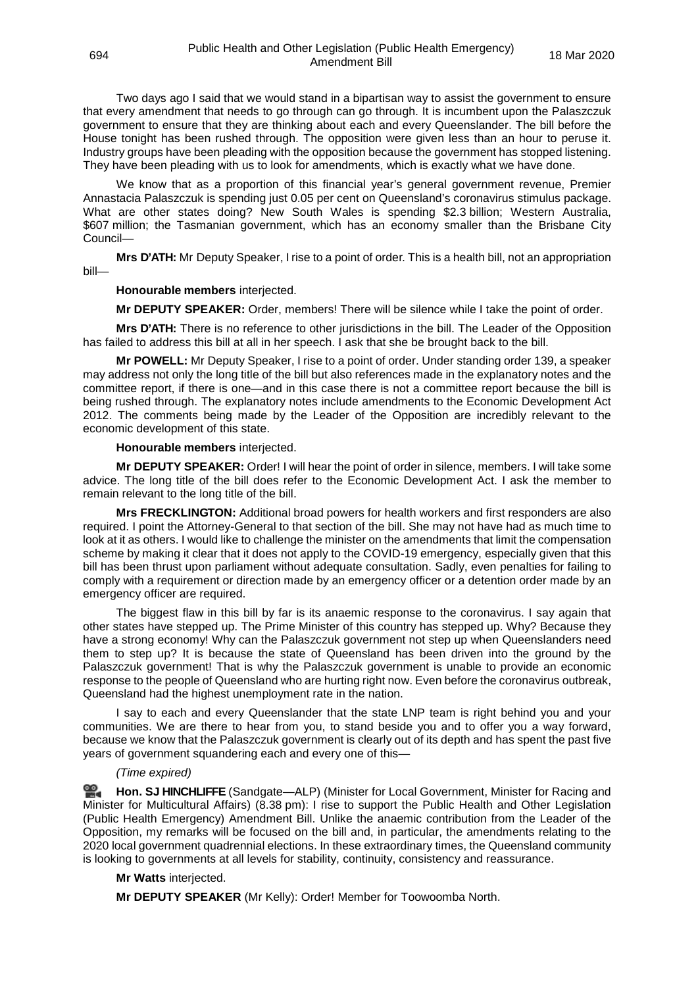Two days ago I said that we would stand in a bipartisan way to assist the government to ensure that every amendment that needs to go through can go through. It is incumbent upon the Palaszczuk government to ensure that they are thinking about each and every Queenslander. The bill before the House tonight has been rushed through. The opposition were given less than an hour to peruse it. Industry groups have been pleading with the opposition because the government has stopped listening. They have been pleading with us to look for amendments, which is exactly what we have done.

We know that as a proportion of this financial year's general government revenue, Premier Annastacia Palaszczuk is spending just 0.05 per cent on Queensland's coronavirus stimulus package. What are other states doing? New South Wales is spending \$2.3 billion; Western Australia, \$607 million; the Tasmanian government, which has an economy smaller than the Brisbane City Council—

**Mrs D'ATH:** Mr Deputy Speaker, I rise to a point of order. This is a health bill, not an appropriation bill—

#### **Honourable members** interjected.

**Mr DEPUTY SPEAKER:** Order, members! There will be silence while I take the point of order.

**Mrs D'ATH:** There is no reference to other jurisdictions in the bill. The Leader of the Opposition has failed to address this bill at all in her speech. I ask that she be brought back to the bill.

**Mr POWELL:** Mr Deputy Speaker, I rise to a point of order. Under standing order 139, a speaker may address not only the long title of the bill but also references made in the explanatory notes and the committee report, if there is one—and in this case there is not a committee report because the bill is being rushed through. The explanatory notes include amendments to the Economic Development Act 2012. The comments being made by the Leader of the Opposition are incredibly relevant to the economic development of this state.

#### **Honourable members** interjected.

**Mr DEPUTY SPEAKER:** Order! I will hear the point of order in silence, members. I will take some advice. The long title of the bill does refer to the Economic Development Act. I ask the member to remain relevant to the long title of the bill.

**Mrs FRECKLINGTON:** Additional broad powers for health workers and first responders are also required. I point the Attorney-General to that section of the bill. She may not have had as much time to look at it as others. I would like to challenge the minister on the amendments that limit the compensation scheme by making it clear that it does not apply to the COVID-19 emergency, especially given that this bill has been thrust upon parliament without adequate consultation. Sadly, even penalties for failing to comply with a requirement or direction made by an emergency officer or a detention order made by an emergency officer are required.

The biggest flaw in this bill by far is its anaemic response to the coronavirus. I say again that other states have stepped up. The Prime Minister of this country has stepped up. Why? Because they have a strong economy! Why can the Palaszczuk government not step up when Queenslanders need them to step up? It is because the state of Queensland has been driven into the ground by the Palaszczuk government! That is why the Palaszczuk government is unable to provide an economic response to the people of Queensland who are hurting right now. Even before the coronavirus outbreak, Queensland had the highest unemployment rate in the nation.

I say to each and every Queenslander that the state LNP team is right behind you and your communities. We are there to hear from you, to stand beside you and to offer you a way forward, because we know that the Palaszczuk government is clearly out of its depth and has spent the past five years of government squandering each and every one of this—

#### *(Time expired)*

**Hon. SJ [HINCHLIFFE](http://www.parliament.qld.gov.au/docs/find.aspx?id=0Mba20200318_203905)** (Sandgate—ALP) (Minister for Local Government, Minister for Racing and Minister for Multicultural Affairs) (8.38 pm): I rise to support the Public Health and Other Legislation (Public Health Emergency) Amendment Bill. Unlike the anaemic contribution from the Leader of the Opposition, my remarks will be focused on the bill and, in particular, the amendments relating to the 2020 local government quadrennial elections. In these extraordinary times, the Queensland community is looking to governments at all levels for stability, continuity, consistency and reassurance.

#### **Mr Watts** interjected.

**Mr DEPUTY SPEAKER** (Mr Kelly): Order! Member for Toowoomba North.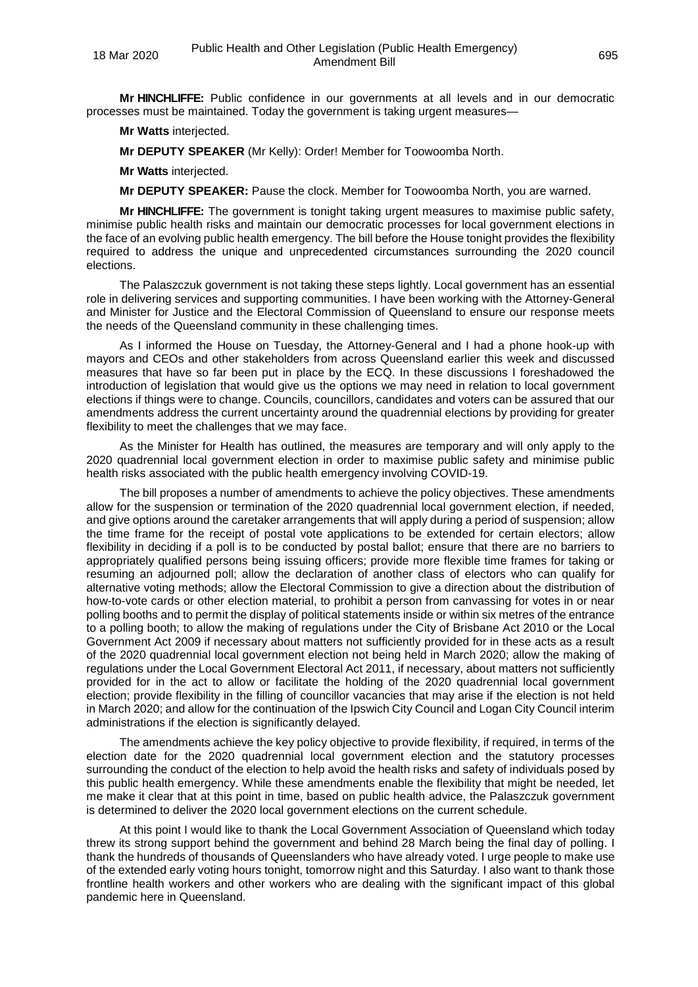**Mr HINCHLIFFE:** Public confidence in our governments at all levels and in our democratic processes must be maintained. Today the government is taking urgent measures—

**Mr Watts** interjected.

**Mr DEPUTY SPEAKER** (Mr Kelly): Order! Member for Toowoomba North.

**Mr Watts** interjected.

**Mr DEPUTY SPEAKER:** Pause the clock. Member for Toowoomba North, you are warned.

**Mr HINCHLIFFE:** The government is tonight taking urgent measures to maximise public safety, minimise public health risks and maintain our democratic processes for local government elections in the face of an evolving public health emergency. The bill before the House tonight provides the flexibility required to address the unique and unprecedented circumstances surrounding the 2020 council elections.

The Palaszczuk government is not taking these steps lightly. Local government has an essential role in delivering services and supporting communities. I have been working with the Attorney-General and Minister for Justice and the Electoral Commission of Queensland to ensure our response meets the needs of the Queensland community in these challenging times.

As I informed the House on Tuesday, the Attorney-General and I had a phone hook-up with mayors and CEOs and other stakeholders from across Queensland earlier this week and discussed measures that have so far been put in place by the ECQ. In these discussions I foreshadowed the introduction of legislation that would give us the options we may need in relation to local government elections if things were to change. Councils, councillors, candidates and voters can be assured that our amendments address the current uncertainty around the quadrennial elections by providing for greater flexibility to meet the challenges that we may face.

As the Minister for Health has outlined, the measures are temporary and will only apply to the 2020 quadrennial local government election in order to maximise public safety and minimise public health risks associated with the public health emergency involving COVID-19.

The bill proposes a number of amendments to achieve the policy objectives. These amendments allow for the suspension or termination of the 2020 quadrennial local government election, if needed, and give options around the caretaker arrangements that will apply during a period of suspension; allow the time frame for the receipt of postal vote applications to be extended for certain electors; allow flexibility in deciding if a poll is to be conducted by postal ballot; ensure that there are no barriers to appropriately qualified persons being issuing officers; provide more flexible time frames for taking or resuming an adjourned poll; allow the declaration of another class of electors who can qualify for alternative voting methods; allow the Electoral Commission to give a direction about the distribution of how-to-vote cards or other election material, to prohibit a person from canvassing for votes in or near polling booths and to permit the display of political statements inside or within six metres of the entrance to a polling booth; to allow the making of regulations under the City of Brisbane Act 2010 or the Local Government Act 2009 if necessary about matters not sufficiently provided for in these acts as a result of the 2020 quadrennial local government election not being held in March 2020; allow the making of regulations under the Local Government Electoral Act 2011, if necessary, about matters not sufficiently provided for in the act to allow or facilitate the holding of the 2020 quadrennial local government election; provide flexibility in the filling of councillor vacancies that may arise if the election is not held in March 2020; and allow for the continuation of the Ipswich City Council and Logan City Council interim administrations if the election is significantly delayed.

The amendments achieve the key policy objective to provide flexibility, if required, in terms of the election date for the 2020 quadrennial local government election and the statutory processes surrounding the conduct of the election to help avoid the health risks and safety of individuals posed by this public health emergency. While these amendments enable the flexibility that might be needed, let me make it clear that at this point in time, based on public health advice, the Palaszczuk government is determined to deliver the 2020 local government elections on the current schedule.

At this point I would like to thank the Local Government Association of Queensland which today threw its strong support behind the government and behind 28 March being the final day of polling. I thank the hundreds of thousands of Queenslanders who have already voted. I urge people to make use of the extended early voting hours tonight, tomorrow night and this Saturday. I also want to thank those frontline health workers and other workers who are dealing with the significant impact of this global pandemic here in Queensland.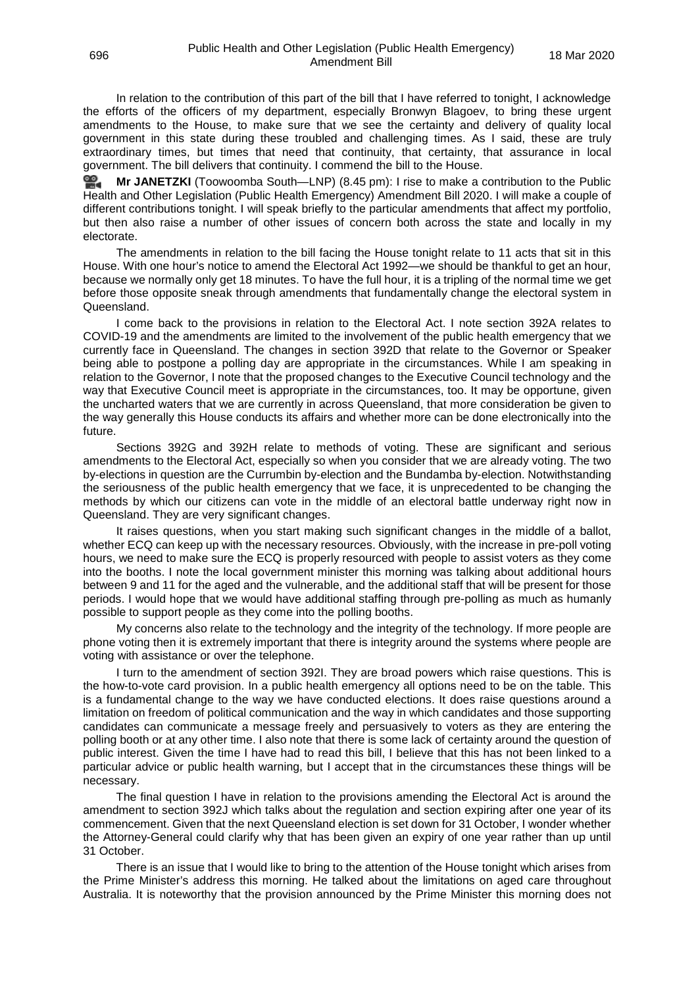In relation to the contribution of this part of the bill that I have referred to tonight, I acknowledge the efforts of the officers of my department, especially Bronwyn Blagoev, to bring these urgent amendments to the House, to make sure that we see the certainty and delivery of quality local government in this state during these troubled and challenging times. As I said, these are truly extraordinary times, but times that need that continuity, that certainty, that assurance in local government. The bill delivers that continuity. I commend the bill to the House.

≌. **Mr [JANETZKI](http://www.parliament.qld.gov.au/docs/find.aspx?id=0Mba20200318_204529)** (Toowoomba South—LNP) (8.45 pm): I rise to make a contribution to the Public Health and Other Legislation (Public Health Emergency) Amendment Bill 2020. I will make a couple of different contributions tonight. I will speak briefly to the particular amendments that affect my portfolio, but then also raise a number of other issues of concern both across the state and locally in my electorate.

The amendments in relation to the bill facing the House tonight relate to 11 acts that sit in this House. With one hour's notice to amend the Electoral Act 1992—we should be thankful to get an hour, because we normally only get 18 minutes. To have the full hour, it is a tripling of the normal time we get before those opposite sneak through amendments that fundamentally change the electoral system in Queensland.

I come back to the provisions in relation to the Electoral Act. I note section 392A relates to COVID-19 and the amendments are limited to the involvement of the public health emergency that we currently face in Queensland. The changes in section 392D that relate to the Governor or Speaker being able to postpone a polling day are appropriate in the circumstances. While I am speaking in relation to the Governor, I note that the proposed changes to the Executive Council technology and the way that Executive Council meet is appropriate in the circumstances, too. It may be opportune, given the uncharted waters that we are currently in across Queensland, that more consideration be given to the way generally this House conducts its affairs and whether more can be done electronically into the future.

Sections 392G and 392H relate to methods of voting. These are significant and serious amendments to the Electoral Act, especially so when you consider that we are already voting. The two by-elections in question are the Currumbin by-election and the Bundamba by-election. Notwithstanding the seriousness of the public health emergency that we face, it is unprecedented to be changing the methods by which our citizens can vote in the middle of an electoral battle underway right now in Queensland. They are very significant changes.

It raises questions, when you start making such significant changes in the middle of a ballot, whether ECQ can keep up with the necessary resources. Obviously, with the increase in pre-poll voting hours, we need to make sure the ECQ is properly resourced with people to assist voters as they come into the booths. I note the local government minister this morning was talking about additional hours between 9 and 11 for the aged and the vulnerable, and the additional staff that will be present for those periods. I would hope that we would have additional staffing through pre-polling as much as humanly possible to support people as they come into the polling booths.

My concerns also relate to the technology and the integrity of the technology. If more people are phone voting then it is extremely important that there is integrity around the systems where people are voting with assistance or over the telephone.

I turn to the amendment of section 392I. They are broad powers which raise questions. This is the how-to-vote card provision. In a public health emergency all options need to be on the table. This is a fundamental change to the way we have conducted elections. It does raise questions around a limitation on freedom of political communication and the way in which candidates and those supporting candidates can communicate a message freely and persuasively to voters as they are entering the polling booth or at any other time. I also note that there is some lack of certainty around the question of public interest. Given the time I have had to read this bill, I believe that this has not been linked to a particular advice or public health warning, but I accept that in the circumstances these things will be necessary.

The final question I have in relation to the provisions amending the Electoral Act is around the amendment to section 392J which talks about the regulation and section expiring after one year of its commencement. Given that the next Queensland election is set down for 31 October, I wonder whether the Attorney-General could clarify why that has been given an expiry of one year rather than up until 31 October.

There is an issue that I would like to bring to the attention of the House tonight which arises from the Prime Minister's address this morning. He talked about the limitations on aged care throughout Australia. It is noteworthy that the provision announced by the Prime Minister this morning does not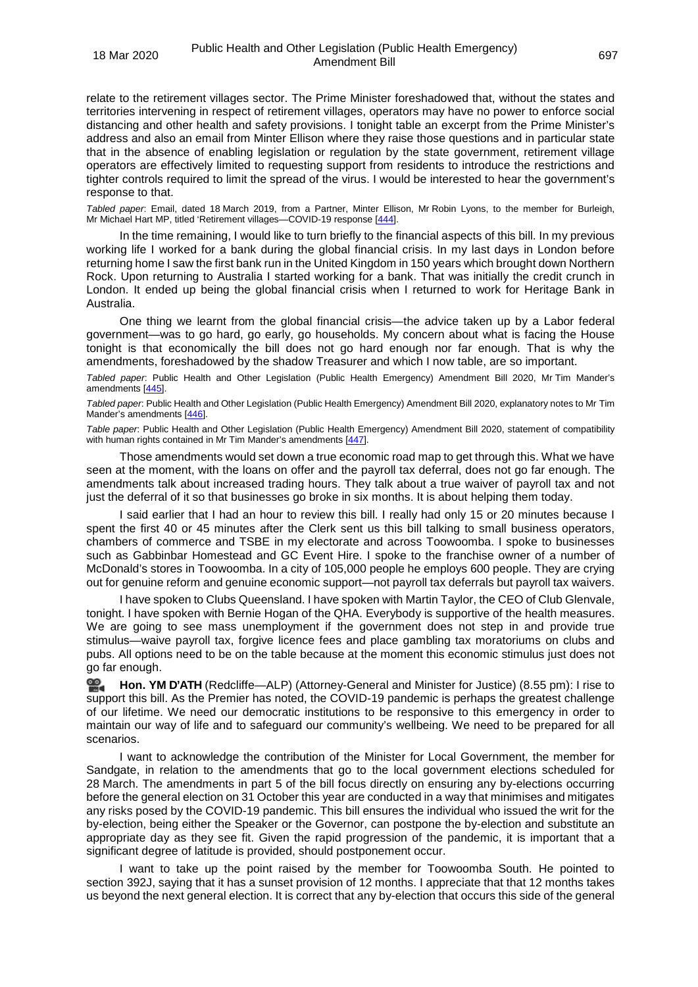relate to the retirement villages sector. The Prime Minister foreshadowed that, without the states and territories intervening in respect of retirement villages, operators may have no power to enforce social distancing and other health and safety provisions. I tonight table an excerpt from the Prime Minister's address and also an email from Minter Ellison where they raise those questions and in particular state that in the absence of enabling legislation or regulation by the state government, retirement village operators are effectively limited to requesting support from residents to introduce the restrictions and tighter controls required to limit the spread of the virus. I would be interested to hear the government's response to that.

<span id="page-47-0"></span>*Tabled paper*: Email, dated 18 March 2019, from a Partner, Minter Ellison, Mr Robin Lyons, to the member for Burleigh, Mr Michael Hart MP, titled 'Retirement villages—COVID-19 response [\[444\].](http://www.parliament.qld.gov.au/docs/find.aspx?id=5620T444)

In the time remaining, I would like to turn briefly to the financial aspects of this bill. In my previous working life I worked for a bank during the global financial crisis. In my last days in London before returning home I saw the first bank run in the United Kingdom in 150 years which brought down Northern Rock. Upon returning to Australia I started working for a bank. That was initially the credit crunch in London. It ended up being the global financial crisis when I returned to work for Heritage Bank in Australia.

One thing we learnt from the global financial crisis—the advice taken up by a Labor federal government—was to go hard, go early, go households. My concern about what is facing the House tonight is that economically the bill does not go hard enough nor far enough. That is why the amendments, foreshadowed by the shadow Treasurer and which I now table, are so important.

<span id="page-47-1"></span>*Tabled paper*: Public Health and Other Legislation (Public Health Emergency) Amendment Bill 2020, Mr Tim Mander's amendments [\[445\]](http://www.parliament.qld.gov.au/docs/find.aspx?id=5620T445).

<span id="page-47-2"></span>*Tabled paper*: Public Health and Other Legislation (Public Health Emergency) Amendment Bill 2020, explanatory notes to Mr Tim Mander's amendments [\[446\]](http://www.parliament.qld.gov.au/docs/find.aspx?id=5620T446).

<span id="page-47-3"></span>*Table paper*: Public Health and Other Legislation (Public Health Emergency) Amendment Bill 2020, statement of compatibility with human rights contained in Mr Tim Mander's amendments [\[447\].](http://www.parliament.qld.gov.au/docs/find.aspx?id=5620T447)

Those amendments would set down a true economic road map to get through this. What we have seen at the moment, with the loans on offer and the payroll tax deferral, does not go far enough. The amendments talk about increased trading hours. They talk about a true waiver of payroll tax and not just the deferral of it so that businesses go broke in six months. It is about helping them today.

I said earlier that I had an hour to review this bill. I really had only 15 or 20 minutes because I spent the first 40 or 45 minutes after the Clerk sent us this bill talking to small business operators, chambers of commerce and TSBE in my electorate and across Toowoomba. I spoke to businesses such as Gabbinbar Homestead and GC Event Hire. I spoke to the franchise owner of a number of McDonald's stores in Toowoomba. In a city of 105,000 people he employs 600 people. They are crying out for genuine reform and genuine economic support—not payroll tax deferrals but payroll tax waivers.

I have spoken to Clubs Queensland. I have spoken with Martin Taylor, the CEO of Club Glenvale, tonight. I have spoken with Bernie Hogan of the QHA. Everybody is supportive of the health measures. We are going to see mass unemployment if the government does not step in and provide true stimulus—waive payroll tax, forgive licence fees and place gambling tax moratoriums on clubs and pubs. All options need to be on the table because at the moment this economic stimulus just does not go far enough.

**[Hon. YM](http://www.parliament.qld.gov.au/docs/find.aspx?id=0Mba20200318_205529) D'ATH** (Redcliffe—ALP) (Attorney-General and Minister for Justice) (8.55 pm): I rise to 쓺. support this bill. As the Premier has noted, the COVID-19 pandemic is perhaps the greatest challenge of our lifetime. We need our democratic institutions to be responsive to this emergency in order to maintain our way of life and to safeguard our community's wellbeing. We need to be prepared for all scenarios.

I want to acknowledge the contribution of the Minister for Local Government, the member for Sandgate, in relation to the amendments that go to the local government elections scheduled for 28 March. The amendments in part 5 of the bill focus directly on ensuring any by-elections occurring before the general election on 31 October this year are conducted in a way that minimises and mitigates any risks posed by the COVID-19 pandemic. This bill ensures the individual who issued the writ for the by-election, being either the Speaker or the Governor, can postpone the by-election and substitute an appropriate day as they see fit. Given the rapid progression of the pandemic, it is important that a significant degree of latitude is provided, should postponement occur.

I want to take up the point raised by the member for Toowoomba South. He pointed to section 392J, saying that it has a sunset provision of 12 months. I appreciate that that 12 months takes us beyond the next general election. It is correct that any by-election that occurs this side of the general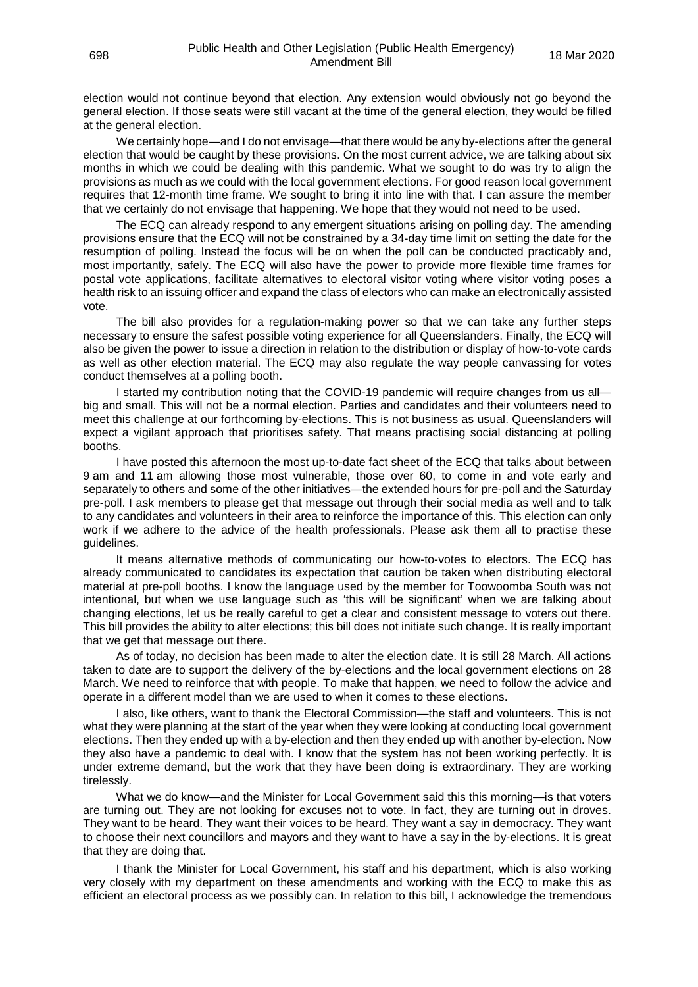election would not continue beyond that election. Any extension would obviously not go beyond the general election. If those seats were still vacant at the time of the general election, they would be filled at the general election.

We certainly hope—and I do not envisage—that there would be any by-elections after the general election that would be caught by these provisions. On the most current advice, we are talking about six months in which we could be dealing with this pandemic. What we sought to do was try to align the provisions as much as we could with the local government elections. For good reason local government requires that 12-month time frame. We sought to bring it into line with that. I can assure the member that we certainly do not envisage that happening. We hope that they would not need to be used.

The ECQ can already respond to any emergent situations arising on polling day. The amending provisions ensure that the ECQ will not be constrained by a 34-day time limit on setting the date for the resumption of polling. Instead the focus will be on when the poll can be conducted practicably and, most importantly, safely. The ECQ will also have the power to provide more flexible time frames for postal vote applications, facilitate alternatives to electoral visitor voting where visitor voting poses a health risk to an issuing officer and expand the class of electors who can make an electronically assisted vote.

The bill also provides for a regulation-making power so that we can take any further steps necessary to ensure the safest possible voting experience for all Queenslanders. Finally, the ECQ will also be given the power to issue a direction in relation to the distribution or display of how-to-vote cards as well as other election material. The ECQ may also regulate the way people canvassing for votes conduct themselves at a polling booth.

I started my contribution noting that the COVID-19 pandemic will require changes from us all big and small. This will not be a normal election. Parties and candidates and their volunteers need to meet this challenge at our forthcoming by-elections. This is not business as usual. Queenslanders will expect a vigilant approach that prioritises safety. That means practising social distancing at polling booths.

I have posted this afternoon the most up-to-date fact sheet of the ECQ that talks about between 9 am and 11 am allowing those most vulnerable, those over 60, to come in and vote early and separately to others and some of the other initiatives—the extended hours for pre-poll and the Saturday pre-poll. I ask members to please get that message out through their social media as well and to talk to any candidates and volunteers in their area to reinforce the importance of this. This election can only work if we adhere to the advice of the health professionals. Please ask them all to practise these guidelines.

It means alternative methods of communicating our how-to-votes to electors. The ECQ has already communicated to candidates its expectation that caution be taken when distributing electoral material at pre-poll booths. I know the language used by the member for Toowoomba South was not intentional, but when we use language such as 'this will be significant' when we are talking about changing elections, let us be really careful to get a clear and consistent message to voters out there. This bill provides the ability to alter elections; this bill does not initiate such change. It is really important that we get that message out there.

As of today, no decision has been made to alter the election date. It is still 28 March. All actions taken to date are to support the delivery of the by-elections and the local government elections on 28 March. We need to reinforce that with people. To make that happen, we need to follow the advice and operate in a different model than we are used to when it comes to these elections.

I also, like others, want to thank the Electoral Commission—the staff and volunteers. This is not what they were planning at the start of the year when they were looking at conducting local government elections. Then they ended up with a by-election and then they ended up with another by-election. Now they also have a pandemic to deal with. I know that the system has not been working perfectly. It is under extreme demand, but the work that they have been doing is extraordinary. They are working tirelessly.

What we do know—and the Minister for Local Government said this this morning—is that voters are turning out. They are not looking for excuses not to vote. In fact, they are turning out in droves. They want to be heard. They want their voices to be heard. They want a say in democracy. They want to choose their next councillors and mayors and they want to have a say in the by-elections. It is great that they are doing that.

I thank the Minister for Local Government, his staff and his department, which is also working very closely with my department on these amendments and working with the ECQ to make this as efficient an electoral process as we possibly can. In relation to this bill, I acknowledge the tremendous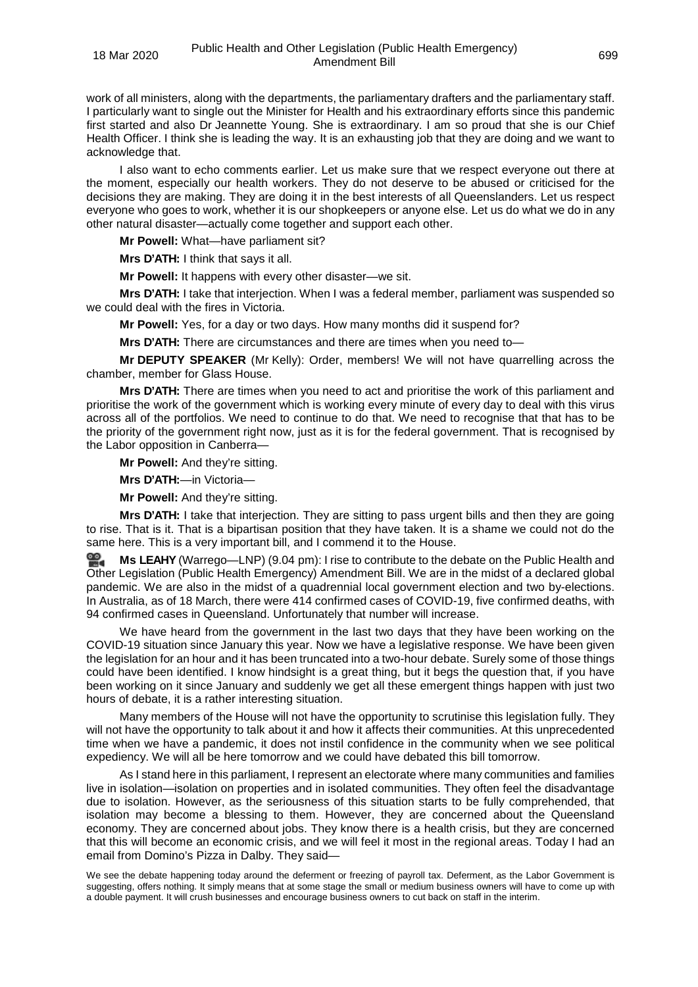work of all ministers, along with the departments, the parliamentary drafters and the parliamentary staff. I particularly want to single out the Minister for Health and his extraordinary efforts since this pandemic first started and also Dr Jeannette Young. She is extraordinary. I am so proud that she is our Chief Health Officer. I think she is leading the way. It is an exhausting job that they are doing and we want to acknowledge that.

I also want to echo comments earlier. Let us make sure that we respect everyone out there at the moment, especially our health workers. They do not deserve to be abused or criticised for the decisions they are making. They are doing it in the best interests of all Queenslanders. Let us respect everyone who goes to work, whether it is our shopkeepers or anyone else. Let us do what we do in any other natural disaster—actually come together and support each other.

**Mr Powell:** What—have parliament sit?

**Mrs D'ATH:** I think that says it all.

**Mr Powell:** It happens with every other disaster—we sit.

**Mrs D'ATH:** I take that interjection. When I was a federal member, parliament was suspended so we could deal with the fires in Victoria.

**Mr Powell:** Yes, for a day or two days. How many months did it suspend for?

**Mrs D'ATH:** There are circumstances and there are times when you need to—

**Mr DEPUTY SPEAKER** (Mr Kelly): Order, members! We will not have quarrelling across the chamber, member for Glass House.

**Mrs D'ATH:** There are times when you need to act and prioritise the work of this parliament and prioritise the work of the government which is working every minute of every day to deal with this virus across all of the portfolios. We need to continue to do that. We need to recognise that that has to be the priority of the government right now, just as it is for the federal government. That is recognised by the Labor opposition in Canberra-

**Mr Powell:** And they're sitting.

**Mrs D'ATH:**—in Victoria—

**Mr Powell:** And they're sitting.

**Mrs D'ATH:** I take that interjection. They are sitting to pass urgent bills and then they are going to rise. That is it. That is a bipartisan position that they have taken. It is a shame we could not do the same here. This is a very important bill, and I commend it to the House.

≌. **Ms [LEAHY](http://www.parliament.qld.gov.au/docs/find.aspx?id=0Mba20200318_210416)** (Warrego—LNP) (9.04 pm): I rise to contribute to the debate on the Public Health and Other Legislation (Public Health Emergency) Amendment Bill. We are in the midst of a declared global pandemic. We are also in the midst of a quadrennial local government election and two by-elections. In Australia, as of 18 March, there were 414 confirmed cases of COVID-19, five confirmed deaths, with 94 confirmed cases in Queensland. Unfortunately that number will increase.

We have heard from the government in the last two days that they have been working on the COVID-19 situation since January this year. Now we have a legislative response. We have been given the legislation for an hour and it has been truncated into a two-hour debate. Surely some of those things could have been identified. I know hindsight is a great thing, but it begs the question that, if you have been working on it since January and suddenly we get all these emergent things happen with just two hours of debate, it is a rather interesting situation.

Many members of the House will not have the opportunity to scrutinise this legislation fully. They will not have the opportunity to talk about it and how it affects their communities. At this unprecedented time when we have a pandemic, it does not instil confidence in the community when we see political expediency. We will all be here tomorrow and we could have debated this bill tomorrow.

As I stand here in this parliament, I represent an electorate where many communities and families live in isolation—isolation on properties and in isolated communities. They often feel the disadvantage due to isolation. However, as the seriousness of this situation starts to be fully comprehended, that isolation may become a blessing to them. However, they are concerned about the Queensland economy. They are concerned about jobs. They know there is a health crisis, but they are concerned that this will become an economic crisis, and we will feel it most in the regional areas. Today I had an email from Domino's Pizza in Dalby. They said—

We see the debate happening today around the deferment or freezing of payroll tax. Deferment, as the Labor Government is suggesting, offers nothing. It simply means that at some stage the small or medium business owners will have to come up with a double payment. It will crush businesses and encourage business owners to cut back on staff in the interim.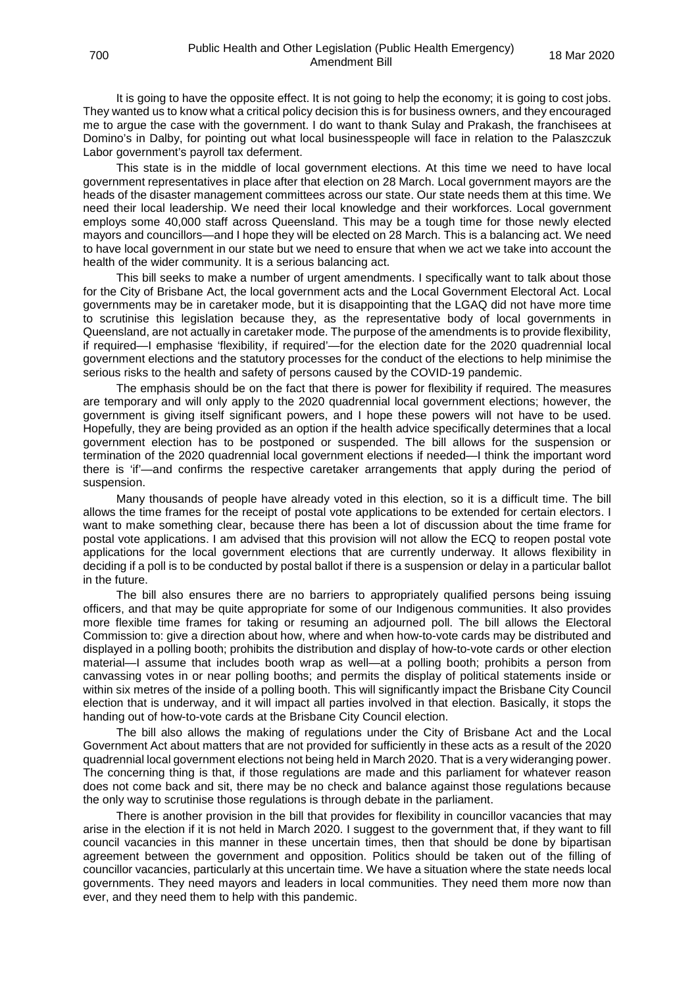It is going to have the opposite effect. It is not going to help the economy; it is going to cost jobs. They wanted us to know what a critical policy decision this is for business owners, and they encouraged me to argue the case with the government. I do want to thank Sulay and Prakash, the franchisees at Domino's in Dalby, for pointing out what local businesspeople will face in relation to the Palaszczuk Labor government's payroll tax deferment.

This state is in the middle of local government elections. At this time we need to have local government representatives in place after that election on 28 March. Local government mayors are the heads of the disaster management committees across our state. Our state needs them at this time. We need their local leadership. We need their local knowledge and their workforces. Local government employs some 40,000 staff across Queensland. This may be a tough time for those newly elected mayors and councillors—and I hope they will be elected on 28 March. This is a balancing act. We need to have local government in our state but we need to ensure that when we act we take into account the health of the wider community. It is a serious balancing act.

This bill seeks to make a number of urgent amendments. I specifically want to talk about those for the City of Brisbane Act, the local government acts and the Local Government Electoral Act. Local governments may be in caretaker mode, but it is disappointing that the LGAQ did not have more time to scrutinise this legislation because they, as the representative body of local governments in Queensland, are not actually in caretaker mode. The purpose of the amendments is to provide flexibility, if required—I emphasise 'flexibility, if required'—for the election date for the 2020 quadrennial local government elections and the statutory processes for the conduct of the elections to help minimise the serious risks to the health and safety of persons caused by the COVID-19 pandemic.

The emphasis should be on the fact that there is power for flexibility if required. The measures are temporary and will only apply to the 2020 quadrennial local government elections; however, the government is giving itself significant powers, and I hope these powers will not have to be used. Hopefully, they are being provided as an option if the health advice specifically determines that a local government election has to be postponed or suspended. The bill allows for the suspension or termination of the 2020 quadrennial local government elections if needed—I think the important word there is 'if'—and confirms the respective caretaker arrangements that apply during the period of suspension.

Many thousands of people have already voted in this election, so it is a difficult time. The bill allows the time frames for the receipt of postal vote applications to be extended for certain electors. I want to make something clear, because there has been a lot of discussion about the time frame for postal vote applications. I am advised that this provision will not allow the ECQ to reopen postal vote applications for the local government elections that are currently underway. It allows flexibility in deciding if a poll is to be conducted by postal ballot if there is a suspension or delay in a particular ballot in the future.

The bill also ensures there are no barriers to appropriately qualified persons being issuing officers, and that may be quite appropriate for some of our Indigenous communities. It also provides more flexible time frames for taking or resuming an adjourned poll. The bill allows the Electoral Commission to: give a direction about how, where and when how-to-vote cards may be distributed and displayed in a polling booth; prohibits the distribution and display of how-to-vote cards or other election material—I assume that includes booth wrap as well—at a polling booth; prohibits a person from canvassing votes in or near polling booths; and permits the display of political statements inside or within six metres of the inside of a polling booth. This will significantly impact the Brisbane City Council election that is underway, and it will impact all parties involved in that election. Basically, it stops the handing out of how-to-vote cards at the Brisbane City Council election.

The bill also allows the making of regulations under the City of Brisbane Act and the Local Government Act about matters that are not provided for sufficiently in these acts as a result of the 2020 quadrennial local government elections not being held in March 2020. That is a very wideranging power. The concerning thing is that, if those regulations are made and this parliament for whatever reason does not come back and sit, there may be no check and balance against those regulations because the only way to scrutinise those regulations is through debate in the parliament.

There is another provision in the bill that provides for flexibility in councillor vacancies that may arise in the election if it is not held in March 2020. I suggest to the government that, if they want to fill council vacancies in this manner in these uncertain times, then that should be done by bipartisan agreement between the government and opposition. Politics should be taken out of the filling of councillor vacancies, particularly at this uncertain time. We have a situation where the state needs local governments. They need mayors and leaders in local communities. They need them more now than ever, and they need them to help with this pandemic.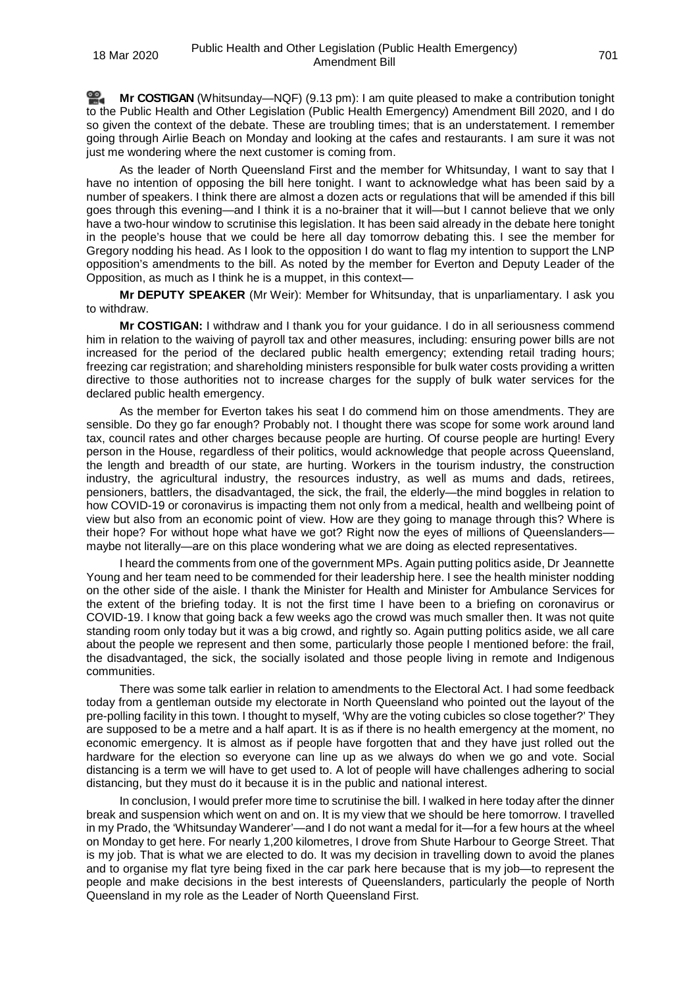**Mr [COSTIGAN](http://www.parliament.qld.gov.au/docs/find.aspx?id=0Mba20200318_211326)** (Whitsunday—NQF) (9.13 pm): I am quite pleased to make a contribution tonight to the Public Health and Other Legislation (Public Health Emergency) Amendment Bill 2020, and I do so given the context of the debate. These are troubling times; that is an understatement. I remember going through Airlie Beach on Monday and looking at the cafes and restaurants. I am sure it was not just me wondering where the next customer is coming from.

As the leader of North Queensland First and the member for Whitsunday, I want to say that I have no intention of opposing the bill here tonight. I want to acknowledge what has been said by a number of speakers. I think there are almost a dozen acts or regulations that will be amended if this bill goes through this evening—and I think it is a no-brainer that it will—but I cannot believe that we only have a two-hour window to scrutinise this legislation. It has been said already in the debate here tonight in the people's house that we could be here all day tomorrow debating this. I see the member for Gregory nodding his head. As I look to the opposition I do want to flag my intention to support the LNP opposition's amendments to the bill. As noted by the member for Everton and Deputy Leader of the Opposition, as much as I think he is a muppet, in this context—

**Mr DEPUTY SPEAKER** (Mr Weir): Member for Whitsunday, that is unparliamentary. I ask you to withdraw.

**Mr COSTIGAN:** I withdraw and I thank you for your guidance. I do in all seriousness commend him in relation to the waiving of payroll tax and other measures, including: ensuring power bills are not increased for the period of the declared public health emergency; extending retail trading hours; freezing car registration; and shareholding ministers responsible for bulk water costs providing a written directive to those authorities not to increase charges for the supply of bulk water services for the declared public health emergency.

As the member for Everton takes his seat I do commend him on those amendments. They are sensible. Do they go far enough? Probably not. I thought there was scope for some work around land tax, council rates and other charges because people are hurting. Of course people are hurting! Every person in the House, regardless of their politics, would acknowledge that people across Queensland, the length and breadth of our state, are hurting. Workers in the tourism industry, the construction industry, the agricultural industry, the resources industry, as well as mums and dads, retirees, pensioners, battlers, the disadvantaged, the sick, the frail, the elderly—the mind boggles in relation to how COVID-19 or coronavirus is impacting them not only from a medical, health and wellbeing point of view but also from an economic point of view. How are they going to manage through this? Where is their hope? For without hope what have we got? Right now the eyes of millions of Queenslanders maybe not literally—are on this place wondering what we are doing as elected representatives.

I heard the comments from one of the government MPs. Again putting politics aside, Dr Jeannette Young and her team need to be commended for their leadership here. I see the health minister nodding on the other side of the aisle. I thank the Minister for Health and Minister for Ambulance Services for the extent of the briefing today. It is not the first time I have been to a briefing on coronavirus or COVID-19. I know that going back a few weeks ago the crowd was much smaller then. It was not quite standing room only today but it was a big crowd, and rightly so. Again putting politics aside, we all care about the people we represent and then some, particularly those people I mentioned before: the frail, the disadvantaged, the sick, the socially isolated and those people living in remote and Indigenous communities.

There was some talk earlier in relation to amendments to the Electoral Act. I had some feedback today from a gentleman outside my electorate in North Queensland who pointed out the layout of the pre-polling facility in this town. I thought to myself, 'Why are the voting cubicles so close together?' They are supposed to be a metre and a half apart. It is as if there is no health emergency at the moment, no economic emergency. It is almost as if people have forgotten that and they have just rolled out the hardware for the election so everyone can line up as we always do when we go and vote. Social distancing is a term we will have to get used to. A lot of people will have challenges adhering to social distancing, but they must do it because it is in the public and national interest.

In conclusion, I would prefer more time to scrutinise the bill. I walked in here today after the dinner break and suspension which went on and on. It is my view that we should be here tomorrow. I travelled in my Prado, the 'Whitsunday Wanderer'—and I do not want a medal for it—for a few hours at the wheel on Monday to get here. For nearly 1,200 kilometres, I drove from Shute Harbour to George Street. That is my job. That is what we are elected to do. It was my decision in travelling down to avoid the planes and to organise my flat tyre being fixed in the car park here because that is my job—to represent the people and make decisions in the best interests of Queenslanders, particularly the people of North Queensland in my role as the Leader of North Queensland First.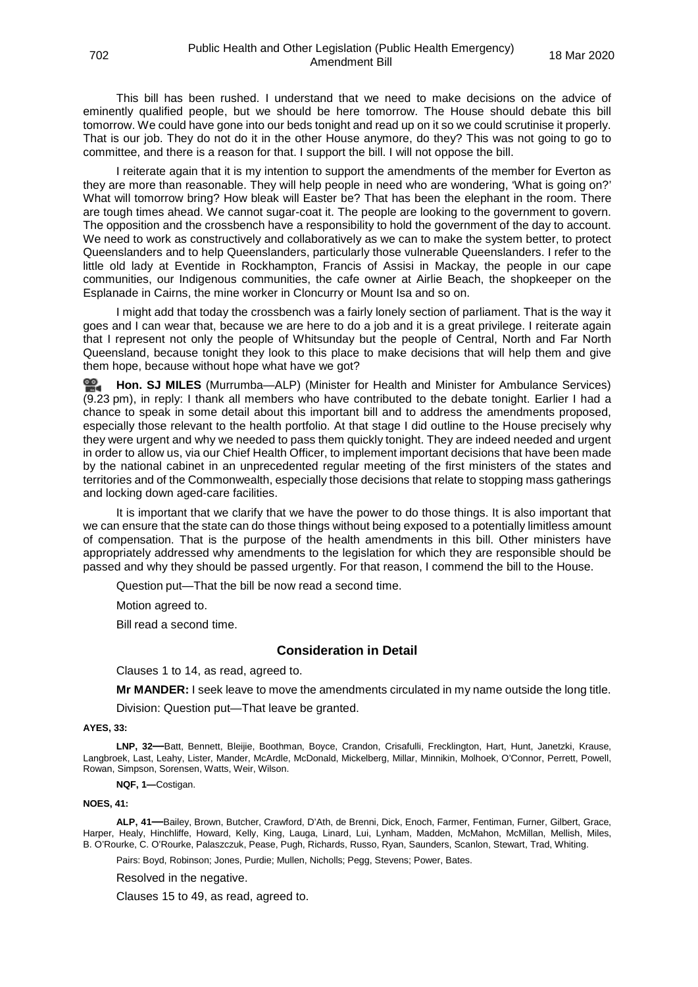This bill has been rushed. I understand that we need to make decisions on the advice of eminently qualified people, but we should be here tomorrow. The House should debate this bill tomorrow. We could have gone into our beds tonight and read up on it so we could scrutinise it properly. That is our job. They do not do it in the other House anymore, do they? This was not going to go to committee, and there is a reason for that. I support the bill. I will not oppose the bill.

I reiterate again that it is my intention to support the amendments of the member for Everton as they are more than reasonable. They will help people in need who are wondering, 'What is going on?' What will tomorrow bring? How bleak will Easter be? That has been the elephant in the room. There are tough times ahead. We cannot sugar-coat it. The people are looking to the government to govern. The opposition and the crossbench have a responsibility to hold the government of the day to account. We need to work as constructively and collaboratively as we can to make the system better, to protect Queenslanders and to help Queenslanders, particularly those vulnerable Queenslanders. I refer to the little old lady at Eventide in Rockhampton, Francis of Assisi in Mackay, the people in our cape communities, our Indigenous communities, the cafe owner at Airlie Beach, the shopkeeper on the Esplanade in Cairns, the mine worker in Cloncurry or Mount Isa and so on.

I might add that today the crossbench was a fairly lonely section of parliament. That is the way it goes and I can wear that, because we are here to do a job and it is a great privilege. I reiterate again that I represent not only the people of Whitsunday but the people of Central, North and Far North Queensland, because tonight they look to this place to make decisions that will help them and give them hope, because without hope what have we got?

**[Hon. SJ MILES](http://www.parliament.qld.gov.au/docs/find.aspx?id=0Mba20200318_212305)** (Murrumba—ALP) (Minister for Health and Minister for Ambulance Services) (9.23 pm), in reply: I thank all members who have contributed to the debate tonight. Earlier I had a chance to speak in some detail about this important bill and to address the amendments proposed, especially those relevant to the health portfolio. At that stage I did outline to the House precisely why they were urgent and why we needed to pass them quickly tonight. They are indeed needed and urgent in order to allow us, via our Chief Health Officer, to implement important decisions that have been made by the national cabinet in an unprecedented regular meeting of the first ministers of the states and territories and of the Commonwealth, especially those decisions that relate to stopping mass gatherings and locking down aged-care facilities.

It is important that we clarify that we have the power to do those things. It is also important that we can ensure that the state can do those things without being exposed to a potentially limitless amount of compensation. That is the purpose of the health amendments in this bill. Other ministers have appropriately addressed why amendments to the legislation for which they are responsible should be passed and why they should be passed urgently. For that reason, I commend the bill to the House.

Question put—That the bill be now read a second time.

Motion agreed to.

<span id="page-52-0"></span>Bill read a second time.

## **Consideration in Detail**

<span id="page-52-1"></span>Clauses 1 to 14, as read, agreed to.

**Mr MANDER:** I seek leave to move the amendments circulated in my name outside the long title.

Division: Question put—That leave be granted.

#### <span id="page-52-2"></span>**AYES, 33:**

**LNP, 32—**Batt, Bennett, Bleijie, Boothman, Boyce, Crandon, Crisafulli, Frecklington, Hart, Hunt, Janetzki, Krause, Langbroek, Last, Leahy, Lister, Mander, McArdle, McDonald, Mickelberg, Millar, Minnikin, Molhoek, O'Connor, Perrett, Powell, Rowan, Simpson, Sorensen, Watts, Weir, Wilson.

**NQF, 1—**Costigan.

#### **NOES, 41:**

**ALP, 41—**Bailey, Brown, Butcher, Crawford, D'Ath, de Brenni, Dick, Enoch, Farmer, Fentiman, Furner, Gilbert, Grace, Harper, Healy, Hinchliffe, Howard, Kelly, King, Lauga, Linard, Lui, Lynham, Madden, McMahon, McMillan, Mellish, Miles, B. O'Rourke, C. O'Rourke, Palaszczuk, Pease, Pugh, Richards, Russo, Ryan, Saunders, Scanlon, Stewart, Trad, Whiting.

Pairs: Boyd, Robinson; Jones, Purdie; Mullen, Nicholls; Pegg, Stevens; Power, Bates.

<span id="page-52-3"></span>Resolved in the negative.

<span id="page-52-4"></span>Clauses 15 to 49, as read, agreed to.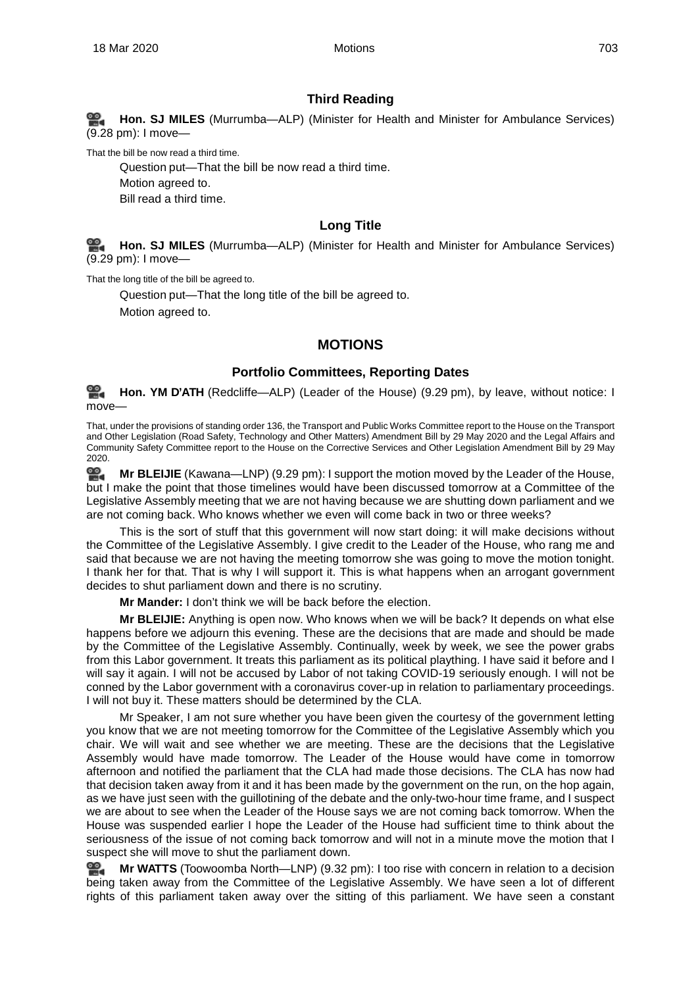## **Third Reading**

<span id="page-53-0"></span>**[Hon. SJ MILES](http://www.parliament.qld.gov.au/docs/find.aspx?id=0Mba20200318_212839)** (Murrumba—ALP) (Minister for Health and Minister for Ambulance Services) (9.28 pm): I move—

That the bill be now read a third time.

Question put—That the bill be now read a third time. Motion agreed to. Bill read a third time.

## **Long Title**

<span id="page-53-1"></span>**[Hon. SJ MILES](http://www.parliament.qld.gov.au/docs/find.aspx?id=0Mba20200318_212902)** (Murrumba—ALP) (Minister for Health and Minister for Ambulance Services) (9.29 pm): I move—

That the long title of the bill be agreed to.

<span id="page-53-2"></span>Question put—That the long title of the bill be agreed to. Motion agreed to.

**MOTIONS**

## **Portfolio Committees, Reporting Dates**

<span id="page-53-3"></span><u>ഇ.</u> **[Hon. YM](http://www.parliament.qld.gov.au/docs/find.aspx?id=0Mba20200318_212918) D'ATH** (Redcliffe—ALP) (Leader of the House) (9.29 pm), by leave, without notice: I move

That, under the provisions of standing order 136, the Transport and Public Works Committee report to the House on the Transport and Other Legislation (Road Safety, Technology and Other Matters) Amendment Bill by 29 May 2020 and the Legal Affairs and Community Safety Committee report to the House on the Corrective Services and Other Legislation Amendment Bill by 29 May 2020.

**임. Mr [BLEIJIE](http://www.parliament.qld.gov.au/docs/find.aspx?id=0Mba20200318_212951)** (Kawana—LNP) (9.29 pm): I support the motion moved by the Leader of the House, but I make the point that those timelines would have been discussed tomorrow at a Committee of the Legislative Assembly meeting that we are not having because we are shutting down parliament and we are not coming back. Who knows whether we even will come back in two or three weeks?

This is the sort of stuff that this government will now start doing: it will make decisions without the Committee of the Legislative Assembly. I give credit to the Leader of the House, who rang me and said that because we are not having the meeting tomorrow she was going to move the motion tonight. I thank her for that. That is why I will support it. This is what happens when an arrogant government decides to shut parliament down and there is no scrutiny.

**Mr Mander:** I don't think we will be back before the election.

**Mr BLEIJIE:** Anything is open now. Who knows when we will be back? It depends on what else happens before we adjourn this evening. These are the decisions that are made and should be made by the Committee of the Legislative Assembly. Continually, week by week, we see the power grabs from this Labor government. It treats this parliament as its political plaything. I have said it before and I will say it again. I will not be accused by Labor of not taking COVID-19 seriously enough. I will not be conned by the Labor government with a coronavirus cover-up in relation to parliamentary proceedings. I will not buy it. These matters should be determined by the CLA.

Mr Speaker, I am not sure whether you have been given the courtesy of the government letting you know that we are not meeting tomorrow for the Committee of the Legislative Assembly which you chair. We will wait and see whether we are meeting. These are the decisions that the Legislative Assembly would have made tomorrow. The Leader of the House would have come in tomorrow afternoon and notified the parliament that the CLA had made those decisions. The CLA has now had that decision taken away from it and it has been made by the government on the run, on the hop again, as we have just seen with the guillotining of the debate and the only-two-hour time frame, and I suspect we are about to see when the Leader of the House says we are not coming back tomorrow. When the House was suspended earlier I hope the Leader of the House had sufficient time to think about the seriousness of the issue of not coming back tomorrow and will not in a minute move the motion that I suspect she will move to shut the parliament down.

≌. **Mr [WATTS](http://www.parliament.qld.gov.au/docs/find.aspx?id=0Mba20200318_213243)** (Toowoomba North—LNP) (9.32 pm): I too rise with concern in relation to a decision being taken away from the Committee of the Legislative Assembly. We have seen a lot of different rights of this parliament taken away over the sitting of this parliament. We have seen a constant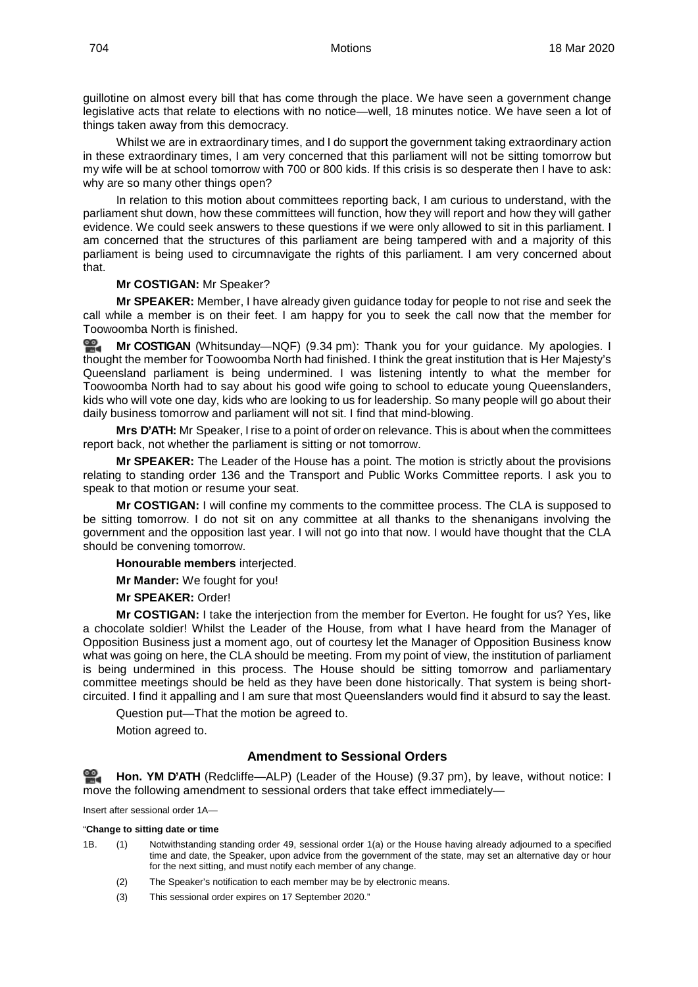guillotine on almost every bill that has come through the place. We have seen a government change legislative acts that relate to elections with no notice—well, 18 minutes notice. We have seen a lot of things taken away from this democracy.

Whilst we are in extraordinary times, and I do support the government taking extraordinary action in these extraordinary times, I am very concerned that this parliament will not be sitting tomorrow but my wife will be at school tomorrow with 700 or 800 kids. If this crisis is so desperate then I have to ask: why are so many other things open?

In relation to this motion about committees reporting back, I am curious to understand, with the parliament shut down, how these committees will function, how they will report and how they will gather evidence. We could seek answers to these questions if we were only allowed to sit in this parliament. I am concerned that the structures of this parliament are being tampered with and a majority of this parliament is being used to circumnavigate the rights of this parliament. I am very concerned about that.

#### **Mr COSTIGAN:** Mr Speaker?

**Mr SPEAKER:** Member, I have already given guidance today for people to not rise and seek the call while a member is on their feet. I am happy for you to seek the call now that the member for Toowoomba North is finished.

≌. **Mr [COSTIGAN](http://www.parliament.qld.gov.au/docs/find.aspx?id=0Mba20200318_213439)** (Whitsunday—NQF) (9.34 pm): Thank you for your guidance. My apologies. I thought the member for Toowoomba North had finished. I think the great institution that is Her Majesty's Queensland parliament is being undermined. I was listening intently to what the member for Toowoomba North had to say about his good wife going to school to educate young Queenslanders, kids who will vote one day, kids who are looking to us for leadership. So many people will go about their daily business tomorrow and parliament will not sit. I find that mind-blowing.

**Mrs D'ATH:** Mr Speaker, I rise to a point of order on relevance. This is about when the committees report back, not whether the parliament is sitting or not tomorrow.

**Mr SPEAKER:** The Leader of the House has a point. The motion is strictly about the provisions relating to standing order 136 and the Transport and Public Works Committee reports. I ask you to speak to that motion or resume your seat.

**Mr COSTIGAN:** I will confine my comments to the committee process. The CLA is supposed to be sitting tomorrow. I do not sit on any committee at all thanks to the shenanigans involving the government and the opposition last year. I will not go into that now. I would have thought that the CLA should be convening tomorrow.

**Honourable members** interjected.

**Mr Mander:** We fought for you!

**Mr SPEAKER:** Order!

**Mr COSTIGAN:** I take the interjection from the member for Everton. He fought for us? Yes, like a chocolate soldier! Whilst the Leader of the House, from what I have heard from the Manager of Opposition Business just a moment ago, out of courtesy let the Manager of Opposition Business know what was going on here, the CLA should be meeting. From my point of view, the institution of parliament is being undermined in this process. The House should be sitting tomorrow and parliamentary committee meetings should be held as they have been done historically. That system is being shortcircuited. I find it appalling and I am sure that most Queenslanders would find it absurd to say the least.

Question put—That the motion be agreed to.

Motion agreed to.

## **Amendment to Sessional Orders**

<span id="page-54-0"></span>≌. **[Hon. YM](http://www.parliament.qld.gov.au/docs/find.aspx?id=0Mba20200318_213729) D'ATH** (Redcliffe—ALP) (Leader of the House) (9.37 pm), by leave, without notice: I move the following amendment to sessional orders that take effect immediately—

Insert after sessional order 1A—

#### "**Change to sitting date or time**

- 1B. (1) Notwithstanding standing order 49, sessional order 1(a) or the House having already adjourned to a specified time and date, the Speaker, upon advice from the government of the state, may set an alternative day or hour for the next sitting, and must notify each member of any change.
	- (2) The Speaker's notification to each member may be by electronic means.
	- (3) This sessional order expires on 17 September 2020."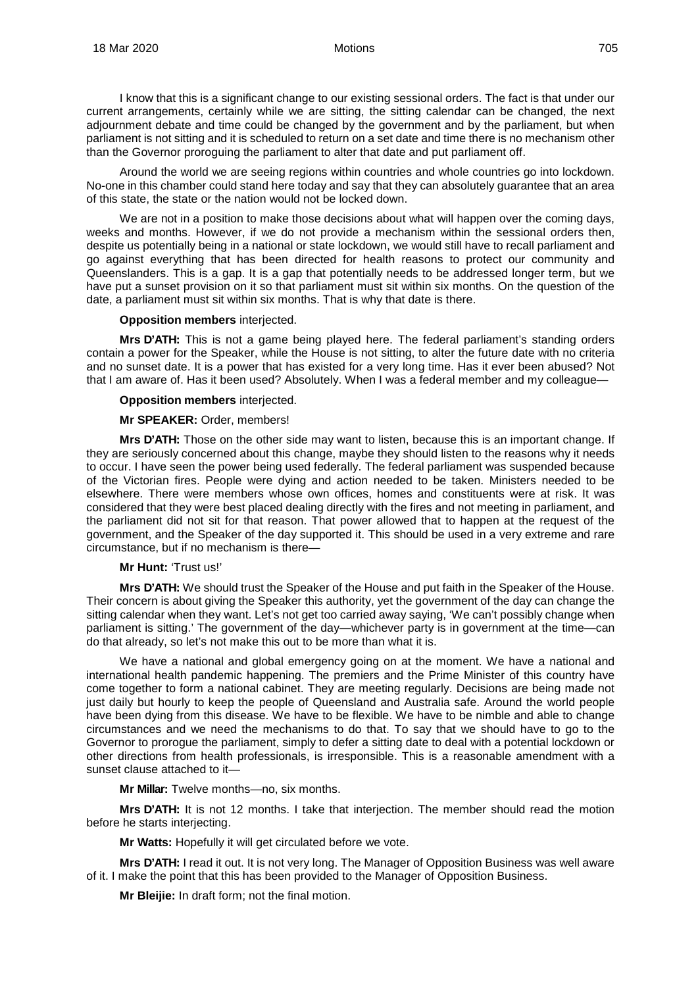I know that this is a significant change to our existing sessional orders. The fact is that under our current arrangements, certainly while we are sitting, the sitting calendar can be changed, the next adjournment debate and time could be changed by the government and by the parliament, but when parliament is not sitting and it is scheduled to return on a set date and time there is no mechanism other than the Governor proroguing the parliament to alter that date and put parliament off.

Around the world we are seeing regions within countries and whole countries go into lockdown. No-one in this chamber could stand here today and say that they can absolutely guarantee that an area of this state, the state or the nation would not be locked down.

We are not in a position to make those decisions about what will happen over the coming days, weeks and months. However, if we do not provide a mechanism within the sessional orders then, despite us potentially being in a national or state lockdown, we would still have to recall parliament and go against everything that has been directed for health reasons to protect our community and Queenslanders. This is a gap. It is a gap that potentially needs to be addressed longer term, but we have put a sunset provision on it so that parliament must sit within six months. On the question of the date, a parliament must sit within six months. That is why that date is there.

#### **Opposition members** interjected.

**Mrs D'ATH:** This is not a game being played here. The federal parliament's standing orders contain a power for the Speaker, while the House is not sitting, to alter the future date with no criteria and no sunset date. It is a power that has existed for a very long time. Has it ever been abused? Not that I am aware of. Has it been used? Absolutely. When I was a federal member and my colleague—

#### **Opposition members** interjected.

#### **Mr SPEAKER:** Order, members!

**Mrs D'ATH:** Those on the other side may want to listen, because this is an important change. If they are seriously concerned about this change, maybe they should listen to the reasons why it needs to occur. I have seen the power being used federally. The federal parliament was suspended because of the Victorian fires. People were dying and action needed to be taken. Ministers needed to be elsewhere. There were members whose own offices, homes and constituents were at risk. It was considered that they were best placed dealing directly with the fires and not meeting in parliament, and the parliament did not sit for that reason. That power allowed that to happen at the request of the government, and the Speaker of the day supported it. This should be used in a very extreme and rare circumstance, but if no mechanism is there—

#### **Mr Hunt:** 'Trust us!'

**Mrs D'ATH:** We should trust the Speaker of the House and put faith in the Speaker of the House. Their concern is about giving the Speaker this authority, yet the government of the day can change the sitting calendar when they want. Let's not get too carried away saying, 'We can't possibly change when parliament is sitting.' The government of the day—whichever party is in government at the time—can do that already, so let's not make this out to be more than what it is.

We have a national and global emergency going on at the moment. We have a national and international health pandemic happening. The premiers and the Prime Minister of this country have come together to form a national cabinet. They are meeting regularly. Decisions are being made not just daily but hourly to keep the people of Queensland and Australia safe. Around the world people have been dying from this disease. We have to be flexible. We have to be nimble and able to change circumstances and we need the mechanisms to do that. To say that we should have to go to the Governor to prorogue the parliament, simply to defer a sitting date to deal with a potential lockdown or other directions from health professionals, is irresponsible. This is a reasonable amendment with a sunset clause attached to it—

**Mr Millar:** Twelve months—no, six months.

**Mrs D'ATH:** It is not 12 months. I take that interjection. The member should read the motion before he starts interjecting.

**Mr Watts:** Hopefully it will get circulated before we vote.

**Mrs D'ATH:** I read it out. It is not very long. The Manager of Opposition Business was well aware of it. I make the point that this has been provided to the Manager of Opposition Business.

**Mr Bleijie:** In draft form; not the final motion.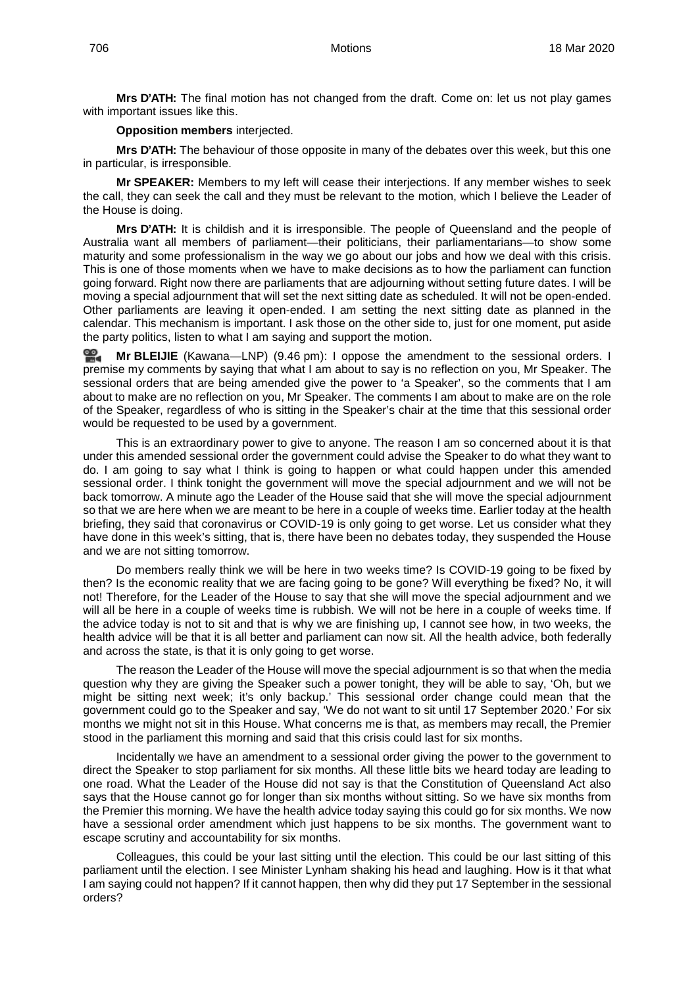**Mrs D'ATH:** The final motion has not changed from the draft. Come on: let us not play games with important issues like this.

#### **Opposition members** interjected.

**Mrs D'ATH:** The behaviour of those opposite in many of the debates over this week, but this one in particular, is irresponsible.

**Mr SPEAKER:** Members to my left will cease their interjections. If any member wishes to seek the call, they can seek the call and they must be relevant to the motion, which I believe the Leader of the House is doing.

**Mrs D'ATH:** It is childish and it is irresponsible. The people of Queensland and the people of Australia want all members of parliament—their politicians, their parliamentarians—to show some maturity and some professionalism in the way we go about our jobs and how we deal with this crisis. This is one of those moments when we have to make decisions as to how the parliament can function going forward. Right now there are parliaments that are adjourning without setting future dates. I will be moving a special adjournment that will set the next sitting date as scheduled. It will not be open-ended. Other parliaments are leaving it open-ended. I am setting the next sitting date as planned in the calendar. This mechanism is important. I ask those on the other side to, just for one moment, put aside the party politics, listen to what I am saying and support the motion.

**Mr [BLEIJIE](http://www.parliament.qld.gov.au/docs/find.aspx?id=0Mba20200318_214626)** (Kawana—LNP) (9.46 pm): I oppose the amendment to the sessional orders. I premise my comments by saying that what I am about to say is no reflection on you, Mr Speaker. The sessional orders that are being amended give the power to 'a Speaker', so the comments that I am about to make are no reflection on you, Mr Speaker. The comments I am about to make are on the role of the Speaker, regardless of who is sitting in the Speaker's chair at the time that this sessional order would be requested to be used by a government.

This is an extraordinary power to give to anyone. The reason I am so concerned about it is that under this amended sessional order the government could advise the Speaker to do what they want to do. I am going to say what I think is going to happen or what could happen under this amended sessional order. I think tonight the government will move the special adjournment and we will not be back tomorrow. A minute ago the Leader of the House said that she will move the special adjournment so that we are here when we are meant to be here in a couple of weeks time. Earlier today at the health briefing, they said that coronavirus or COVID-19 is only going to get worse. Let us consider what they have done in this week's sitting, that is, there have been no debates today, they suspended the House and we are not sitting tomorrow.

Do members really think we will be here in two weeks time? Is COVID-19 going to be fixed by then? Is the economic reality that we are facing going to be gone? Will everything be fixed? No, it will not! Therefore, for the Leader of the House to say that she will move the special adjournment and we will all be here in a couple of weeks time is rubbish. We will not be here in a couple of weeks time. If the advice today is not to sit and that is why we are finishing up, I cannot see how, in two weeks, the health advice will be that it is all better and parliament can now sit. All the health advice, both federally and across the state, is that it is only going to get worse.

The reason the Leader of the House will move the special adjournment is so that when the media question why they are giving the Speaker such a power tonight, they will be able to say, 'Oh, but we might be sitting next week; it's only backup.' This sessional order change could mean that the government could go to the Speaker and say, 'We do not want to sit until 17 September 2020.' For six months we might not sit in this House. What concerns me is that, as members may recall, the Premier stood in the parliament this morning and said that this crisis could last for six months.

Incidentally we have an amendment to a sessional order giving the power to the government to direct the Speaker to stop parliament for six months. All these little bits we heard today are leading to one road. What the Leader of the House did not say is that the Constitution of Queensland Act also says that the House cannot go for longer than six months without sitting. So we have six months from the Premier this morning. We have the health advice today saying this could go for six months. We now have a sessional order amendment which just happens to be six months. The government want to escape scrutiny and accountability for six months.

Colleagues, this could be your last sitting until the election. This could be our last sitting of this parliament until the election. I see Minister Lynham shaking his head and laughing. How is it that what I am saying could not happen? If it cannot happen, then why did they put 17 September in the sessional orders?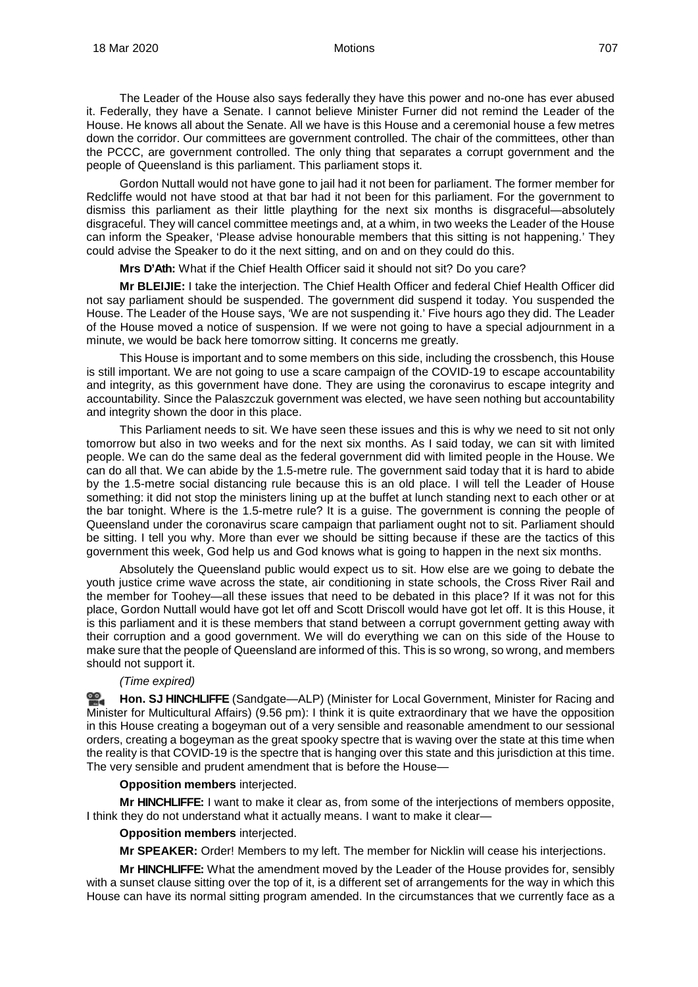The Leader of the House also says federally they have this power and no-one has ever abused it. Federally, they have a Senate. I cannot believe Minister Furner did not remind the Leader of the House. He knows all about the Senate. All we have is this House and a ceremonial house a few metres down the corridor. Our committees are government controlled. The chair of the committees, other than the PCCC, are government controlled. The only thing that separates a corrupt government and the people of Queensland is this parliament. This parliament stops it.

Gordon Nuttall would not have gone to jail had it not been for parliament. The former member for Redcliffe would not have stood at that bar had it not been for this parliament. For the government to dismiss this parliament as their little plaything for the next six months is disgraceful—absolutely disgraceful. They will cancel committee meetings and, at a whim, in two weeks the Leader of the House can inform the Speaker, 'Please advise honourable members that this sitting is not happening.' They could advise the Speaker to do it the next sitting, and on and on they could do this.

**Mrs D'Ath:** What if the Chief Health Officer said it should not sit? Do you care?

**Mr BLEIJIE:** I take the interjection. The Chief Health Officer and federal Chief Health Officer did not say parliament should be suspended. The government did suspend it today. You suspended the House. The Leader of the House says, 'We are not suspending it.' Five hours ago they did. The Leader of the House moved a notice of suspension. If we were not going to have a special adjournment in a minute, we would be back here tomorrow sitting. It concerns me greatly.

This House is important and to some members on this side, including the crossbench, this House is still important. We are not going to use a scare campaign of the COVID-19 to escape accountability and integrity, as this government have done. They are using the coronavirus to escape integrity and accountability. Since the Palaszczuk government was elected, we have seen nothing but accountability and integrity shown the door in this place.

This Parliament needs to sit. We have seen these issues and this is why we need to sit not only tomorrow but also in two weeks and for the next six months. As I said today, we can sit with limited people. We can do the same deal as the federal government did with limited people in the House. We can do all that. We can abide by the 1.5-metre rule. The government said today that it is hard to abide by the 1.5-metre social distancing rule because this is an old place. I will tell the Leader of House something: it did not stop the ministers lining up at the buffet at lunch standing next to each other or at the bar tonight. Where is the 1.5-metre rule? It is a guise. The government is conning the people of Queensland under the coronavirus scare campaign that parliament ought not to sit. Parliament should be sitting. I tell you why. More than ever we should be sitting because if these are the tactics of this government this week, God help us and God knows what is going to happen in the next six months.

Absolutely the Queensland public would expect us to sit. How else are we going to debate the youth justice crime wave across the state, air conditioning in state schools, the Cross River Rail and the member for Toohey—all these issues that need to be debated in this place? If it was not for this place, Gordon Nuttall would have got let off and Scott Driscoll would have got let off. It is this House, it is this parliament and it is these members that stand between a corrupt government getting away with their corruption and a good government. We will do everything we can on this side of the House to make sure that the people of Queensland are informed of this. This is so wrong, so wrong, and members should not support it.

#### *(Time expired)*

≌. **Hon. SJ [HINCHLIFFE](http://www.parliament.qld.gov.au/docs/find.aspx?id=0Mba20200318_215629)** (Sandgate—ALP) (Minister for Local Government, Minister for Racing and Minister for Multicultural Affairs) (9.56 pm): I think it is quite extraordinary that we have the opposition in this House creating a bogeyman out of a very sensible and reasonable amendment to our sessional orders, creating a bogeyman as the great spooky spectre that is waving over the state at this time when the reality is that COVID-19 is the spectre that is hanging over this state and this jurisdiction at this time. The very sensible and prudent amendment that is before the House—

#### **Opposition members** interjected.

**Mr HINCHLIFFE:** I want to make it clear as, from some of the interjections of members opposite, I think they do not understand what it actually means. I want to make it clear—

#### **Opposition members** interjected.

**Mr SPEAKER:** Order! Members to my left. The member for Nicklin will cease his interjections.

**Mr HINCHLIFFE:** What the amendment moved by the Leader of the House provides for, sensibly with a sunset clause sitting over the top of it, is a different set of arrangements for the way in which this House can have its normal sitting program amended. In the circumstances that we currently face as a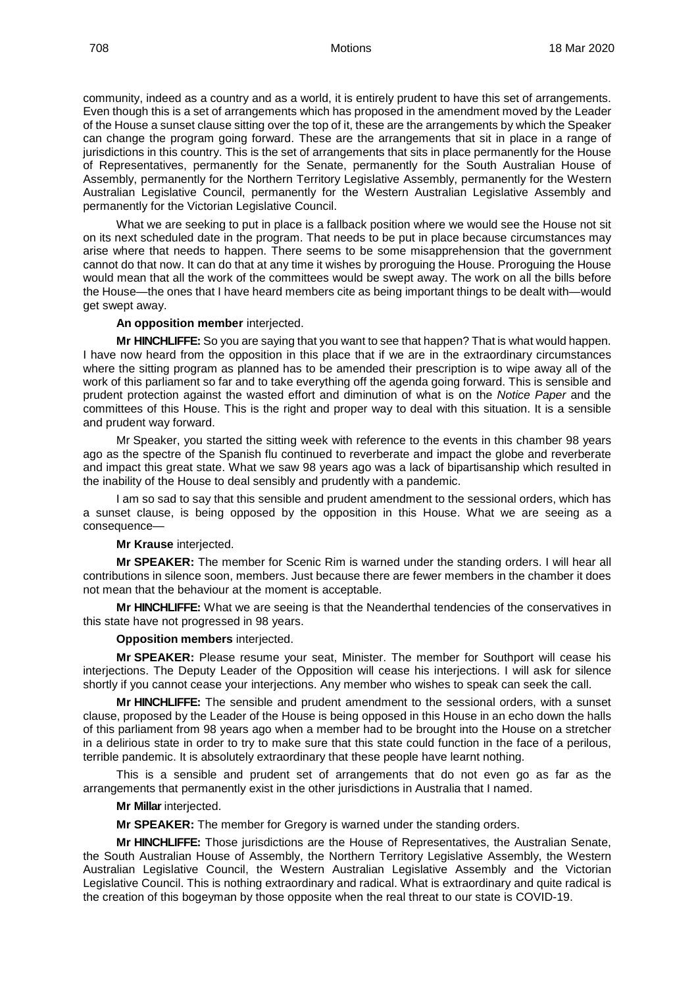community, indeed as a country and as a world, it is entirely prudent to have this set of arrangements. Even though this is a set of arrangements which has proposed in the amendment moved by the Leader of the House a sunset clause sitting over the top of it, these are the arrangements by which the Speaker can change the program going forward. These are the arrangements that sit in place in a range of jurisdictions in this country. This is the set of arrangements that sits in place permanently for the House of Representatives, permanently for the Senate, permanently for the South Australian House of Assembly, permanently for the Northern Territory Legislative Assembly, permanently for the Western Australian Legislative Council, permanently for the Western Australian Legislative Assembly and permanently for the Victorian Legislative Council.

What we are seeking to put in place is a fallback position where we would see the House not sit on its next scheduled date in the program. That needs to be put in place because circumstances may arise where that needs to happen. There seems to be some misapprehension that the government cannot do that now. It can do that at any time it wishes by proroguing the House. Proroguing the House would mean that all the work of the committees would be swept away. The work on all the bills before the House—the ones that I have heard members cite as being important things to be dealt with—would get swept away.

#### **An opposition member** interjected.

**Mr HINCHLIFFE:** So you are saying that you want to see that happen? That is what would happen. I have now heard from the opposition in this place that if we are in the extraordinary circumstances where the sitting program as planned has to be amended their prescription is to wipe away all of the work of this parliament so far and to take everything off the agenda going forward. This is sensible and prudent protection against the wasted effort and diminution of what is on the *Notice Paper* and the committees of this House. This is the right and proper way to deal with this situation. It is a sensible and prudent way forward.

Mr Speaker, you started the sitting week with reference to the events in this chamber 98 years ago as the spectre of the Spanish flu continued to reverberate and impact the globe and reverberate and impact this great state. What we saw 98 years ago was a lack of bipartisanship which resulted in the inability of the House to deal sensibly and prudently with a pandemic.

I am so sad to say that this sensible and prudent amendment to the sessional orders, which has a sunset clause, is being opposed by the opposition in this House. What we are seeing as a consequence—

#### **Mr Krause** interjected.

**Mr SPEAKER:** The member for Scenic Rim is warned under the standing orders. I will hear all contributions in silence soon, members. Just because there are fewer members in the chamber it does not mean that the behaviour at the moment is acceptable.

**Mr HINCHLIFFE:** What we are seeing is that the Neanderthal tendencies of the conservatives in this state have not progressed in 98 years.

#### **Opposition members** interjected.

**Mr SPEAKER:** Please resume your seat, Minister. The member for Southport will cease his interjections. The Deputy Leader of the Opposition will cease his interjections. I will ask for silence shortly if you cannot cease your interjections. Any member who wishes to speak can seek the call.

**Mr HINCHLIFFE:** The sensible and prudent amendment to the sessional orders, with a sunset clause, proposed by the Leader of the House is being opposed in this House in an echo down the halls of this parliament from 98 years ago when a member had to be brought into the House on a stretcher in a delirious state in order to try to make sure that this state could function in the face of a perilous, terrible pandemic. It is absolutely extraordinary that these people have learnt nothing.

This is a sensible and prudent set of arrangements that do not even go as far as the arrangements that permanently exist in the other jurisdictions in Australia that I named.

#### **Mr Millar** interjected.

**Mr SPEAKER:** The member for Gregory is warned under the standing orders.

**Mr HINCHLIFFE:** Those jurisdictions are the House of Representatives, the Australian Senate, the South Australian House of Assembly, the Northern Territory Legislative Assembly, the Western Australian Legislative Council, the Western Australian Legislative Assembly and the Victorian Legislative Council. This is nothing extraordinary and radical. What is extraordinary and quite radical is the creation of this bogeyman by those opposite when the real threat to our state is COVID-19.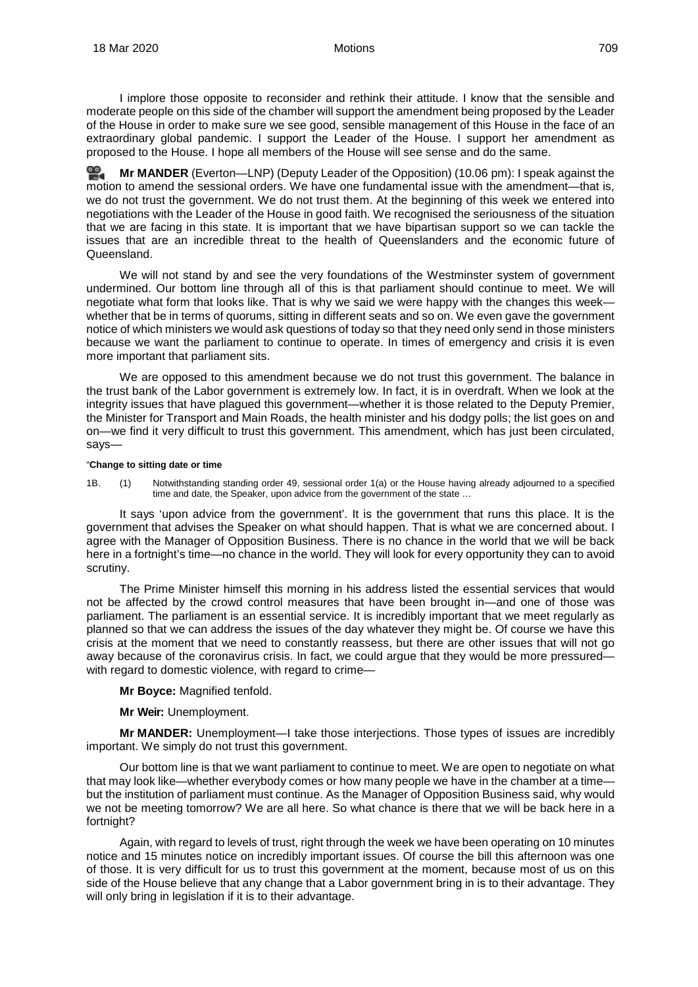I implore those opposite to reconsider and rethink their attitude. I know that the sensible and moderate people on this side of the chamber will support the amendment being proposed by the Leader of the House in order to make sure we see good, sensible management of this House in the face of an extraordinary global pandemic. I support the Leader of the House. I support her amendment as proposed to the House. I hope all members of the House will see sense and do the same.

쓺. **Mr [MANDER](http://www.parliament.qld.gov.au/docs/find.aspx?id=0Mba20200318_220613)** (Everton—LNP) (Deputy Leader of the Opposition) (10.06 pm): I speak against the motion to amend the sessional orders. We have one fundamental issue with the amendment—that is, we do not trust the government. We do not trust them. At the beginning of this week we entered into negotiations with the Leader of the House in good faith. We recognised the seriousness of the situation that we are facing in this state. It is important that we have bipartisan support so we can tackle the issues that are an incredible threat to the health of Queenslanders and the economic future of Queensland.

We will not stand by and see the very foundations of the Westminster system of government undermined. Our bottom line through all of this is that parliament should continue to meet. We will negotiate what form that looks like. That is why we said we were happy with the changes this week whether that be in terms of quorums, sitting in different seats and so on. We even gave the government notice of which ministers we would ask questions of today so that they need only send in those ministers because we want the parliament to continue to operate. In times of emergency and crisis it is even more important that parliament sits.

We are opposed to this amendment because we do not trust this government. The balance in the trust bank of the Labor government is extremely low. In fact, it is in overdraft. When we look at the integrity issues that have plagued this government—whether it is those related to the Deputy Premier, the Minister for Transport and Main Roads, the health minister and his dodgy polls; the list goes on and on—we find it very difficult to trust this government. This amendment, which has just been circulated, says—

#### "**Change to sitting date or time**

1B. (1) Notwithstanding standing order 49, sessional order 1(a) or the House having already adjourned to a specified time and date, the Speaker, upon advice from the government of the state ...

It says 'upon advice from the government'. It is the government that runs this place. It is the government that advises the Speaker on what should happen. That is what we are concerned about. I agree with the Manager of Opposition Business. There is no chance in the world that we will be back here in a fortnight's time—no chance in the world. They will look for every opportunity they can to avoid scrutiny.

The Prime Minister himself this morning in his address listed the essential services that would not be affected by the crowd control measures that have been brought in—and one of those was parliament. The parliament is an essential service. It is incredibly important that we meet regularly as planned so that we can address the issues of the day whatever they might be. Of course we have this crisis at the moment that we need to constantly reassess, but there are other issues that will not go away because of the coronavirus crisis. In fact, we could argue that they would be more pressured with regard to domestic violence, with regard to crime—

**Mr Boyce:** Magnified tenfold.

**Mr Weir:** Unemployment.

**Mr MANDER:** Unemployment—I take those interjections. Those types of issues are incredibly important. We simply do not trust this government.

Our bottom line is that we want parliament to continue to meet. We are open to negotiate on what that may look like—whether everybody comes or how many people we have in the chamber at a time but the institution of parliament must continue. As the Manager of Opposition Business said, why would we not be meeting tomorrow? We are all here. So what chance is there that we will be back here in a fortnight?

Again, with regard to levels of trust, right through the week we have been operating on 10 minutes notice and 15 minutes notice on incredibly important issues. Of course the bill this afternoon was one of those. It is very difficult for us to trust this government at the moment, because most of us on this side of the House believe that any change that a Labor government bring in is to their advantage. They will only bring in legislation if it is to their advantage.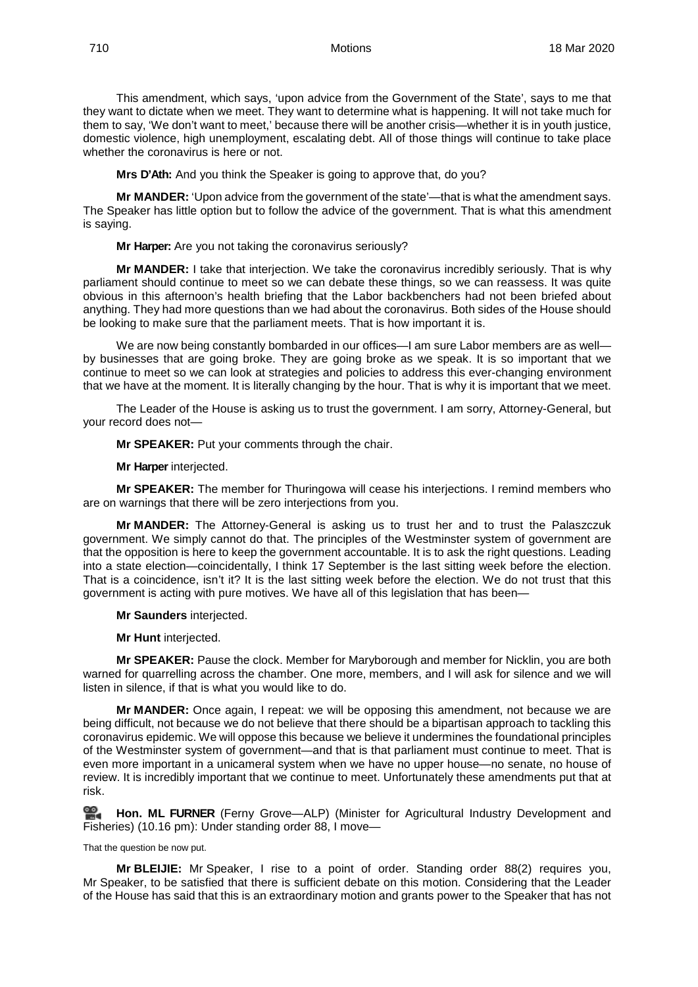This amendment, which says, 'upon advice from the Government of the State', says to me that they want to dictate when we meet. They want to determine what is happening. It will not take much for them to say, 'We don't want to meet,' because there will be another crisis—whether it is in youth justice, domestic violence, high unemployment, escalating debt. All of those things will continue to take place whether the coronavirus is here or not.

**Mrs D'Ath:** And you think the Speaker is going to approve that, do you?

**Mr MANDER:** 'Upon advice from the government of the state'—that is what the amendment says. The Speaker has little option but to follow the advice of the government. That is what this amendment is saying.

**Mr Harper:** Are you not taking the coronavirus seriously?

**Mr MANDER:** I take that interjection. We take the coronavirus incredibly seriously. That is why parliament should continue to meet so we can debate these things, so we can reassess. It was quite obvious in this afternoon's health briefing that the Labor backbenchers had not been briefed about anything. They had more questions than we had about the coronavirus. Both sides of the House should be looking to make sure that the parliament meets. That is how important it is.

We are now being constantly bombarded in our offices—I am sure Labor members are as well by businesses that are going broke. They are going broke as we speak. It is so important that we continue to meet so we can look at strategies and policies to address this ever-changing environment that we have at the moment. It is literally changing by the hour. That is why it is important that we meet.

The Leader of the House is asking us to trust the government. I am sorry, Attorney-General, but your record does not—

**Mr SPEAKER:** Put your comments through the chair.

**Mr Harper** interjected.

**Mr SPEAKER:** The member for Thuringowa will cease his interjections. I remind members who are on warnings that there will be zero interjections from you.

**Mr MANDER:** The Attorney-General is asking us to trust her and to trust the Palaszczuk government. We simply cannot do that. The principles of the Westminster system of government are that the opposition is here to keep the government accountable. It is to ask the right questions. Leading into a state election—coincidentally, I think 17 September is the last sitting week before the election. That is a coincidence, isn't it? It is the last sitting week before the election. We do not trust that this government is acting with pure motives. We have all of this legislation that has been—

**Mr Saunders** interjected.

**Mr Hunt** interjected.

**Mr SPEAKER:** Pause the clock. Member for Maryborough and member for Nicklin, you are both warned for quarrelling across the chamber. One more, members, and I will ask for silence and we will listen in silence, if that is what you would like to do.

**Mr MANDER:** Once again, I repeat: we will be opposing this amendment, not because we are being difficult, not because we do not believe that there should be a bipartisan approach to tackling this coronavirus epidemic. We will oppose this because we believe it undermines the foundational principles of the Westminster system of government—and that is that parliament must continue to meet. That is even more important in a unicameral system when we have no upper house—no senate, no house of review. It is incredibly important that we continue to meet. Unfortunately these amendments put that at risk.

**[Hon. ML](http://www.parliament.qld.gov.au/docs/find.aspx?id=0Mba20200318_221606) FURNER** (Ferny Grove—ALP) (Minister for Agricultural Industry Development and Fisheries) (10.16 pm): Under standing order 88, I move—

That the question be now put.

**Mr BLEIJIE:** Mr Speaker, I rise to a point of order. Standing order 88(2) requires you, Mr Speaker, to be satisfied that there is sufficient debate on this motion. Considering that the Leader of the House has said that this is an extraordinary motion and grants power to the Speaker that has not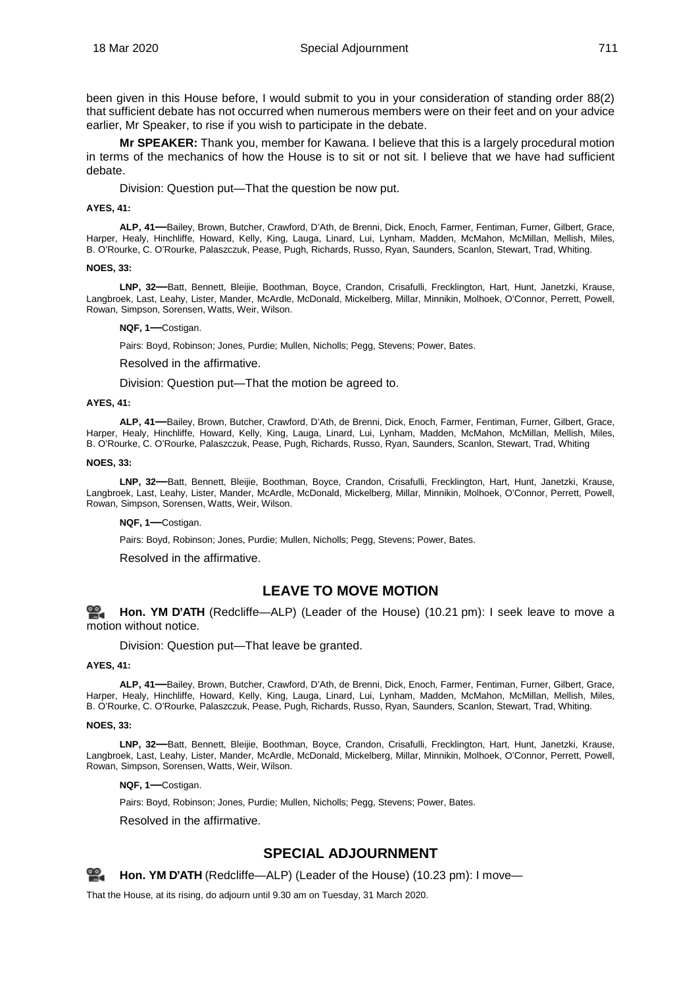been given in this House before, I would submit to you in your consideration of standing order 88(2) that sufficient debate has not occurred when numerous members were on their feet and on your advice earlier, Mr Speaker, to rise if you wish to participate in the debate.

**Mr SPEAKER:** Thank you, member for Kawana. I believe that this is a largely procedural motion in terms of the mechanics of how the House is to sit or not sit. I believe that we have had sufficient debate.

Division: Question put—That the question be now put.

#### <span id="page-61-0"></span>**AYES, 41:**

**ALP, 41—**Bailey, Brown, Butcher, Crawford, D'Ath, de Brenni, Dick, Enoch, Farmer, Fentiman, Furner, Gilbert, Grace, Harper, Healy, Hinchliffe, Howard, Kelly, King, Lauga, Linard, Lui, Lynham, Madden, McMahon, McMillan, Mellish, Miles, B. O'Rourke, C. O'Rourke, Palaszczuk, Pease, Pugh, Richards, Russo, Ryan, Saunders, Scanlon, Stewart, Trad, Whiting.

#### **NOES, 33:**

**LNP, 32—**Batt, Bennett, Bleijie, Boothman, Boyce, Crandon, Crisafulli, Frecklington, Hart, Hunt, Janetzki, Krause, Langbroek, Last, Leahy, Lister, Mander, McArdle, McDonald, Mickelberg, Millar, Minnikin, Molhoek, O'Connor, Perrett, Powell, Rowan, Simpson, Sorensen, Watts, Weir, Wilson.

#### **NQF, 1—**Costigan.

Pairs: Boyd, Robinson; Jones, Purdie; Mullen, Nicholls; Pegg, Stevens; Power, Bates.

#### <span id="page-61-1"></span>Resolved in the affirmative.

<span id="page-61-2"></span>Division: Question put—That the motion be agreed to.

#### **AYES, 41:**

**ALP, 41—**Bailey, Brown, Butcher, Crawford, D'Ath, de Brenni, Dick, Enoch, Farmer, Fentiman, Furner, Gilbert, Grace, Harper, Healy, Hinchliffe, Howard, Kelly, King, Lauga, Linard, Lui, Lynham, Madden, McMahon, McMillan, Mellish, Miles, B. O'Rourke, C. O'Rourke, Palaszczuk, Pease, Pugh, Richards, Russo, Ryan, Saunders, Scanlon, Stewart, Trad, Whiting

#### **NOES, 33:**

**LNP, 32—**Batt, Bennett, Bleijie, Boothman, Boyce, Crandon, Crisafulli, Frecklington, Hart, Hunt, Janetzki, Krause, Langbroek, Last, Leahy, Lister, Mander, McArdle, McDonald, Mickelberg, Millar, Minnikin, Molhoek, O'Connor, Perrett, Powell, Rowan, Simpson, Sorensen, Watts, Weir, Wilson.

#### **NQF, 1—**Costigan.

Pairs: Boyd, Robinson; Jones, Purdie; Mullen, Nicholls; Pegg, Stevens; Power, Bates.

<span id="page-61-3"></span>Resolved in the affirmative.

## **LEAVE TO MOVE MOTION**

<span id="page-61-4"></span>≌. **[Hon. YM](http://www.parliament.qld.gov.au/docs/find.aspx?id=0Mba20200318_222131) D'ATH** (Redcliffe—ALP) (Leader of the House) (10.21 pm): I seek leave to move a motion without notice.

Division: Question put—That leave be granted.

#### <span id="page-61-5"></span>**AYES, 41:**

**ALP, 41—**Bailey, Brown, Butcher, Crawford, D'Ath, de Brenni, Dick, Enoch, Farmer, Fentiman, Furner, Gilbert, Grace, Harper, Healy, Hinchliffe, Howard, Kelly, King, Lauga, Linard, Lui, Lynham, Madden, McMahon, McMillan, Mellish, Miles, B. O'Rourke, C. O'Rourke, Palaszczuk, Pease, Pugh, Richards, Russo, Ryan, Saunders, Scanlon, Stewart, Trad, Whiting.

#### **NOES, 33:**

**LNP, 32—**Batt, Bennett, Bleijie, Boothman, Boyce, Crandon, Crisafulli, Frecklington, Hart, Hunt, Janetzki, Krause, Langbroek, Last, Leahy, Lister, Mander, McArdle, McDonald, Mickelberg, Millar, Minnikin, Molhoek, O'Connor, Perrett, Powell, Rowan, Simpson, Sorensen, Watts, Weir, Wilson.

**NQF, 1—**Costigan.

Pairs: Boyd, Robinson; Jones, Purdie; Mullen, Nicholls; Pegg, Stevens; Power, Bates.

<span id="page-61-6"></span>Resolved in the affirmative.

## **SPECIAL ADJOURNMENT**

<span id="page-61-7"></span>ഇള **[Hon. YM](http://www.parliament.qld.gov.au/docs/find.aspx?id=0Mba20200318_222330) D'ATH** (Redcliffe—ALP) (Leader of the House) (10.23 pm): I move—

That the House, at its rising, do adjourn until 9.30 am on Tuesday, 31 March 2020.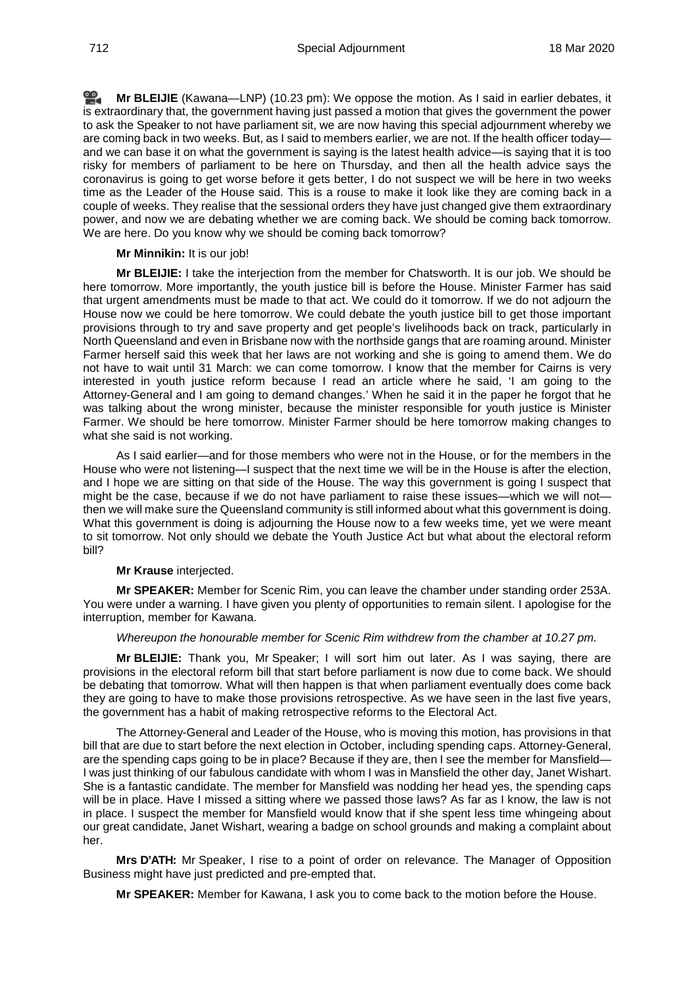<u>രാ</u> **Mr [BLEIJIE](http://www.parliament.qld.gov.au/docs/find.aspx?id=0Mba20200318_222341)** (Kawana—LNP) (10.23 pm): We oppose the motion. As I said in earlier debates, it is extraordinary that, the government having just passed a motion that gives the government the power to ask the Speaker to not have parliament sit, we are now having this special adjournment whereby we are coming back in two weeks. But, as I said to members earlier, we are not. If the health officer today and we can base it on what the government is saying is the latest health advice—is saying that it is too risky for members of parliament to be here on Thursday, and then all the health advice says the coronavirus is going to get worse before it gets better, I do not suspect we will be here in two weeks time as the Leader of the House said. This is a rouse to make it look like they are coming back in a couple of weeks. They realise that the sessional orders they have just changed give them extraordinary power, and now we are debating whether we are coming back. We should be coming back tomorrow. We are here. Do you know why we should be coming back tomorrow?

#### **Mr Minnikin:** It is our job!

**Mr BLEIJIE:** I take the interjection from the member for Chatsworth. It is our job. We should be here tomorrow. More importantly, the youth justice bill is before the House. Minister Farmer has said that urgent amendments must be made to that act. We could do it tomorrow. If we do not adjourn the House now we could be here tomorrow. We could debate the youth justice bill to get those important provisions through to try and save property and get people's livelihoods back on track, particularly in North Queensland and even in Brisbane now with the northside gangs that are roaming around. Minister Farmer herself said this week that her laws are not working and she is going to amend them. We do not have to wait until 31 March: we can come tomorrow. I know that the member for Cairns is very interested in youth justice reform because I read an article where he said, 'I am going to the Attorney-General and I am going to demand changes.' When he said it in the paper he forgot that he was talking about the wrong minister, because the minister responsible for youth justice is Minister Farmer. We should be here tomorrow. Minister Farmer should be here tomorrow making changes to what she said is not working.

As I said earlier—and for those members who were not in the House, or for the members in the House who were not listening—I suspect that the next time we will be in the House is after the election, and I hope we are sitting on that side of the House. The way this government is going I suspect that might be the case, because if we do not have parliament to raise these issues—which we will not then we will make sure the Queensland community is still informed about what this government is doing. What this government is doing is adjourning the House now to a few weeks time, yet we were meant to sit tomorrow. Not only should we debate the Youth Justice Act but what about the electoral reform bill?

#### **Mr Krause** interjected.

**Mr SPEAKER:** Member for Scenic Rim, you can leave the chamber under standing order 253A. You were under a warning. I have given you plenty of opportunities to remain silent. I apologise for the interruption, member for Kawana.

## *Whereupon the honourable member for Scenic Rim withdrew from the chamber at 10.27 pm.*

**Mr BLEIJIE:** Thank you, Mr Speaker; I will sort him out later. As I was saying, there are provisions in the electoral reform bill that start before parliament is now due to come back. We should be debating that tomorrow. What will then happen is that when parliament eventually does come back they are going to have to make those provisions retrospective. As we have seen in the last five years, the government has a habit of making retrospective reforms to the Electoral Act.

The Attorney-General and Leader of the House, who is moving this motion, has provisions in that bill that are due to start before the next election in October, including spending caps. Attorney-General, are the spending caps going to be in place? Because if they are, then I see the member for Mansfield— I was just thinking of our fabulous candidate with whom I was in Mansfield the other day, Janet Wishart. She is a fantastic candidate. The member for Mansfield was nodding her head yes, the spending caps will be in place. Have I missed a sitting where we passed those laws? As far as I know, the law is not in place. I suspect the member for Mansfield would know that if she spent less time whingeing about our great candidate, Janet Wishart, wearing a badge on school grounds and making a complaint about her.

**Mrs D'ATH:** Mr Speaker, I rise to a point of order on relevance. The Manager of Opposition Business might have just predicted and pre-empted that.

**Mr SPEAKER:** Member for Kawana, I ask you to come back to the motion before the House.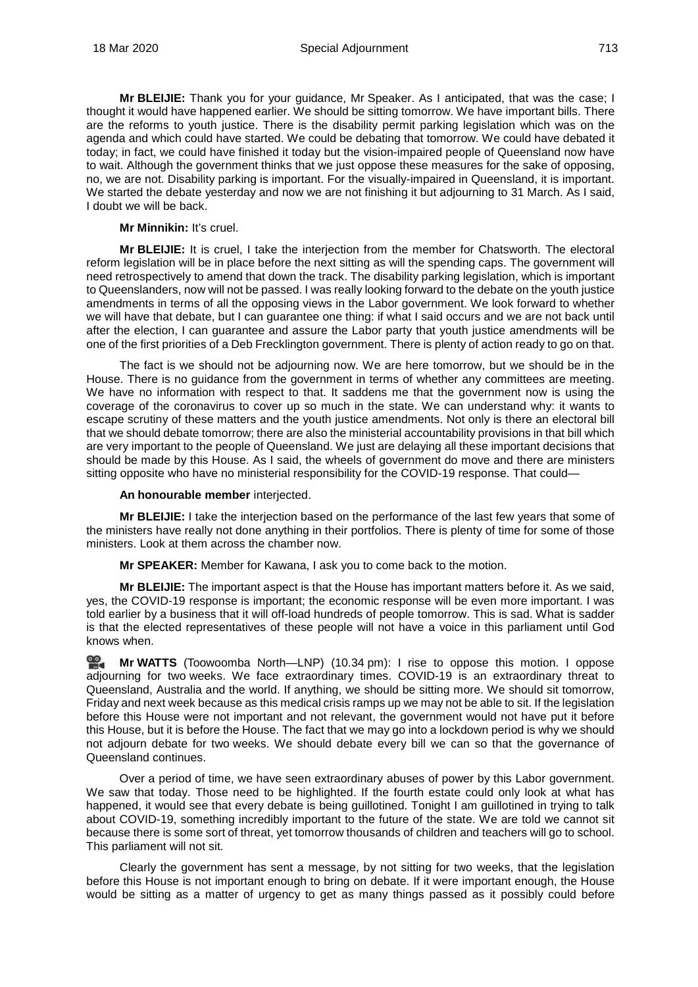**Mr BLEIJIE:** Thank you for your guidance, Mr Speaker. As I anticipated, that was the case; I thought it would have happened earlier. We should be sitting tomorrow. We have important bills. There are the reforms to youth justice. There is the disability permit parking legislation which was on the agenda and which could have started. We could be debating that tomorrow. We could have debated it today; in fact, we could have finished it today but the vision-impaired people of Queensland now have to wait. Although the government thinks that we just oppose these measures for the sake of opposing, no, we are not. Disability parking is important. For the visually-impaired in Queensland, it is important. We started the debate yesterday and now we are not finishing it but adjourning to 31 March. As I said, I doubt we will be back.

## **Mr Minnikin:** It's cruel.

**Mr BLEIJIE:** It is cruel, I take the interjection from the member for Chatsworth. The electoral reform legislation will be in place before the next sitting as will the spending caps. The government will need retrospectively to amend that down the track. The disability parking legislation, which is important to Queenslanders, now will not be passed. I was really looking forward to the debate on the youth justice amendments in terms of all the opposing views in the Labor government. We look forward to whether we will have that debate, but I can guarantee one thing: if what I said occurs and we are not back until after the election, I can guarantee and assure the Labor party that youth justice amendments will be one of the first priorities of a Deb Frecklington government. There is plenty of action ready to go on that.

The fact is we should not be adjourning now. We are here tomorrow, but we should be in the House. There is no guidance from the government in terms of whether any committees are meeting. We have no information with respect to that. It saddens me that the government now is using the coverage of the coronavirus to cover up so much in the state. We can understand why: it wants to escape scrutiny of these matters and the youth justice amendments. Not only is there an electoral bill that we should debate tomorrow; there are also the ministerial accountability provisions in that bill which are very important to the people of Queensland. We just are delaying all these important decisions that should be made by this House. As I said, the wheels of government do move and there are ministers sitting opposite who have no ministerial responsibility for the COVID-19 response. That could—

## **An honourable member** interjected.

**Mr BLEIJIE:** I take the interjection based on the performance of the last few years that some of the ministers have really not done anything in their portfolios. There is plenty of time for some of those ministers. Look at them across the chamber now.

**Mr SPEAKER:** Member for Kawana, I ask you to come back to the motion.

**Mr BLEIJIE:** The important aspect is that the House has important matters before it. As we said, yes, the COVID-19 response is important; the economic response will be even more important. I was told earlier by a business that it will off-load hundreds of people tomorrow. This is sad. What is sadder is that the elected representatives of these people will not have a voice in this parliament until God knows when.

≌. **Mr [WATTS](http://www.parliament.qld.gov.au/docs/find.aspx?id=0Mba20200318_223359)** (Toowoomba North—LNP) (10.34 pm): I rise to oppose this motion. I oppose adjourning for two weeks. We face extraordinary times. COVID-19 is an extraordinary threat to Queensland, Australia and the world. If anything, we should be sitting more. We should sit tomorrow, Friday and next week because as this medical crisis ramps up we may not be able to sit. If the legislation before this House were not important and not relevant, the government would not have put it before this House, but it is before the House. The fact that we may go into a lockdown period is why we should not adjourn debate for two weeks. We should debate every bill we can so that the governance of Queensland continues.

Over a period of time, we have seen extraordinary abuses of power by this Labor government. We saw that today. Those need to be highlighted. If the fourth estate could only look at what has happened, it would see that every debate is being guillotined. Tonight I am guillotined in trying to talk about COVID-19, something incredibly important to the future of the state. We are told we cannot sit because there is some sort of threat, yet tomorrow thousands of children and teachers will go to school. This parliament will not sit.

Clearly the government has sent a message, by not sitting for two weeks, that the legislation before this House is not important enough to bring on debate. If it were important enough, the House would be sitting as a matter of urgency to get as many things passed as it possibly could before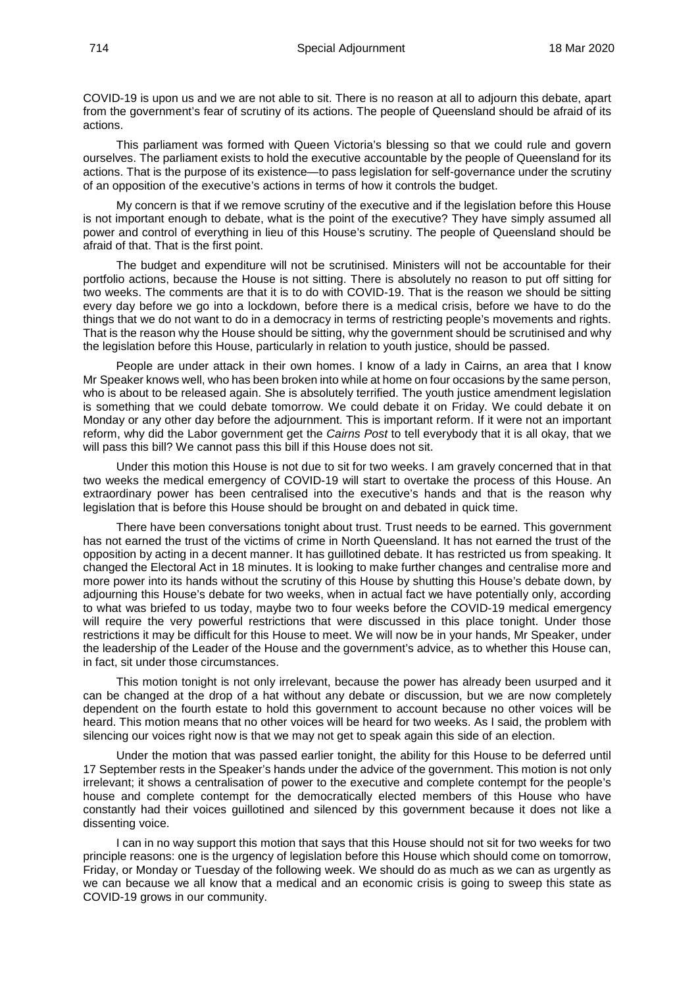COVID-19 is upon us and we are not able to sit. There is no reason at all to adjourn this debate, apart from the government's fear of scrutiny of its actions. The people of Queensland should be afraid of its actions.

This parliament was formed with Queen Victoria's blessing so that we could rule and govern ourselves. The parliament exists to hold the executive accountable by the people of Queensland for its actions. That is the purpose of its existence—to pass legislation for self-governance under the scrutiny of an opposition of the executive's actions in terms of how it controls the budget.

My concern is that if we remove scrutiny of the executive and if the legislation before this House is not important enough to debate, what is the point of the executive? They have simply assumed all power and control of everything in lieu of this House's scrutiny. The people of Queensland should be afraid of that. That is the first point.

The budget and expenditure will not be scrutinised. Ministers will not be accountable for their portfolio actions, because the House is not sitting. There is absolutely no reason to put off sitting for two weeks. The comments are that it is to do with COVID-19. That is the reason we should be sitting every day before we go into a lockdown, before there is a medical crisis, before we have to do the things that we do not want to do in a democracy in terms of restricting people's movements and rights. That is the reason why the House should be sitting, why the government should be scrutinised and why the legislation before this House, particularly in relation to youth justice, should be passed.

People are under attack in their own homes. I know of a lady in Cairns, an area that I know Mr Speaker knows well, who has been broken into while at home on four occasions by the same person, who is about to be released again. She is absolutely terrified. The youth justice amendment legislation is something that we could debate tomorrow. We could debate it on Friday. We could debate it on Monday or any other day before the adjournment. This is important reform. If it were not an important reform, why did the Labor government get the *Cairns Post* to tell everybody that it is all okay, that we will pass this bill? We cannot pass this bill if this House does not sit.

Under this motion this House is not due to sit for two weeks. I am gravely concerned that in that two weeks the medical emergency of COVID-19 will start to overtake the process of this House. An extraordinary power has been centralised into the executive's hands and that is the reason why legislation that is before this House should be brought on and debated in quick time.

There have been conversations tonight about trust. Trust needs to be earned. This government has not earned the trust of the victims of crime in North Queensland. It has not earned the trust of the opposition by acting in a decent manner. It has guillotined debate. It has restricted us from speaking. It changed the Electoral Act in 18 minutes. It is looking to make further changes and centralise more and more power into its hands without the scrutiny of this House by shutting this House's debate down, by adjourning this House's debate for two weeks, when in actual fact we have potentially only, according to what was briefed to us today, maybe two to four weeks before the COVID-19 medical emergency will require the very powerful restrictions that were discussed in this place tonight. Under those restrictions it may be difficult for this House to meet. We will now be in your hands, Mr Speaker, under the leadership of the Leader of the House and the government's advice, as to whether this House can, in fact, sit under those circumstances.

This motion tonight is not only irrelevant, because the power has already been usurped and it can be changed at the drop of a hat without any debate or discussion, but we are now completely dependent on the fourth estate to hold this government to account because no other voices will be heard. This motion means that no other voices will be heard for two weeks. As I said, the problem with silencing our voices right now is that we may not get to speak again this side of an election.

Under the motion that was passed earlier tonight, the ability for this House to be deferred until 17 September rests in the Speaker's hands under the advice of the government. This motion is not only irrelevant; it shows a centralisation of power to the executive and complete contempt for the people's house and complete contempt for the democratically elected members of this House who have constantly had their voices guillotined and silenced by this government because it does not like a dissenting voice.

I can in no way support this motion that says that this House should not sit for two weeks for two principle reasons: one is the urgency of legislation before this House which should come on tomorrow, Friday, or Monday or Tuesday of the following week. We should do as much as we can as urgently as we can because we all know that a medical and an economic crisis is going to sweep this state as COVID-19 grows in our community.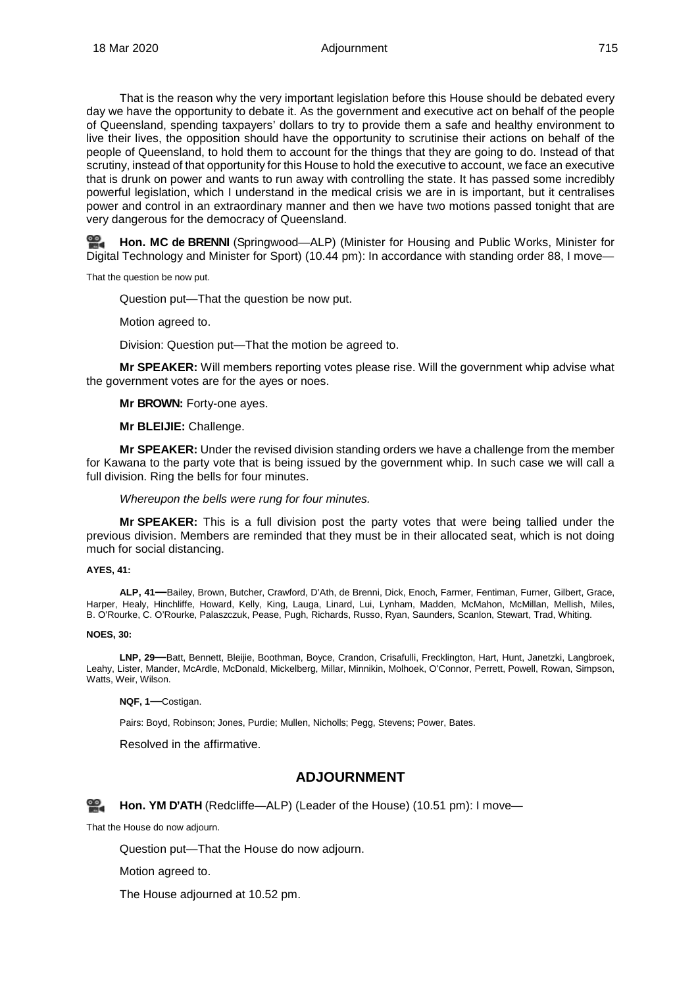That is the reason why the very important legislation before this House should be debated every day we have the opportunity to debate it. As the government and executive act on behalf of the people of Queensland, spending taxpayers' dollars to try to provide them a safe and healthy environment to live their lives, the opposition should have the opportunity to scrutinise their actions on behalf of the people of Queensland, to hold them to account for the things that they are going to do. Instead of that scrutiny, instead of that opportunity for this House to hold the executive to account, we face an executive that is drunk on power and wants to run away with controlling the state. It has passed some incredibly powerful legislation, which I understand in the medical crisis we are in is important, but it centralises power and control in an extraordinary manner and then we have two motions passed tonight that are very dangerous for the democracy of Queensland.

**Hon. MC [de BRENNI](http://www.parliament.qld.gov.au/docs/find.aspx?id=0Mba20200318_224406)** (Springwood—ALP) (Minister for Housing and Public Works, Minister for Digital Technology and Minister for Sport) (10.44 pm): In accordance with standing order 88, I move—

That the question be now put.

Question put—That the question be now put.

Motion agreed to.

Division: Question put—That the motion be agreed to.

<span id="page-65-0"></span>**Mr SPEAKER:** Will members reporting votes please rise. Will the government whip advise what the government votes are for the ayes or noes.

**Mr BROWN:** Forty-one ayes.

**Mr BLEIJIE:** Challenge.

**Mr SPEAKER:** Under the revised division standing orders we have a challenge from the member for Kawana to the party vote that is being issued by the government whip. In such case we will call a full division. Ring the bells for four minutes.

*Whereupon the bells were rung for four minutes.*

**Mr SPEAKER:** This is a full division post the party votes that were being tallied under the previous division. Members are reminded that they must be in their allocated seat, which is not doing much for social distancing.

#### **AYES, 41:**

**ALP, 41—**Bailey, Brown, Butcher, Crawford, D'Ath, de Brenni, Dick, Enoch, Farmer, Fentiman, Furner, Gilbert, Grace, Harper, Healy, Hinchliffe, Howard, Kelly, King, Lauga, Linard, Lui, Lynham, Madden, McMahon, McMillan, Mellish, Miles, B. O'Rourke, C. O'Rourke, Palaszczuk, Pease, Pugh, Richards, Russo, Ryan, Saunders, Scanlon, Stewart, Trad, Whiting.

#### **NOES, 30:**

**LNP, 29—**Batt, Bennett, Bleijie, Boothman, Boyce, Crandon, Crisafulli, Frecklington, Hart, Hunt, Janetzki, Langbroek, Leahy, Lister, Mander, McArdle, McDonald, Mickelberg, Millar, Minnikin, Molhoek, O'Connor, Perrett, Powell, Rowan, Simpson, Watts, Weir, Wilson.

**NQF, 1—**Costigan.

Pairs: Boyd, Robinson; Jones, Purdie; Mullen, Nicholls; Pegg, Stevens; Power, Bates.

<span id="page-65-1"></span>Resolved in the affirmative.

## **ADJOURNMENT**

<span id="page-65-2"></span>**[Hon. YM](http://www.parliament.qld.gov.au/docs/find.aspx?id=0Mba20200318_225153) D'ATH** (Redcliffe—ALP) (Leader of the House) (10.51 pm): I move—

That the House do now adjourn.

Question put—That the House do now adjourn.

Motion agreed to.

The House adjourned at 10.52 pm.